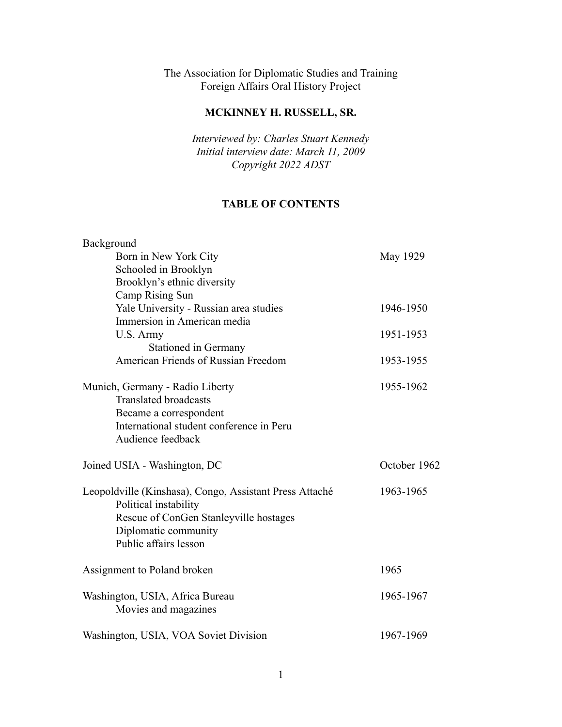The Association for Diplomatic Studies and Training Foreign Affairs Oral History Project

# **MCKINNEY H. RUSSELL, SR.**

*Interviewed by: Charles Stuart Kennedy Initial interview date: March 11, 2009 Copyright 2022 ADST*

# **TABLE OF CONTENTS**

| Background                                              |              |
|---------------------------------------------------------|--------------|
| Born in New York City                                   | May 1929     |
| Schooled in Brooklyn                                    |              |
| Brooklyn's ethnic diversity                             |              |
| Camp Rising Sun                                         |              |
| Yale University - Russian area studies                  | 1946-1950    |
| Immersion in American media                             |              |
| U.S. Army                                               | 1951-1953    |
| <b>Stationed in Germany</b>                             |              |
| American Friends of Russian Freedom                     | 1953-1955    |
| Munich, Germany - Radio Liberty                         | 1955-1962    |
| <b>Translated broadcasts</b>                            |              |
| Became a correspondent                                  |              |
| International student conference in Peru                |              |
| Audience feedback                                       |              |
|                                                         |              |
| Joined USIA - Washington, DC                            | October 1962 |
| Leopoldville (Kinshasa), Congo, Assistant Press Attaché | 1963-1965    |
| Political instability                                   |              |
| Rescue of ConGen Stanleyville hostages                  |              |
| Diplomatic community                                    |              |
| Public affairs lesson                                   |              |
| Assignment to Poland broken                             | 1965         |
| Washington, USIA, Africa Bureau                         | 1965-1967    |
| Movies and magazines                                    |              |
| Washington, USIA, VOA Soviet Division                   | 1967-1969    |
|                                                         |              |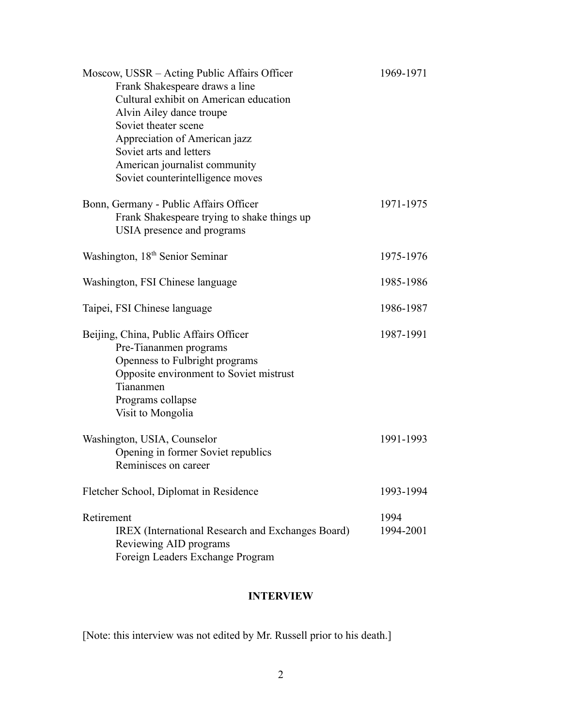| Moscow, USSR – Acting Public Affairs Officer<br>Frank Shakespeare draws a line<br>Cultural exhibit on American education<br>Alvin Ailey dance troupe<br>Soviet theater scene<br>Appreciation of American jazz<br>Soviet arts and letters<br>American journalist community<br>Soviet counterintelligence moves | 1969-1971         |
|---------------------------------------------------------------------------------------------------------------------------------------------------------------------------------------------------------------------------------------------------------------------------------------------------------------|-------------------|
| Bonn, Germany - Public Affairs Officer<br>Frank Shakespeare trying to shake things up<br>USIA presence and programs                                                                                                                                                                                           | 1971-1975         |
| Washington, 18 <sup>th</sup> Senior Seminar                                                                                                                                                                                                                                                                   | 1975-1976         |
| Washington, FSI Chinese language                                                                                                                                                                                                                                                                              | 1985-1986         |
| Taipei, FSI Chinese language                                                                                                                                                                                                                                                                                  | 1986-1987         |
| Beijing, China, Public Affairs Officer<br>Pre-Tiananmen programs<br>Openness to Fulbright programs<br>Opposite environment to Soviet mistrust<br>Tiananmen<br>Programs collapse<br>Visit to Mongolia                                                                                                          | 1987-1991         |
| Washington, USIA, Counselor<br>Opening in former Soviet republics<br>Reminisces on career                                                                                                                                                                                                                     | 1991-1993         |
| Fletcher School, Diplomat in Residence                                                                                                                                                                                                                                                                        | 1993-1994         |
| Retirement<br><b>IREX</b> (International Research and Exchanges Board)<br>Reviewing AID programs<br>Foreign Leaders Exchange Program                                                                                                                                                                          | 1994<br>1994-2001 |

# **INTERVIEW**

[Note: this interview was not edited by Mr. Russell prior to his death.]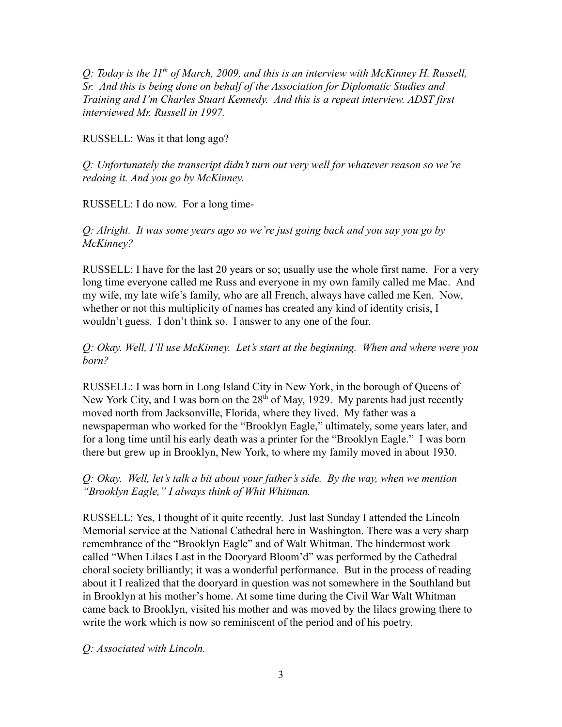*Q: Today is the 11 th of March, 2009, and this is an interview with McKinney H. Russell, Sr. And this is being done on behalf of the Association for Diplomatic Studies and Training and I'm Charles Stuart Kennedy. And this is a repeat interview. ADST first interviewed Mr. Russell in 1997.*

RUSSELL: Was it that long ago?

*Q: Unfortunately the transcript didn't turn out very well for whatever reason so we're redoing it. And you go by McKinney.*

RUSSELL: I do now. For a long time-

*Q: Alright. It was some years ago so we're just going back and you say you go by McKinney?*

RUSSELL: I have for the last 20 years or so; usually use the whole first name. For a very long time everyone called me Russ and everyone in my own family called me Mac. And my wife, my late wife's family, who are all French, always have called me Ken. Now, whether or not this multiplicity of names has created any kind of identity crisis, I wouldn't guess. I don't think so. I answer to any one of the four.

*Q: Okay. Well, I'll use McKinney. Let's start at the beginning. When and where were you born?*

RUSSELL: I was born in Long Island City in New York, in the borough of Queens of New York City, and I was born on the  $28<sup>th</sup>$  of May, 1929. My parents had just recently moved north from Jacksonville, Florida, where they lived. My father was a newspaperman who worked for the "Brooklyn Eagle," ultimately, some years later, and for a long time until his early death was a printer for the "Brooklyn Eagle." I was born there but grew up in Brooklyn, New York, to where my family moved in about 1930.

*Q: Okay. Well, let's talk a bit about your father's side. By the way, when we mention "Brooklyn Eagle," I always think of Whit Whitman.*

RUSSELL: Yes, I thought of it quite recently. Just last Sunday I attended the Lincoln Memorial service at the National Cathedral here in Washington. There was a very sharp remembrance of the "Brooklyn Eagle" and of Walt Whitman. The hindermost work called "When Lilacs Last in the Dooryard Bloom'd" was performed by the Cathedral choral society brilliantly; it was a wonderful performance. But in the process of reading about it I realized that the dooryard in question was not somewhere in the Southland but in Brooklyn at his mother's home. At some time during the Civil War Walt Whitman came back to Brooklyn, visited his mother and was moved by the lilacs growing there to write the work which is now so reminiscent of the period and of his poetry.

*Q: Associated with Lincoln.*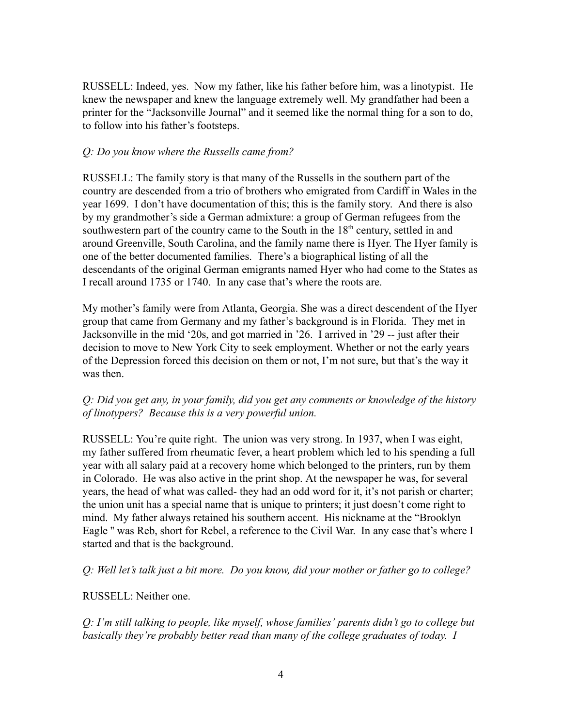RUSSELL: Indeed, yes. Now my father, like his father before him, was a linotypist. He knew the newspaper and knew the language extremely well. My grandfather had been a printer for the "Jacksonville Journal" and it seemed like the normal thing for a son to do, to follow into his father's footsteps.

#### *Q: Do you know where the Russells came from?*

RUSSELL: The family story is that many of the Russells in the southern part of the country are descended from a trio of brothers who emigrated from Cardiff in Wales in the year 1699. I don't have documentation of this; this is the family story. And there is also by my grandmother's side a German admixture: a group of German refugees from the southwestern part of the country came to the South in the  $18<sup>th</sup>$  century, settled in and around Greenville, South Carolina, and the family name there is Hyer. The Hyer family is one of the better documented families. There's a biographical listing of all the descendants of the original German emigrants named Hyer who had come to the States as I recall around 1735 or 1740. In any case that's where the roots are.

My mother's family were from Atlanta, Georgia. She was a direct descendent of the Hyer group that came from Germany and my father's background is in Florida. They met in Jacksonville in the mid '20s, and got married in '26. I arrived in '29 -- just after their decision to move to New York City to seek employment. Whether or not the early years of the Depression forced this decision on them or not, I'm not sure, but that's the way it was then.

### *Q: Did you get any, in your family, did you get any comments or knowledge of the history of linotypers? Because this is a very powerful union.*

RUSSELL: You're quite right. The union was very strong. In 1937, when I was eight, my father suffered from rheumatic fever, a heart problem which led to his spending a full year with all salary paid at a recovery home which belonged to the printers, run by them in Colorado. He was also active in the print shop. At the newspaper he was, for several years, the head of what was called- they had an odd word for it, it's not parish or charter; the union unit has a special name that is unique to printers; it just doesn't come right to mind. My father always retained his southern accent. His nickname at the "Brooklyn Eagle '' was Reb, short for Rebel, a reference to the Civil War. In any case that's where I started and that is the background.

*Q: Well let's talk just a bit more. Do you know, did your mother or father go to college?*

#### RUSSELL: Neither one.

*Q: I'm still talking to people, like myself, whose families' parents didn't go to college but basically they're probably better read than many of the college graduates of today. I*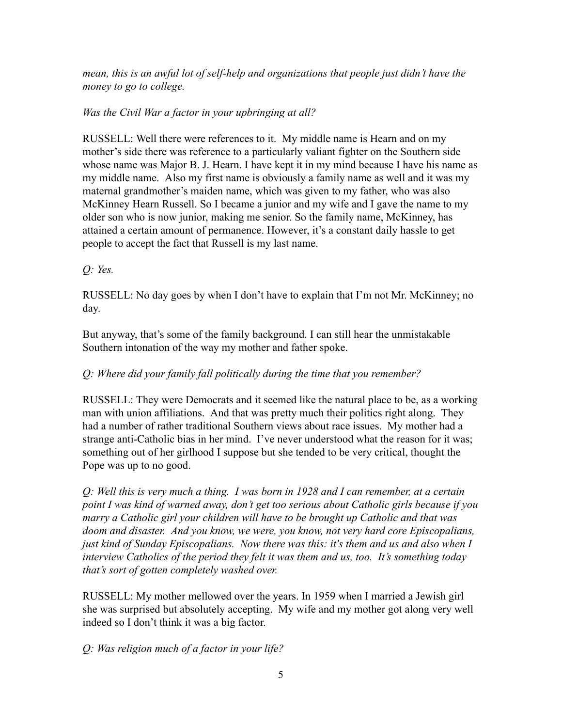*mean, this is an awful lot of self-help and organizations that people just didn't have the money to go to college.*

# *Was the Civil War a factor in your upbringing at all?*

RUSSELL: Well there were references to it. My middle name is Hearn and on my mother's side there was reference to a particularly valiant fighter on the Southern side whose name was Major B. J. Hearn. I have kept it in my mind because I have his name as my middle name. Also my first name is obviously a family name as well and it was my maternal grandmother's maiden name, which was given to my father, who was also McKinney Hearn Russell. So I became a junior and my wife and I gave the name to my older son who is now junior, making me senior. So the family name, McKinney, has attained a certain amount of permanence. However, it's a constant daily hassle to get people to accept the fact that Russell is my last name.

*Q: Yes.*

RUSSELL: No day goes by when I don't have to explain that I'm not Mr. McKinney; no day.

But anyway, that's some of the family background. I can still hear the unmistakable Southern intonation of the way my mother and father spoke.

# *Q: Where did your family fall politically during the time that you remember?*

RUSSELL: They were Democrats and it seemed like the natural place to be, as a working man with union affiliations. And that was pretty much their politics right along. They had a number of rather traditional Southern views about race issues. My mother had a strange anti-Catholic bias in her mind. I've never understood what the reason for it was; something out of her girlhood I suppose but she tended to be very critical, thought the Pope was up to no good.

*Q: Well this is very much a thing. I was born in 1928 and I can remember, at a certain point I was kind of warned away, don't get too serious about Catholic girls because if you marry a Catholic girl your children will have to be brought up Catholic and that was doom and disaster. And you know, we were, you know, not very hard core Episcopalians, just kind of Sunday Episcopalians. Now there was this: it's them and us and also when I interview Catholics of the period they felt it was them and us, too. It's something today that's sort of gotten completely washed over.*

RUSSELL: My mother mellowed over the years. In 1959 when I married a Jewish girl she was surprised but absolutely accepting. My wife and my mother got along very well indeed so I don't think it was a big factor.

*Q: Was religion much of a factor in your life?*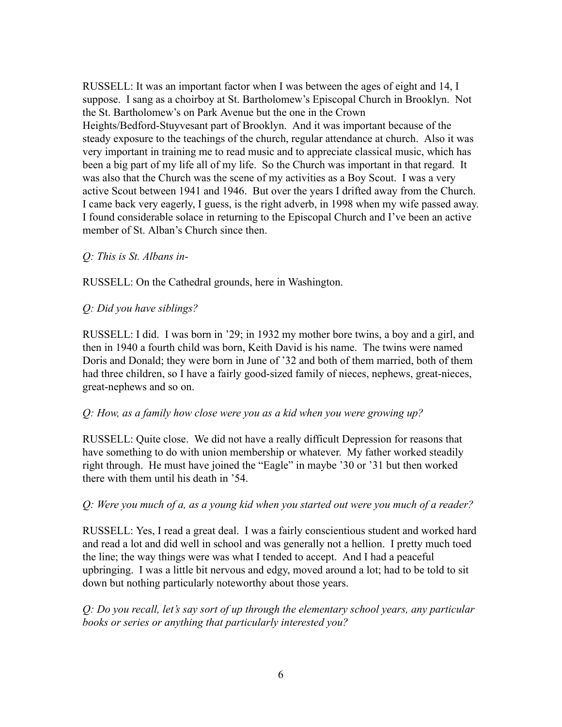RUSSELL: It was an important factor when I was between the ages of eight and 14, I suppose. I sang as a choirboy at St. Bartholomew's Episcopal Church in Brooklyn. Not the St. Bartholomew's on Park Avenue but the one in the Crown Heights/Bedford-Stuyvesant part of Brooklyn. And it was important because of the steady exposure to the teachings of the church, regular attendance at church. Also it was very important in training me to read music and to appreciate classical music, which has been a big part of my life all of my life. So the Church was important in that regard. It was also that the Church was the scene of my activities as a Boy Scout. I was a very active Scout between 1941 and 1946. But over the years I drifted away from the Church. I came back very eagerly, I guess, is the right adverb, in 1998 when my wife passed away. I found considerable solace in returning to the Episcopal Church and I've been an active member of St. Alban's Church since then.

### *Q: This is St. Albans in-*

RUSSELL: On the Cathedral grounds, here in Washington.

### *Q: Did you have siblings?*

RUSSELL: I did. I was born in '29; in 1932 my mother bore twins, a boy and a girl, and then in 1940 a fourth child was born, Keith David is his name. The twins were named Doris and Donald; they were born in June of '32 and both of them married, both of them had three children, so I have a fairly good-sized family of nieces, nephews, great-nieces, great-nephews and so on.

#### *Q: How, as a family how close were you as a kid when you were growing up?*

RUSSELL: Quite close. We did not have a really difficult Depression for reasons that have something to do with union membership or whatever. My father worked steadily right through. He must have joined the "Eagle" in maybe '30 or '31 but then worked there with them until his death in '54.

#### *Q: Were you much of a, as a young kid when you started out were you much of a reader?*

RUSSELL: Yes, I read a great deal. I was a fairly conscientious student and worked hard and read a lot and did well in school and was generally not a hellion. I pretty much toed the line; the way things were was what I tended to accept. And I had a peaceful upbringing. I was a little bit nervous and edgy, moved around a lot; had to be told to sit down but nothing particularly noteworthy about those years.

*Q: Do you recall, let's say sort of up through the elementary school years, any particular books or series or anything that particularly interested you?*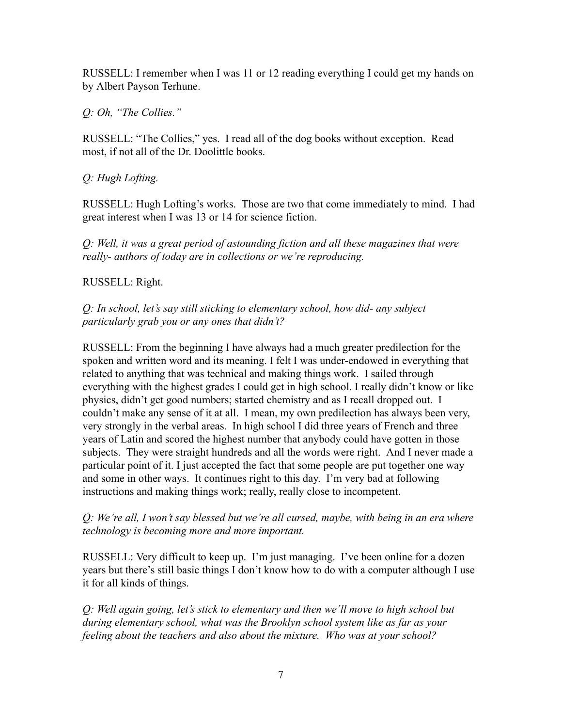RUSSELL: I remember when I was 11 or 12 reading everything I could get my hands on by Albert Payson Terhune.

*Q: Oh, "The Collies."*

RUSSELL: "The Collies," yes. I read all of the dog books without exception. Read most, if not all of the Dr. Doolittle books.

# *Q: Hugh Lofting.*

RUSSELL: Hugh Lofting's works. Those are two that come immediately to mind. I had great interest when I was 13 or 14 for science fiction.

*Q: Well, it was a great period of astounding fiction and all these magazines that were really- authors of today are in collections or we're reproducing.*

### RUSSELL: Right.

*Q: In school, let's say still sticking to elementary school, how did- any subject particularly grab you or any ones that didn't?*

RUSSELL: From the beginning I have always had a much greater predilection for the spoken and written word and its meaning. I felt I was under-endowed in everything that related to anything that was technical and making things work. I sailed through everything with the highest grades I could get in high school. I really didn't know or like physics, didn't get good numbers; started chemistry and as I recall dropped out. I couldn't make any sense of it at all. I mean, my own predilection has always been very, very strongly in the verbal areas. In high school I did three years of French and three years of Latin and scored the highest number that anybody could have gotten in those subjects. They were straight hundreds and all the words were right. And I never made a particular point of it. I just accepted the fact that some people are put together one way and some in other ways. It continues right to this day. I'm very bad at following instructions and making things work; really, really close to incompetent.

### *Q: We're all, I won't say blessed but we're all cursed, maybe, with being in an era where technology is becoming more and more important.*

RUSSELL: Very difficult to keep up. I'm just managing. I've been online for a dozen years but there's still basic things I don't know how to do with a computer although I use it for all kinds of things.

*Q: Well again going, let's stick to elementary and then we'll move to high school but during elementary school, what was the Brooklyn school system like as far as your feeling about the teachers and also about the mixture. Who was at your school?*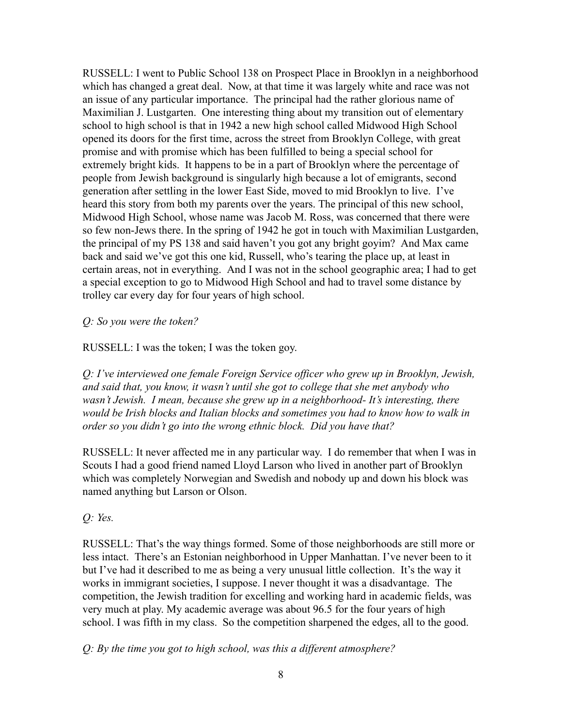RUSSELL: I went to Public School 138 on Prospect Place in Brooklyn in a neighborhood which has changed a great deal. Now, at that time it was largely white and race was not an issue of any particular importance. The principal had the rather glorious name of Maximilian J. Lustgarten. One interesting thing about my transition out of elementary school to high school is that in 1942 a new high school called Midwood High School opened its doors for the first time, across the street from Brooklyn College, with great promise and with promise which has been fulfilled to being a special school for extremely bright kids. It happens to be in a part of Brooklyn where the percentage of people from Jewish background is singularly high because a lot of emigrants, second generation after settling in the lower East Side, moved to mid Brooklyn to live. I've heard this story from both my parents over the years. The principal of this new school, Midwood High School, whose name was Jacob M. Ross, was concerned that there were so few non-Jews there. In the spring of 1942 he got in touch with Maximilian Lustgarden, the principal of my PS 138 and said haven't you got any bright goyim? And Max came back and said we've got this one kid, Russell, who's tearing the place up, at least in certain areas, not in everything. And I was not in the school geographic area; I had to get a special exception to go to Midwood High School and had to travel some distance by trolley car every day for four years of high school.

### *Q: So you were the token?*

RUSSELL: I was the token; I was the token goy.

*Q: I've interviewed one female Foreign Service officer who grew up in Brooklyn, Jewish, and said that, you know, it wasn't until she got to college that she met anybody who wasn't Jewish. I mean, because she grew up in a neighborhood- It's interesting, there would be Irish blocks and Italian blocks and sometimes you had to know how to walk in order so you didn't go into the wrong ethnic block. Did you have that?*

RUSSELL: It never affected me in any particular way. I do remember that when I was in Scouts I had a good friend named Lloyd Larson who lived in another part of Brooklyn which was completely Norwegian and Swedish and nobody up and down his block was named anything but Larson or Olson.

### *Q: Yes.*

RUSSELL: That's the way things formed. Some of those neighborhoods are still more or less intact. There's an Estonian neighborhood in Upper Manhattan. I've never been to it but I've had it described to me as being a very unusual little collection. It's the way it works in immigrant societies, I suppose. I never thought it was a disadvantage. The competition, the Jewish tradition for excelling and working hard in academic fields, was very much at play. My academic average was about 96.5 for the four years of high school. I was fifth in my class. So the competition sharpened the edges, all to the good.

*Q: By the time you got to high school, was this a different atmosphere?*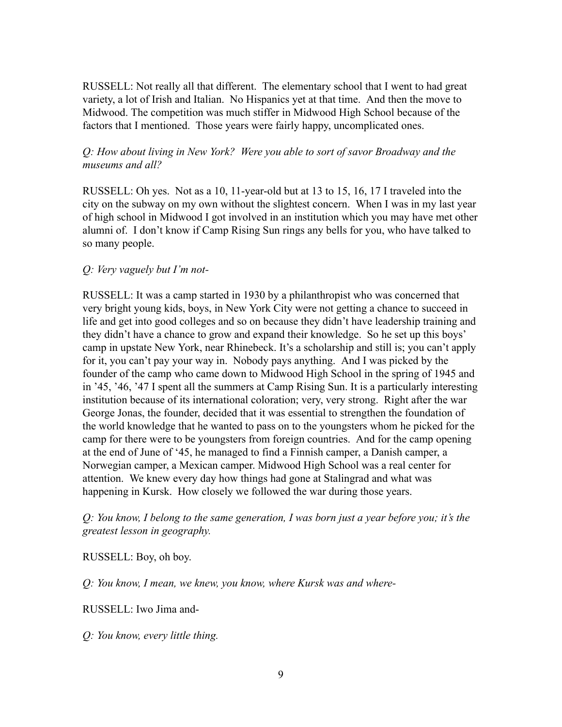RUSSELL: Not really all that different. The elementary school that I went to had great variety, a lot of Irish and Italian. No Hispanics yet at that time. And then the move to Midwood. The competition was much stiffer in Midwood High School because of the factors that I mentioned. Those years were fairly happy, uncomplicated ones.

### *Q: How about living in New York? Were you able to sort of savor Broadway and the museums and all?*

RUSSELL: Oh yes. Not as a 10, 11-year-old but at 13 to 15, 16, 17 I traveled into the city on the subway on my own without the slightest concern. When I was in my last year of high school in Midwood I got involved in an institution which you may have met other alumni of. I don't know if Camp Rising Sun rings any bells for you, who have talked to so many people.

### *Q: Very vaguely but I'm not-*

RUSSELL: It was a camp started in 1930 by a philanthropist who was concerned that very bright young kids, boys, in New York City were not getting a chance to succeed in life and get into good colleges and so on because they didn't have leadership training and they didn't have a chance to grow and expand their knowledge. So he set up this boys' camp in upstate New York, near Rhinebeck. It's a scholarship and still is; you can't apply for it, you can't pay your way in. Nobody pays anything. And I was picked by the founder of the camp who came down to Midwood High School in the spring of 1945 and in '45, '46, '47 I spent all the summers at Camp Rising Sun. It is a particularly interesting institution because of its international coloration; very, very strong. Right after the war George Jonas, the founder, decided that it was essential to strengthen the foundation of the world knowledge that he wanted to pass on to the youngsters whom he picked for the camp for there were to be youngsters from foreign countries. And for the camp opening at the end of June of '45, he managed to find a Finnish camper, a Danish camper, a Norwegian camper, a Mexican camper. Midwood High School was a real center for attention. We knew every day how things had gone at Stalingrad and what was happening in Kursk. How closely we followed the war during those years.

*Q: You know, I belong to the same generation, I was born just a year before you; it's the greatest lesson in geography.*

RUSSELL: Boy, oh boy.

*Q: You know, I mean, we knew, you know, where Kursk was and where-*

RUSSELL: Iwo Jima and-

*Q: You know, every little thing.*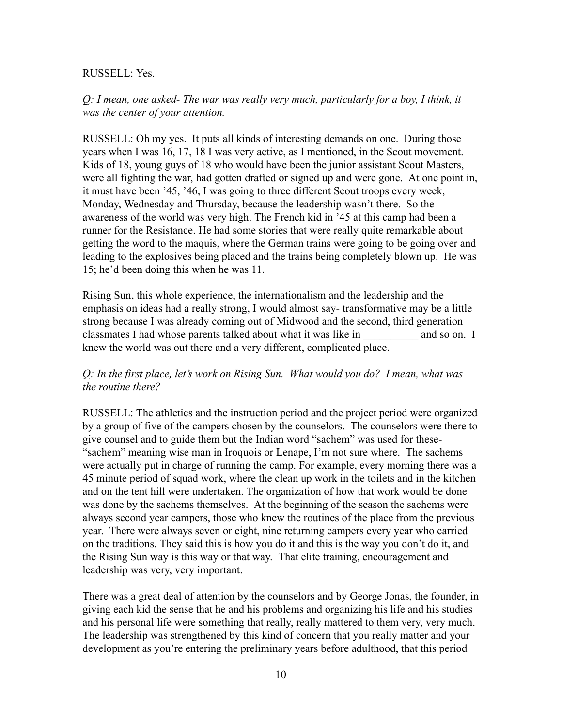#### RUSSELL: Yes.

*Q: I mean, one asked- The war was really very much, particularly for a boy, I think, it was the center of your attention.*

RUSSELL: Oh my yes. It puts all kinds of interesting demands on one. During those years when I was 16, 17, 18 I was very active, as I mentioned, in the Scout movement. Kids of 18, young guys of 18 who would have been the junior assistant Scout Masters, were all fighting the war, had gotten drafted or signed up and were gone. At one point in, it must have been '45, '46, I was going to three different Scout troops every week, Monday, Wednesday and Thursday, because the leadership wasn't there. So the awareness of the world was very high. The French kid in '45 at this camp had been a runner for the Resistance. He had some stories that were really quite remarkable about getting the word to the maquis, where the German trains were going to be going over and leading to the explosives being placed and the trains being completely blown up. He was 15; he'd been doing this when he was 11.

Rising Sun, this whole experience, the internationalism and the leadership and the emphasis on ideas had a really strong, I would almost say- transformative may be a little strong because I was already coming out of Midwood and the second, third generation classmates I had whose parents talked about what it was like in \_\_\_\_\_\_\_\_\_\_ and so on. I knew the world was out there and a very different, complicated place.

### *Q: In the first place, let's work on Rising Sun. What would you do? I mean, what was the routine there?*

RUSSELL: The athletics and the instruction period and the project period were organized by a group of five of the campers chosen by the counselors. The counselors were there to give counsel and to guide them but the Indian word "sachem" was used for these- "sachem" meaning wise man in Iroquois or Lenape, I'm not sure where. The sachems were actually put in charge of running the camp. For example, every morning there was a 45 minute period of squad work, where the clean up work in the toilets and in the kitchen and on the tent hill were undertaken. The organization of how that work would be done was done by the sachems themselves. At the beginning of the season the sachems were always second year campers, those who knew the routines of the place from the previous year. There were always seven or eight, nine returning campers every year who carried on the traditions. They said this is how you do it and this is the way you don't do it, and the Rising Sun way is this way or that way. That elite training, encouragement and leadership was very, very important.

There was a great deal of attention by the counselors and by George Jonas, the founder, in giving each kid the sense that he and his problems and organizing his life and his studies and his personal life were something that really, really mattered to them very, very much. The leadership was strengthened by this kind of concern that you really matter and your development as you're entering the preliminary years before adulthood, that this period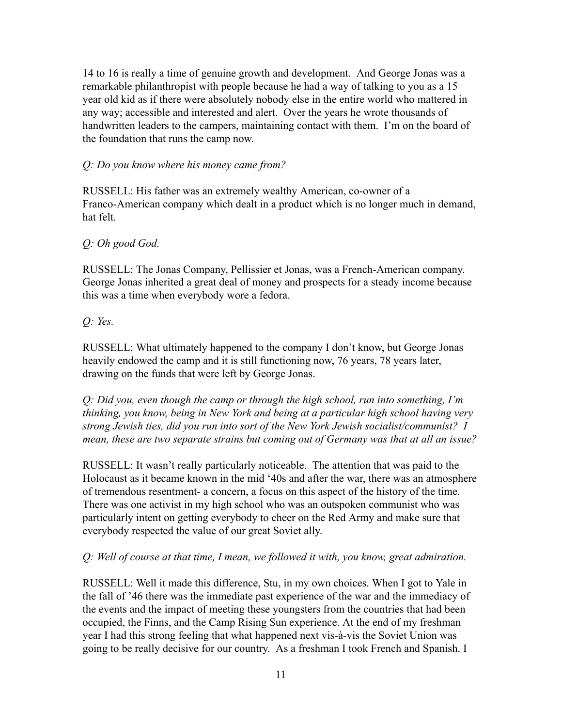14 to 16 is really a time of genuine growth and development. And George Jonas was a remarkable philanthropist with people because he had a way of talking to you as a 15 year old kid as if there were absolutely nobody else in the entire world who mattered in any way; accessible and interested and alert. Over the years he wrote thousands of handwritten leaders to the campers, maintaining contact with them. I'm on the board of the foundation that runs the camp now.

### *Q: Do you know where his money came from?*

RUSSELL: His father was an extremely wealthy American, co-owner of a Franco-American company which dealt in a product which is no longer much in demand, hat felt.

### *Q: Oh good God.*

RUSSELL: The Jonas Company, Pellissier et Jonas, was a French-American company. George Jonas inherited a great deal of money and prospects for a steady income because this was a time when everybody wore a fedora.

# *Q: Yes.*

RUSSELL: What ultimately happened to the company I don't know, but George Jonas heavily endowed the camp and it is still functioning now, 76 years, 78 years later, drawing on the funds that were left by George Jonas.

*Q: Did you, even though the camp or through the high school, run into something, I'm thinking, you know, being in New York and being at a particular high school having very strong Jewish ties, did you run into sort of the New York Jewish socialist/communist? I mean, these are two separate strains but coming out of Germany was that at all an issue?*

RUSSELL: It wasn't really particularly noticeable. The attention that was paid to the Holocaust as it became known in the mid '40s and after the war, there was an atmosphere of tremendous resentment- a concern, a focus on this aspect of the history of the time. There was one activist in my high school who was an outspoken communist who was particularly intent on getting everybody to cheer on the Red Army and make sure that everybody respected the value of our great Soviet ally.

### *Q: Well of course at that time, I mean, we followed it with, you know, great admiration.*

RUSSELL: Well it made this difference, Stu, in my own choices. When I got to Yale in the fall of '46 there was the immediate past experience of the war and the immediacy of the events and the impact of meeting these youngsters from the countries that had been occupied, the Finns, and the Camp Rising Sun experience. At the end of my freshman year I had this strong feeling that what happened next vis-à-vis the Soviet Union was going to be really decisive for our country. As a freshman I took French and Spanish. I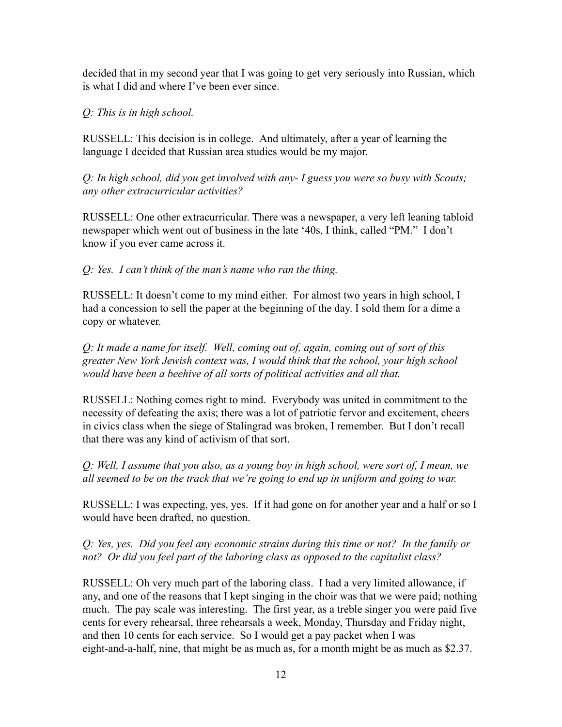decided that in my second year that I was going to get very seriously into Russian, which is what I did and where I've been ever since.

### *Q: This is in high school.*

RUSSELL: This decision is in college. And ultimately, after a year of learning the language I decided that Russian area studies would be my major.

*Q: In high school, did you get involved with any- I guess you were so busy with Scouts; any other extracurricular activities?*

RUSSELL: One other extracurricular. There was a newspaper, a very left leaning tabloid newspaper which went out of business in the late '40s, I think, called "PM." I don't know if you ever came across it.

### *Q: Yes. I can't think of the man's name who ran the thing.*

RUSSELL: It doesn't come to my mind either. For almost two years in high school, I had a concession to sell the paper at the beginning of the day. I sold them for a dime a copy or whatever.

*Q: It made a name for itself. Well, coming out of, again, coming out of sort of this greater New York Jewish context was, I would think that the school, your high school would have been a beehive of all sorts of political activities and all that.*

RUSSELL: Nothing comes right to mind. Everybody was united in commitment to the necessity of defeating the axis; there was a lot of patriotic fervor and excitement, cheers in civics class when the siege of Stalingrad was broken, I remember. But I don't recall that there was any kind of activism of that sort.

*Q: Well, I assume that you also, as a young boy in high school, were sort of, I mean, we all seemed to be on the track that we're going to end up in uniform and going to war.*

RUSSELL: I was expecting, yes, yes. If it had gone on for another year and a half or so I would have been drafted, no question.

*Q: Yes, yes. Did you feel any economic strains during this time or not? In the family or not? Or did you feel part of the laboring class as opposed to the capitalist class?*

RUSSELL: Oh very much part of the laboring class. I had a very limited allowance, if any, and one of the reasons that I kept singing in the choir was that we were paid; nothing much. The pay scale was interesting. The first year, as a treble singer you were paid five cents for every rehearsal, three rehearsals a week, Monday, Thursday and Friday night, and then 10 cents for each service. So I would get a pay packet when I was eight-and-a-half, nine, that might be as much as, for a month might be as much as \$2.37.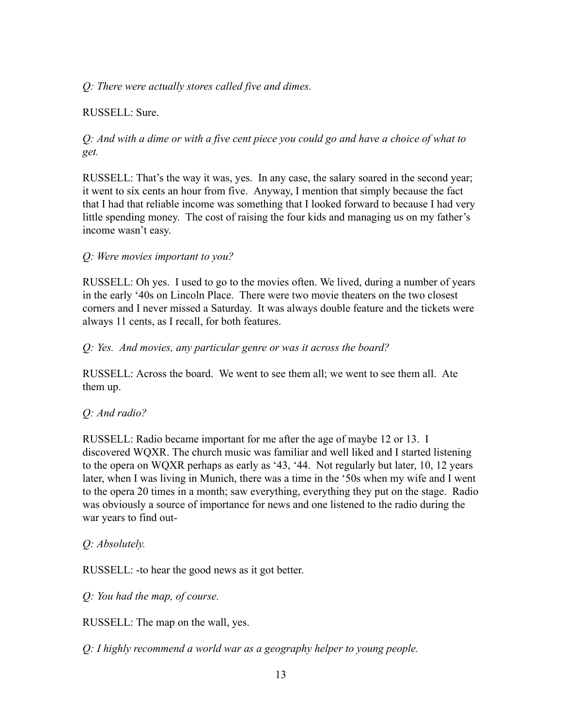## *Q: There were actually stores called five and dimes.*

# RUSSELL: Sure.

# *Q: And with a dime or with a five cent piece you could go and have a choice of what to get.*

RUSSELL: That's the way it was, yes. In any case, the salary soared in the second year; it went to six cents an hour from five. Anyway, I mention that simply because the fact that I had that reliable income was something that I looked forward to because I had very little spending money. The cost of raising the four kids and managing us on my father's income wasn't easy.

### *Q: Were movies important to you?*

RUSSELL: Oh yes. I used to go to the movies often. We lived, during a number of years in the early '40s on Lincoln Place. There were two movie theaters on the two closest corners and I never missed a Saturday. It was always double feature and the tickets were always 11 cents, as I recall, for both features.

### *Q: Yes. And movies, any particular genre or was it across the board?*

RUSSELL: Across the board. We went to see them all; we went to see them all. Ate them up.

### *Q: And radio?*

RUSSELL: Radio became important for me after the age of maybe 12 or 13. I discovered WQXR. The church music was familiar and well liked and I started listening to the opera on WQXR perhaps as early as '43, '44. Not regularly but later, 10, 12 years later, when I was living in Munich, there was a time in the '50s when my wife and I went to the opera 20 times in a month; saw everything, everything they put on the stage. Radio was obviously a source of importance for news and one listened to the radio during the war years to find out-

### *Q: Absolutely.*

RUSSELL: -to hear the good news as it got better.

*Q: You had the map, of course.*

RUSSELL: The map on the wall, yes.

*Q: I highly recommend a world war as a geography helper to young people.*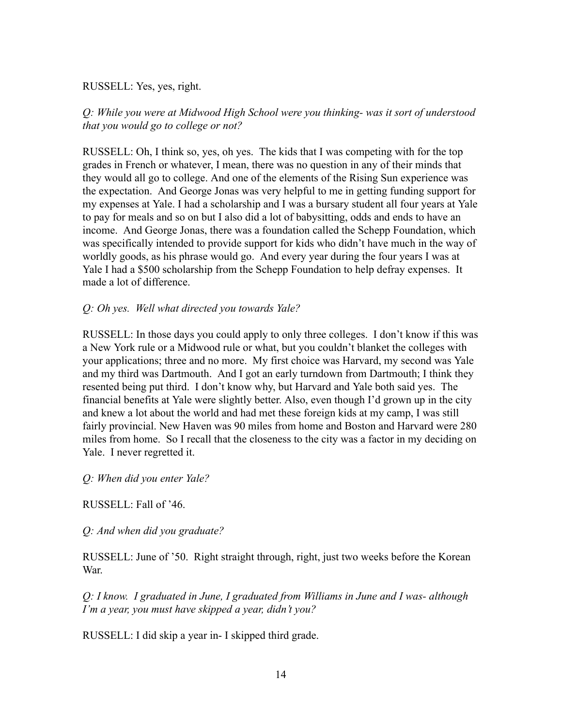#### RUSSELL: Yes, yes, right.

## *Q: While you were at Midwood High School were you thinking- was it sort of understood that you would go to college or not?*

RUSSELL: Oh, I think so, yes, oh yes. The kids that I was competing with for the top grades in French or whatever, I mean, there was no question in any of their minds that they would all go to college. And one of the elements of the Rising Sun experience was the expectation. And George Jonas was very helpful to me in getting funding support for my expenses at Yale. I had a scholarship and I was a bursary student all four years at Yale to pay for meals and so on but I also did a lot of babysitting, odds and ends to have an income. And George Jonas, there was a foundation called the Schepp Foundation, which was specifically intended to provide support for kids who didn't have much in the way of worldly goods, as his phrase would go. And every year during the four years I was at Yale I had a \$500 scholarship from the Schepp Foundation to help defray expenses. It made a lot of difference.

### *Q: Oh yes. Well what directed you towards Yale?*

RUSSELL: In those days you could apply to only three colleges. I don't know if this was a New York rule or a Midwood rule or what, but you couldn't blanket the colleges with your applications; three and no more. My first choice was Harvard, my second was Yale and my third was Dartmouth. And I got an early turndown from Dartmouth; I think they resented being put third. I don't know why, but Harvard and Yale both said yes. The financial benefits at Yale were slightly better. Also, even though I'd grown up in the city and knew a lot about the world and had met these foreign kids at my camp, I was still fairly provincial. New Haven was 90 miles from home and Boston and Harvard were 280 miles from home. So I recall that the closeness to the city was a factor in my deciding on Yale. I never regretted it.

*Q: When did you enter Yale?*

RUSSELL: Fall of '46.

*Q: And when did you graduate?*

RUSSELL: June of '50. Right straight through, right, just two weeks before the Korean War.

*Q: I know. I graduated in June, I graduated from Williams in June and I was- although I'm a year, you must have skipped a year, didn't you?*

RUSSELL: I did skip a year in- I skipped third grade.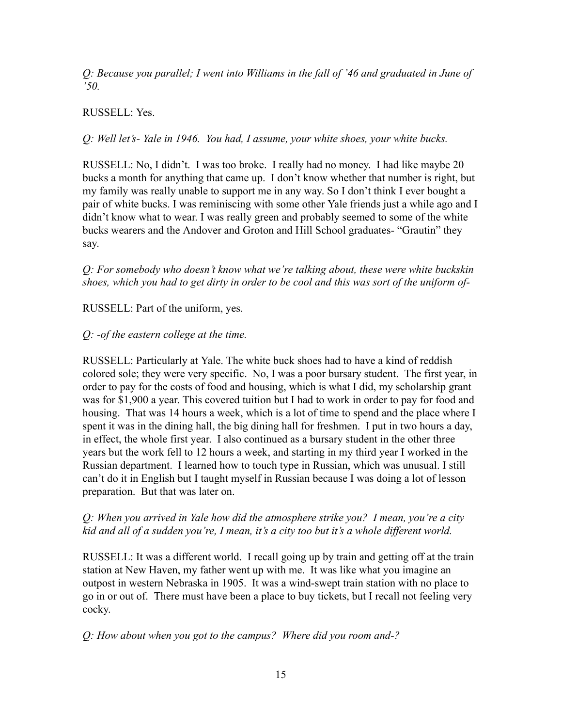*Q: Because you parallel; I went into Williams in the fall of '46 and graduated in June of '50.*

### RUSSELL: Yes.

*Q: Well let's- Yale in 1946. You had, I assume, your white shoes, your white bucks.*

RUSSELL: No, I didn't. I was too broke. I really had no money. I had like maybe 20 bucks a month for anything that came up. I don't know whether that number is right, but my family was really unable to support me in any way. So I don't think I ever bought a pair of white bucks. I was reminiscing with some other Yale friends just a while ago and I didn't know what to wear. I was really green and probably seemed to some of the white bucks wearers and the Andover and Groton and Hill School graduates- "Grautin" they say.

*Q: For somebody who doesn't know what we're talking about, these were white buckskin shoes, which you had to get dirty in order to be cool and this was sort of the uniform of-*

### RUSSELL: Part of the uniform, yes.

### *Q: -of the eastern college at the time.*

RUSSELL: Particularly at Yale. The white buck shoes had to have a kind of reddish colored sole; they were very specific. No, I was a poor bursary student. The first year, in order to pay for the costs of food and housing, which is what I did, my scholarship grant was for \$1,900 a year. This covered tuition but I had to work in order to pay for food and housing. That was 14 hours a week, which is a lot of time to spend and the place where I spent it was in the dining hall, the big dining hall for freshmen. I put in two hours a day, in effect, the whole first year. I also continued as a bursary student in the other three years but the work fell to 12 hours a week, and starting in my third year I worked in the Russian department. I learned how to touch type in Russian, which was unusual. I still can't do it in English but I taught myself in Russian because I was doing a lot of lesson preparation. But that was later on.

### *Q: When you arrived in Yale how did the atmosphere strike you? I mean, you're a city kid and all of a sudden you're, I mean, it's a city too but it's a whole different world.*

RUSSELL: It was a different world. I recall going up by train and getting off at the train station at New Haven, my father went up with me. It was like what you imagine an outpost in western Nebraska in 1905. It was a wind-swept train station with no place to go in or out of. There must have been a place to buy tickets, but I recall not feeling very cocky.

*Q: How about when you got to the campus? Where did you room and-?*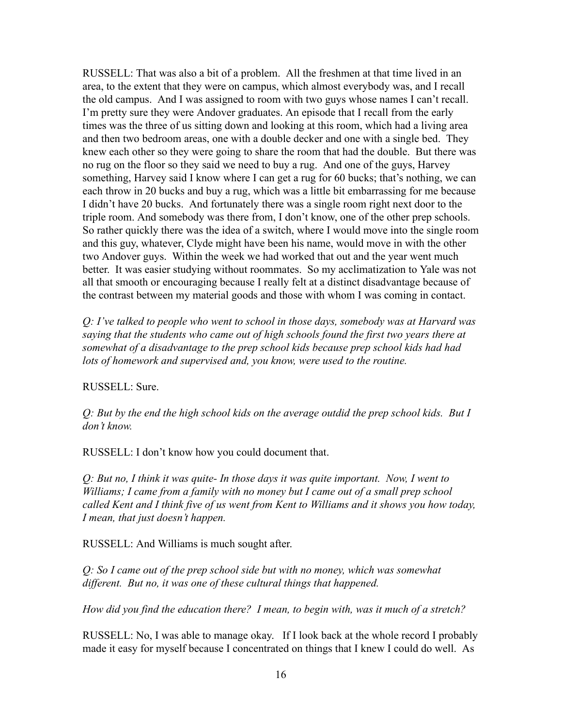RUSSELL: That was also a bit of a problem. All the freshmen at that time lived in an area, to the extent that they were on campus, which almost everybody was, and I recall the old campus. And I was assigned to room with two guys whose names I can't recall. I'm pretty sure they were Andover graduates. An episode that I recall from the early times was the three of us sitting down and looking at this room, which had a living area and then two bedroom areas, one with a double decker and one with a single bed. They knew each other so they were going to share the room that had the double. But there was no rug on the floor so they said we need to buy a rug. And one of the guys, Harvey something, Harvey said I know where I can get a rug for 60 bucks; that's nothing, we can each throw in 20 bucks and buy a rug, which was a little bit embarrassing for me because I didn't have 20 bucks. And fortunately there was a single room right next door to the triple room. And somebody was there from, I don't know, one of the other prep schools. So rather quickly there was the idea of a switch, where I would move into the single room and this guy, whatever, Clyde might have been his name, would move in with the other two Andover guys. Within the week we had worked that out and the year went much better. It was easier studying without roommates. So my acclimatization to Yale was not all that smooth or encouraging because I really felt at a distinct disadvantage because of the contrast between my material goods and those with whom I was coming in contact.

*Q: I've talked to people who went to school in those days, somebody was at Harvard was saying that the students who came out of high schools found the first two years there at somewhat of a disadvantage to the prep school kids because prep school kids had had lots of homework and supervised and, you know, were used to the routine.*

RUSSELL: Sure.

*Q: But by the end the high school kids on the average outdid the prep school kids. But I don't know.*

RUSSELL: I don't know how you could document that.

*Q: But no, I think it was quite- In those days it was quite important. Now, I went to Williams; I came from a family with no money but I came out of a small prep school called Kent and I think five of us went from Kent to Williams and it shows you how today, I mean, that just doesn't happen.*

RUSSELL: And Williams is much sought after.

*Q: So I came out of the prep school side but with no money, which was somewhat different. But no, it was one of these cultural things that happened.*

*How did you find the education there? I mean, to begin with, was it much of a stretch?*

RUSSELL: No, I was able to manage okay. If I look back at the whole record I probably made it easy for myself because I concentrated on things that I knew I could do well. As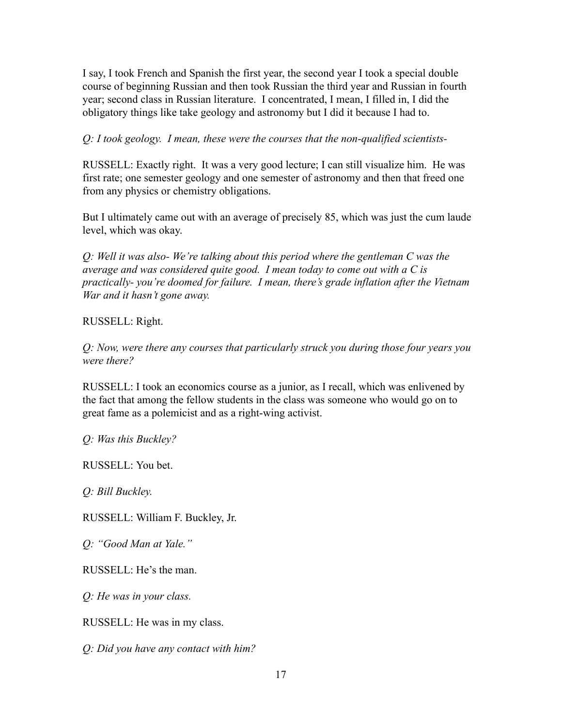I say, I took French and Spanish the first year, the second year I took a special double course of beginning Russian and then took Russian the third year and Russian in fourth year; second class in Russian literature. I concentrated, I mean, I filled in, I did the obligatory things like take geology and astronomy but I did it because I had to.

### *Q: I took geology. I mean, these were the courses that the non-qualified scientists-*

RUSSELL: Exactly right. It was a very good lecture; I can still visualize him. He was first rate; one semester geology and one semester of astronomy and then that freed one from any physics or chemistry obligations.

But I ultimately came out with an average of precisely 85, which was just the cum laude level, which was okay.

*Q: Well it was also- We're talking about this period where the gentleman C was the average and was considered quite good. I mean today to come out with a C is practically- you're doomed for failure. I mean, there's grade inflation after the Vietnam War and it hasn't gone away.*

#### RUSSELL: Right.

*Q: Now, were there any courses that particularly struck you during those four years you were there?*

RUSSELL: I took an economics course as a junior, as I recall, which was enlivened by the fact that among the fellow students in the class was someone who would go on to great fame as a polemicist and as a right-wing activist.

*Q: Was this Buckley?*

RUSSELL: You bet.

*Q: Bill Buckley.*

RUSSELL: William F. Buckley, Jr.

*Q: "Good Man at Yale."*

RUSSELL: He's the man.

*Q: He was in your class.*

RUSSELL: He was in my class.

*Q: Did you have any contact with him?*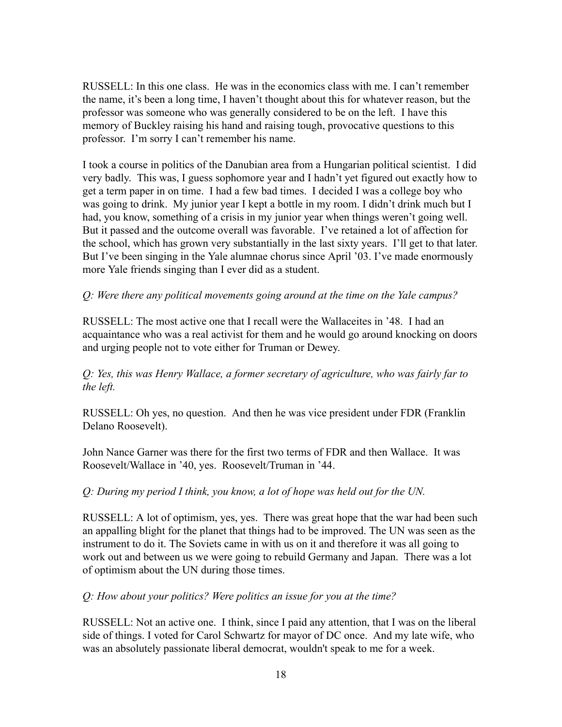RUSSELL: In this one class. He was in the economics class with me. I can't remember the name, it's been a long time, I haven't thought about this for whatever reason, but the professor was someone who was generally considered to be on the left. I have this memory of Buckley raising his hand and raising tough, provocative questions to this professor. I'm sorry I can't remember his name.

I took a course in politics of the Danubian area from a Hungarian political scientist. I did very badly. This was, I guess sophomore year and I hadn't yet figured out exactly how to get a term paper in on time. I had a few bad times. I decided I was a college boy who was going to drink. My junior year I kept a bottle in my room. I didn't drink much but I had, you know, something of a crisis in my junior year when things weren't going well. But it passed and the outcome overall was favorable. I've retained a lot of affection for the school, which has grown very substantially in the last sixty years. I'll get to that later. But I've been singing in the Yale alumnae chorus since April '03. I've made enormously more Yale friends singing than I ever did as a student.

### *Q: Were there any political movements going around at the time on the Yale campus?*

RUSSELL: The most active one that I recall were the Wallaceites in '48. I had an acquaintance who was a real activist for them and he would go around knocking on doors and urging people not to vote either for Truman or Dewey.

*Q: Yes, this was Henry Wallace, a former secretary of agriculture, who was fairly far to the left.*

RUSSELL: Oh yes, no question. And then he was vice president under FDR (Franklin Delano Roosevelt).

John Nance Garner was there for the first two terms of FDR and then Wallace. It was Roosevelt/Wallace in '40, yes. Roosevelt/Truman in '44.

#### *Q: During my period I think, you know, a lot of hope was held out for the UN.*

RUSSELL: A lot of optimism, yes, yes. There was great hope that the war had been such an appalling blight for the planet that things had to be improved. The UN was seen as the instrument to do it. The Soviets came in with us on it and therefore it was all going to work out and between us we were going to rebuild Germany and Japan. There was a lot of optimism about the UN during those times.

*Q: How about your politics? Were politics an issue for you at the time?*

RUSSELL: Not an active one. I think, since I paid any attention, that I was on the liberal side of things. I voted for Carol Schwartz for mayor of DC once. And my late wife, who was an absolutely passionate liberal democrat, wouldn't speak to me for a week.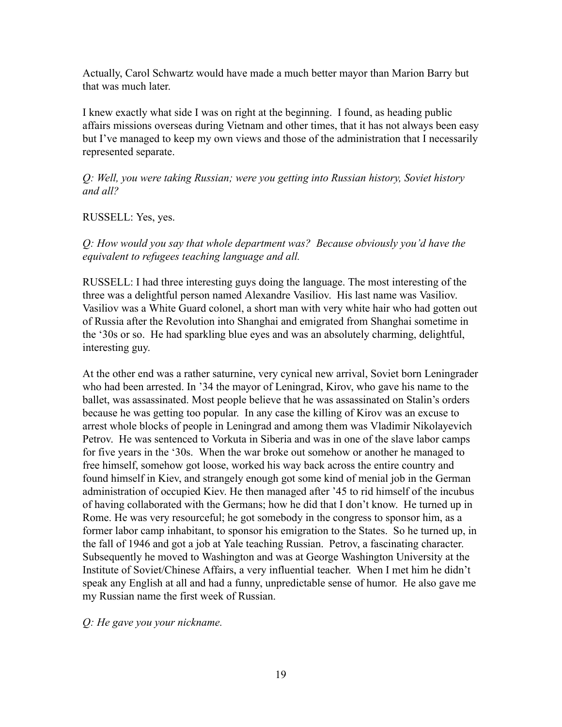Actually, Carol Schwartz would have made a much better mayor than Marion Barry but that was much later.

I knew exactly what side I was on right at the beginning. I found, as heading public affairs missions overseas during Vietnam and other times, that it has not always been easy but I've managed to keep my own views and those of the administration that I necessarily represented separate.

*Q: Well, you were taking Russian; were you getting into Russian history, Soviet history and all?*

RUSSELL: Yes, yes.

*Q: How would you say that whole department was? Because obviously you'd have the equivalent to refugees teaching language and all.*

RUSSELL: I had three interesting guys doing the language. The most interesting of the three was a delightful person named Alexandre Vasiliov. His last name was Vasiliov. Vasiliov was a White Guard colonel, a short man with very white hair who had gotten out of Russia after the Revolution into Shanghai and emigrated from Shanghai sometime in the '30s or so. He had sparkling blue eyes and was an absolutely charming, delightful, interesting guy.

At the other end was a rather saturnine, very cynical new arrival, Soviet born Leningrader who had been arrested. In '34 the mayor of Leningrad, Kirov, who gave his name to the ballet, was assassinated. Most people believe that he was assassinated on Stalin's orders because he was getting too popular. In any case the killing of Kirov was an excuse to arrest whole blocks of people in Leningrad and among them was Vladimir Nikolayevich Petrov. He was sentenced to Vorkuta in Siberia and was in one of the slave labor camps for five years in the '30s. When the war broke out somehow or another he managed to free himself, somehow got loose, worked his way back across the entire country and found himself in Kiev, and strangely enough got some kind of menial job in the German administration of occupied Kiev. He then managed after '45 to rid himself of the incubus of having collaborated with the Germans; how he did that I don't know. He turned up in Rome. He was very resourceful; he got somebody in the congress to sponsor him, as a former labor camp inhabitant, to sponsor his emigration to the States. So he turned up, in the fall of 1946 and got a job at Yale teaching Russian. Petrov, a fascinating character. Subsequently he moved to Washington and was at George Washington University at the Institute of Soviet/Chinese Affairs, a very influential teacher. When I met him he didn't speak any English at all and had a funny, unpredictable sense of humor. He also gave me my Russian name the first week of Russian.

*Q: He gave you your nickname.*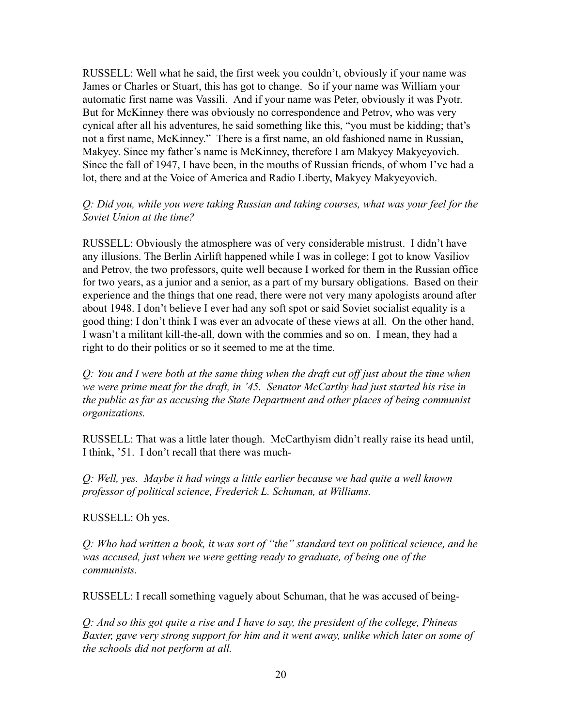RUSSELL: Well what he said, the first week you couldn't, obviously if your name was James or Charles or Stuart, this has got to change. So if your name was William your automatic first name was Vassili. And if your name was Peter, obviously it was Pyotr. But for McKinney there was obviously no correspondence and Petrov, who was very cynical after all his adventures, he said something like this, "you must be kidding; that's not a first name, McKinney." There is a first name, an old fashioned name in Russian, Makyey. Since my father's name is McKinney, therefore I am Makyey Makyeyovich. Since the fall of 1947, I have been, in the mouths of Russian friends, of whom I've had a lot, there and at the Voice of America and Radio Liberty, Makyey Makyeyovich.

#### *Q: Did you, while you were taking Russian and taking courses, what was your feel for the Soviet Union at the time?*

RUSSELL: Obviously the atmosphere was of very considerable mistrust. I didn't have any illusions. The Berlin Airlift happened while I was in college; I got to know Vasiliov and Petrov, the two professors, quite well because I worked for them in the Russian office for two years, as a junior and a senior, as a part of my bursary obligations. Based on their experience and the things that one read, there were not very many apologists around after about 1948. I don't believe I ever had any soft spot or said Soviet socialist equality is a good thing; I don't think I was ever an advocate of these views at all. On the other hand, I wasn't a militant kill-the-all, down with the commies and so on. I mean, they had a right to do their politics or so it seemed to me at the time.

*Q: You and I were both at the same thing when the draft cut off just about the time when we were prime meat for the draft, in '45. Senator McCarthy had just started his rise in the public as far as accusing the State Department and other places of being communist organizations.*

RUSSELL: That was a little later though. McCarthyism didn't really raise its head until, I think, '51. I don't recall that there was much-

*Q: Well, yes. Maybe it had wings a little earlier because we had quite a well known professor of political science, Frederick L. Schuman, at Williams.*

RUSSELL: Oh yes.

*Q: Who had written a book, it was sort of "the" standard text on political science, and he was accused, just when we were getting ready to graduate, of being one of the communists.*

RUSSELL: I recall something vaguely about Schuman, that he was accused of being-

*Q: And so this got quite a rise and I have to say, the president of the college, Phineas Baxter, gave very strong support for him and it went away, unlike which later on some of the schools did not perform at all.*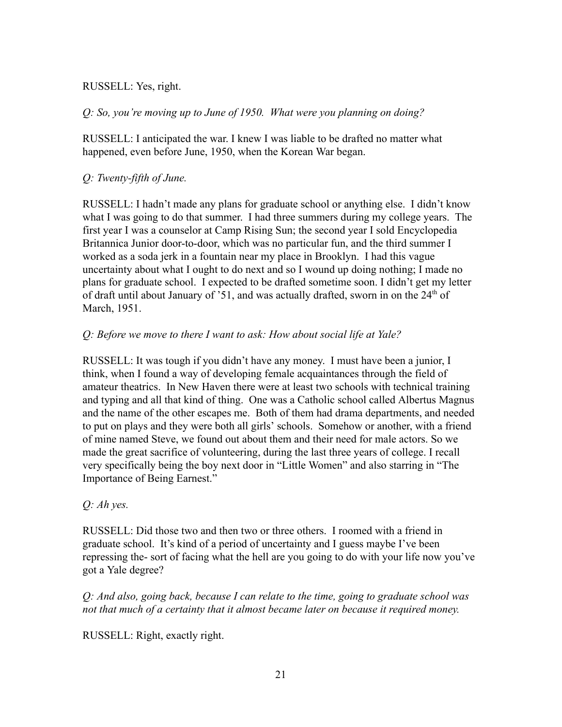### RUSSELL: Yes, right.

*Q: So, you're moving up to June of 1950. What were you planning on doing?*

RUSSELL: I anticipated the war. I knew I was liable to be drafted no matter what happened, even before June, 1950, when the Korean War began.

## *Q: Twenty-fifth of June.*

RUSSELL: I hadn't made any plans for graduate school or anything else. I didn't know what I was going to do that summer. I had three summers during my college years. The first year I was a counselor at Camp Rising Sun; the second year I sold Encyclopedia Britannica Junior door-to-door, which was no particular fun, and the third summer I worked as a soda jerk in a fountain near my place in Brooklyn. I had this vague uncertainty about what I ought to do next and so I wound up doing nothing; I made no plans for graduate school. I expected to be drafted sometime soon. I didn't get my letter of draft until about January of '51, and was actually drafted, sworn in on the  $24<sup>th</sup>$  of March, 1951.

### *Q: Before we move to there I want to ask: How about social life at Yale?*

RUSSELL: It was tough if you didn't have any money. I must have been a junior, I think, when I found a way of developing female acquaintances through the field of amateur theatrics. In New Haven there were at least two schools with technical training and typing and all that kind of thing. One was a Catholic school called Albertus Magnus and the name of the other escapes me. Both of them had drama departments, and needed to put on plays and they were both all girls' schools. Somehow or another, with a friend of mine named Steve, we found out about them and their need for male actors. So we made the great sacrifice of volunteering, during the last three years of college. I recall very specifically being the boy next door in "Little Women" and also starring in "The Importance of Being Earnest."

### *Q: Ah yes.*

RUSSELL: Did those two and then two or three others. I roomed with a friend in graduate school. It's kind of a period of uncertainty and I guess maybe I've been repressing the- sort of facing what the hell are you going to do with your life now you've got a Yale degree?

*Q: And also, going back, because I can relate to the time, going to graduate school was not that much of a certainty that it almost became later on because it required money.*

RUSSELL: Right, exactly right.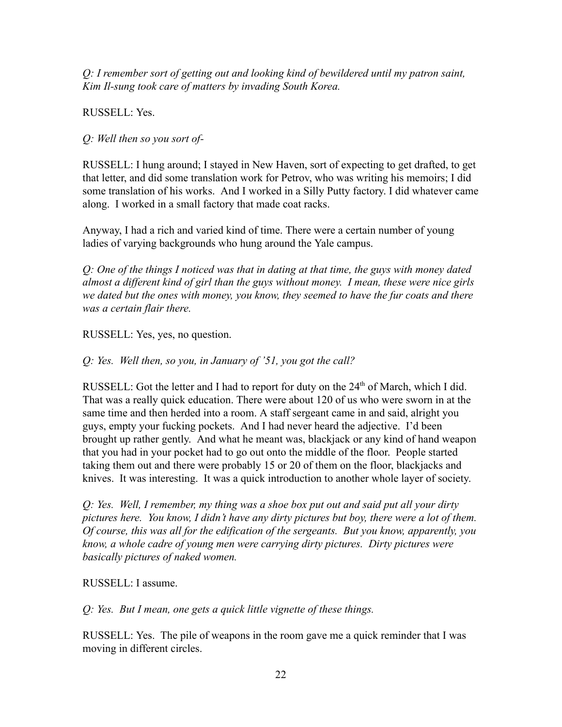*Q: I remember sort of getting out and looking kind of bewildered until my patron saint, Kim Il-sung took care of matters by invading South Korea.*

RUSSELL: Yes.

*Q: Well then so you sort of-*

RUSSELL: I hung around; I stayed in New Haven, sort of expecting to get drafted, to get that letter, and did some translation work for Petrov, who was writing his memoirs; I did some translation of his works. And I worked in a Silly Putty factory. I did whatever came along. I worked in a small factory that made coat racks.

Anyway, I had a rich and varied kind of time. There were a certain number of young ladies of varying backgrounds who hung around the Yale campus.

*Q: One of the things I noticed was that in dating at that time, the guys with money dated almost a different kind of girl than the guys without money. I mean, these were nice girls we dated but the ones with money, you know, they seemed to have the fur coats and there was a certain flair there.*

RUSSELL: Yes, yes, no question.

*Q: Yes. Well then, so you, in January of '51, you got the call?*

RUSSELL: Got the letter and I had to report for duty on the  $24<sup>th</sup>$  of March, which I did. That was a really quick education. There were about 120 of us who were sworn in at the same time and then herded into a room. A staff sergeant came in and said, alright you guys, empty your fucking pockets. And I had never heard the adjective. I'd been brought up rather gently. And what he meant was, blackjack or any kind of hand weapon that you had in your pocket had to go out onto the middle of the floor. People started taking them out and there were probably 15 or 20 of them on the floor, blackjacks and knives. It was interesting. It was a quick introduction to another whole layer of society.

*Q: Yes. Well, I remember, my thing was a shoe box put out and said put all your dirty pictures here. You know, I didn't have any dirty pictures but boy, there were a lot of them. Of course, this was all for the edification of the sergeants. But you know, apparently, you know, a whole cadre of young men were carrying dirty pictures. Dirty pictures were basically pictures of naked women.*

RUSSELL: I assume.

*Q: Yes. But I mean, one gets a quick little vignette of these things.*

RUSSELL: Yes. The pile of weapons in the room gave me a quick reminder that I was moving in different circles.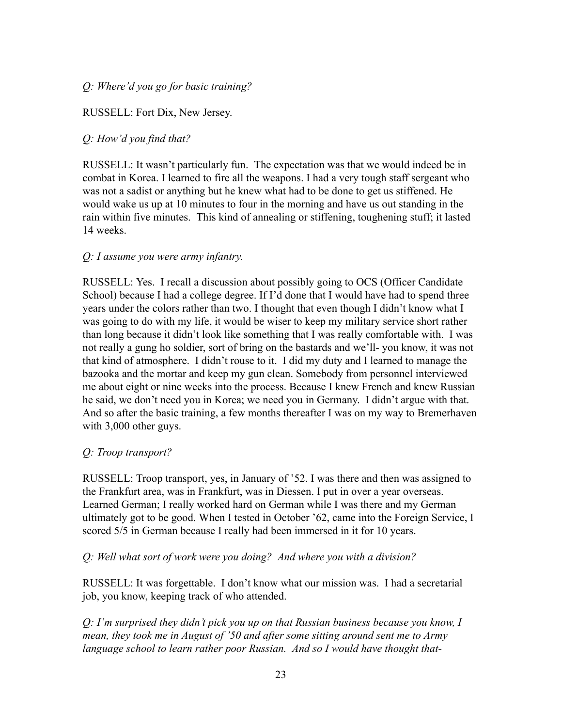## *Q: Where'd you go for basic training?*

### RUSSELL: Fort Dix, New Jersey.

### *Q: How'd you find that?*

RUSSELL: It wasn't particularly fun. The expectation was that we would indeed be in combat in Korea. I learned to fire all the weapons. I had a very tough staff sergeant who was not a sadist or anything but he knew what had to be done to get us stiffened. He would wake us up at 10 minutes to four in the morning and have us out standing in the rain within five minutes. This kind of annealing or stiffening, toughening stuff; it lasted 14 weeks.

#### *Q: I assume you were army infantry.*

RUSSELL: Yes. I recall a discussion about possibly going to OCS (Officer Candidate School) because I had a college degree. If I'd done that I would have had to spend three years under the colors rather than two. I thought that even though I didn't know what I was going to do with my life, it would be wiser to keep my military service short rather than long because it didn't look like something that I was really comfortable with. I was not really a gung ho soldier, sort of bring on the bastards and we'll- you know, it was not that kind of atmosphere. I didn't rouse to it. I did my duty and I learned to manage the bazooka and the mortar and keep my gun clean. Somebody from personnel interviewed me about eight or nine weeks into the process. Because I knew French and knew Russian he said, we don't need you in Korea; we need you in Germany. I didn't argue with that. And so after the basic training, a few months thereafter I was on my way to Bremerhaven with 3,000 other guys.

#### *Q: Troop transport?*

RUSSELL: Troop transport, yes, in January of '52. I was there and then was assigned to the Frankfurt area, was in Frankfurt, was in Diessen. I put in over a year overseas. Learned German; I really worked hard on German while I was there and my German ultimately got to be good. When I tested in October '62, came into the Foreign Service, I scored 5/5 in German because I really had been immersed in it for 10 years.

#### *Q: Well what sort of work were you doing? And where you with a division?*

RUSSELL: It was forgettable. I don't know what our mission was. I had a secretarial job, you know, keeping track of who attended.

*Q: I'm surprised they didn't pick you up on that Russian business because you know, I mean, they took me in August of '50 and after some sitting around sent me to Army language school to learn rather poor Russian. And so I would have thought that-*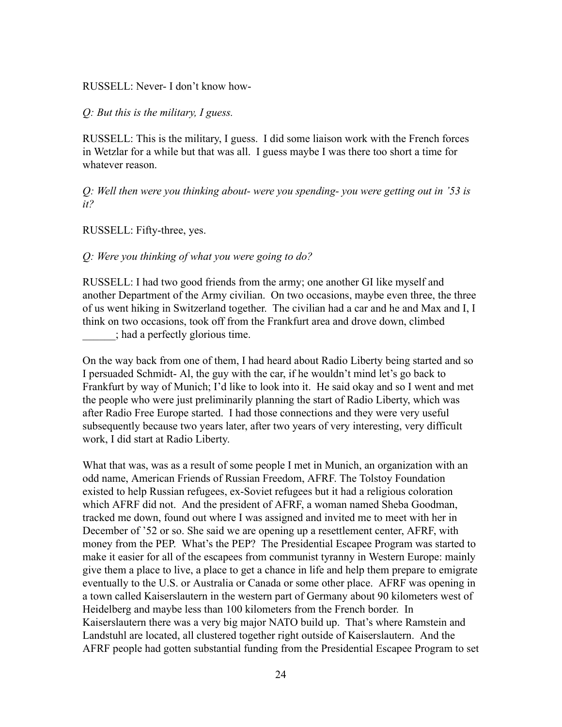RUSSELL: Never- I don't know how-

*Q: But this is the military, I guess.*

RUSSELL: This is the military, I guess. I did some liaison work with the French forces in Wetzlar for a while but that was all. I guess maybe I was there too short a time for whatever reason.

*Q: Well then were you thinking about- were you spending- you were getting out in '53 is it?*

RUSSELL: Fifty-three, yes.

*Q: Were you thinking of what you were going to do?*

RUSSELL: I had two good friends from the army; one another GI like myself and another Department of the Army civilian. On two occasions, maybe even three, the three of us went hiking in Switzerland together. The civilian had a car and he and Max and I, I think on two occasions, took off from the Frankfurt area and drove down, climbed \_\_\_\_\_\_; had a perfectly glorious time.

On the way back from one of them, I had heard about Radio Liberty being started and so I persuaded Schmidt- Al, the guy with the car, if he wouldn't mind let's go back to Frankfurt by way of Munich; I'd like to look into it. He said okay and so I went and met the people who were just preliminarily planning the start of Radio Liberty, which was after Radio Free Europe started. I had those connections and they were very useful subsequently because two years later, after two years of very interesting, very difficult work, I did start at Radio Liberty.

What that was, was as a result of some people I met in Munich, an organization with an odd name, American Friends of Russian Freedom, AFRF. The Tolstoy Foundation existed to help Russian refugees, ex-Soviet refugees but it had a religious coloration which AFRF did not. And the president of AFRF, a woman named Sheba Goodman, tracked me down, found out where I was assigned and invited me to meet with her in December of '52 or so. She said we are opening up a resettlement center, AFRF, with money from the PEP. What's the PEP? The Presidential Escapee Program was started to make it easier for all of the escapees from communist tyranny in Western Europe: mainly give them a place to live, a place to get a chance in life and help them prepare to emigrate eventually to the U.S. or Australia or Canada or some other place. AFRF was opening in a town called Kaiserslautern in the western part of Germany about 90 kilometers west of Heidelberg and maybe less than 100 kilometers from the French border. In Kaiserslautern there was a very big major NATO build up. That's where Ramstein and Landstuhl are located, all clustered together right outside of Kaiserslautern. And the AFRF people had gotten substantial funding from the Presidential Escapee Program to set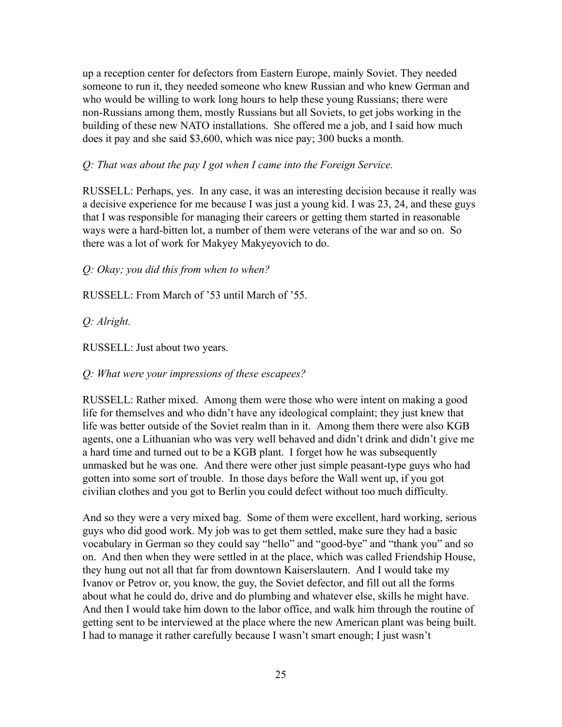up a reception center for defectors from Eastern Europe, mainly Soviet. They needed someone to run it, they needed someone who knew Russian and who knew German and who would be willing to work long hours to help these young Russians; there were non-Russians among them, mostly Russians but all Soviets, to get jobs working in the building of these new NATO installations. She offered me a job, and I said how much does it pay and she said \$3,600, which was nice pay; 300 bucks a month.

#### *Q: That was about the pay I got when I came into the Foreign Service.*

RUSSELL: Perhaps, yes. In any case, it was an interesting decision because it really was a decisive experience for me because I was just a young kid. I was 23, 24, and these guys that I was responsible for managing their careers or getting them started in reasonable ways were a hard-bitten lot, a number of them were veterans of the war and so on. So there was a lot of work for Makyey Makyeyovich to do.

*Q: Okay; you did this from when to when?*

RUSSELL: From March of '53 until March of '55.

### *Q: Alright.*

RUSSELL: Just about two years.

*Q: What were your impressions of these escapees?*

RUSSELL: Rather mixed. Among them were those who were intent on making a good life for themselves and who didn't have any ideological complaint; they just knew that life was better outside of the Soviet realm than in it. Among them there were also KGB agents, one a Lithuanian who was very well behaved and didn't drink and didn't give me a hard time and turned out to be a KGB plant. I forget how he was subsequently unmasked but he was one. And there were other just simple peasant-type guys who had gotten into some sort of trouble. In those days before the Wall went up, if you got civilian clothes and you got to Berlin you could defect without too much difficulty.

And so they were a very mixed bag. Some of them were excellent, hard working, serious guys who did good work. My job was to get them settled, make sure they had a basic vocabulary in German so they could say "hello" and "good-bye" and "thank you" and so on. And then when they were settled in at the place, which was called Friendship House, they hung out not all that far from downtown Kaiserslautern. And I would take my Ivanov or Petrov or, you know, the guy, the Soviet defector, and fill out all the forms about what he could do, drive and do plumbing and whatever else, skills he might have. And then I would take him down to the labor office, and walk him through the routine of getting sent to be interviewed at the place where the new American plant was being built. I had to manage it rather carefully because I wasn't smart enough; I just wasn't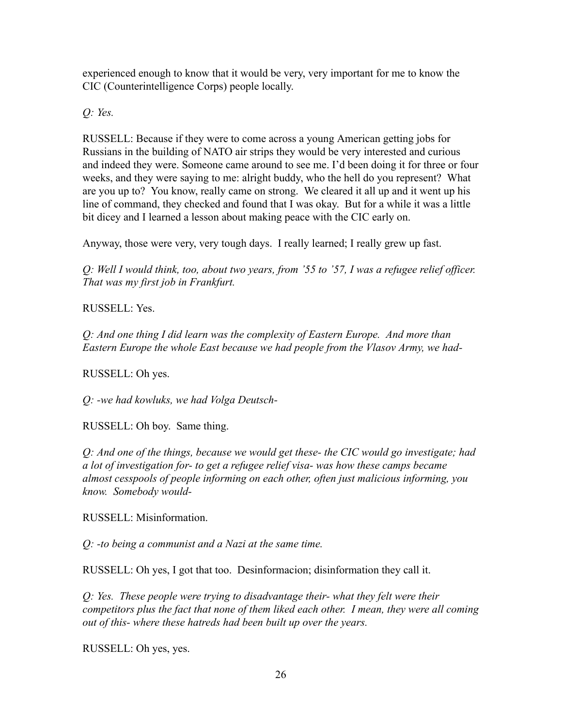experienced enough to know that it would be very, very important for me to know the CIC (Counterintelligence Corps) people locally.

*Q: Yes.*

RUSSELL: Because if they were to come across a young American getting jobs for Russians in the building of NATO air strips they would be very interested and curious and indeed they were. Someone came around to see me. I'd been doing it for three or four weeks, and they were saying to me: alright buddy, who the hell do you represent? What are you up to? You know, really came on strong. We cleared it all up and it went up his line of command, they checked and found that I was okay. But for a while it was a little bit dicey and I learned a lesson about making peace with the CIC early on.

Anyway, those were very, very tough days. I really learned; I really grew up fast.

*Q: Well I would think, too, about two years, from '55 to '57, I was a refugee relief officer. That was my first job in Frankfurt.*

RUSSELL: Yes.

*Q: And one thing I did learn was the complexity of Eastern Europe. And more than Eastern Europe the whole East because we had people from the Vlasov Army, we had-*

RUSSELL: Oh yes.

*Q: -we had kowluks, we had Volga Deutsch-*

RUSSELL: Oh boy. Same thing.

*Q: And one of the things, because we would get these- the CIC would go investigate; had a lot of investigation for- to get a refugee relief visa- was how these camps became almost cesspools of people informing on each other, often just malicious informing, you know. Somebody would-*

RUSSELL: Misinformation.

*Q: -to being a communist and a Nazi at the same time.*

RUSSELL: Oh yes, I got that too. Desinformacion; disinformation they call it.

*Q: Yes. These people were trying to disadvantage their- what they felt were their competitors plus the fact that none of them liked each other. I mean, they were all coming out of this- where these hatreds had been built up over the years.*

RUSSELL: Oh yes, yes.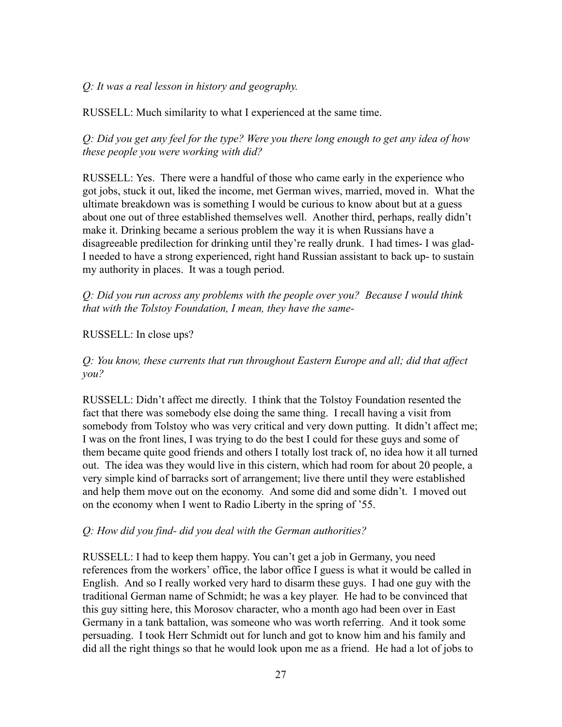### *Q: It was a real lesson in history and geography.*

RUSSELL: Much similarity to what I experienced at the same time.

*Q: Did you get any feel for the type? Were you there long enough to get any idea of how these people you were working with did?*

RUSSELL: Yes. There were a handful of those who came early in the experience who got jobs, stuck it out, liked the income, met German wives, married, moved in. What the ultimate breakdown was is something I would be curious to know about but at a guess about one out of three established themselves well. Another third, perhaps, really didn't make it. Drinking became a serious problem the way it is when Russians have a disagreeable predilection for drinking until they're really drunk. I had times- I was glad-I needed to have a strong experienced, right hand Russian assistant to back up- to sustain my authority in places. It was a tough period.

*Q: Did you run across any problems with the people over you? Because I would think that with the Tolstoy Foundation, I mean, they have the same-*

#### RUSSELL: In close ups?

*Q: You know, these currents that run throughout Eastern Europe and all; did that affect you?*

RUSSELL: Didn't affect me directly. I think that the Tolstoy Foundation resented the fact that there was somebody else doing the same thing. I recall having a visit from somebody from Tolstoy who was very critical and very down putting. It didn't affect me; I was on the front lines, I was trying to do the best I could for these guys and some of them became quite good friends and others I totally lost track of, no idea how it all turned out. The idea was they would live in this cistern, which had room for about 20 people, a very simple kind of barracks sort of arrangement; live there until they were established and help them move out on the economy. And some did and some didn't. I moved out on the economy when I went to Radio Liberty in the spring of '55.

#### *Q: How did you find- did you deal with the German authorities?*

RUSSELL: I had to keep them happy. You can't get a job in Germany, you need references from the workers' office, the labor office I guess is what it would be called in English. And so I really worked very hard to disarm these guys. I had one guy with the traditional German name of Schmidt; he was a key player. He had to be convinced that this guy sitting here, this Morosov character, who a month ago had been over in East Germany in a tank battalion, was someone who was worth referring. And it took some persuading. I took Herr Schmidt out for lunch and got to know him and his family and did all the right things so that he would look upon me as a friend. He had a lot of jobs to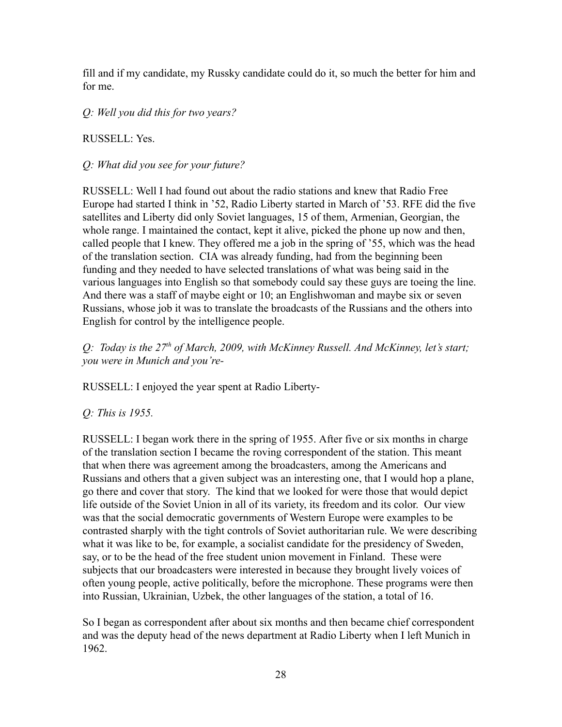fill and if my candidate, my Russky candidate could do it, so much the better for him and for me.

*Q: Well you did this for two years?*

RUSSELL: Yes.

*Q: What did you see for your future?*

RUSSELL: Well I had found out about the radio stations and knew that Radio Free Europe had started I think in '52, Radio Liberty started in March of '53. RFE did the five satellites and Liberty did only Soviet languages, 15 of them, Armenian, Georgian, the whole range. I maintained the contact, kept it alive, picked the phone up now and then, called people that I knew. They offered me a job in the spring of '55, which was the head of the translation section. CIA was already funding, had from the beginning been funding and they needed to have selected translations of what was being said in the various languages into English so that somebody could say these guys are toeing the line. And there was a staff of maybe eight or 10; an Englishwoman and maybe six or seven Russians, whose job it was to translate the broadcasts of the Russians and the others into English for control by the intelligence people.

*Q: Today is the 27th of March, 2009, with McKinney Russell. And McKinney, let's start; you were in Munich and you're-*

RUSSELL: I enjoyed the year spent at Radio Liberty-

*Q: This is 1955.*

RUSSELL: I began work there in the spring of 1955. After five or six months in charge of the translation section I became the roving correspondent of the station. This meant that when there was agreement among the broadcasters, among the Americans and Russians and others that a given subject was an interesting one, that I would hop a plane, go there and cover that story. The kind that we looked for were those that would depict life outside of the Soviet Union in all of its variety, its freedom and its color. Our view was that the social democratic governments of Western Europe were examples to be contrasted sharply with the tight controls of Soviet authoritarian rule. We were describing what it was like to be, for example, a socialist candidate for the presidency of Sweden, say, or to be the head of the free student union movement in Finland. These were subjects that our broadcasters were interested in because they brought lively voices of often young people, active politically, before the microphone. These programs were then into Russian, Ukrainian, Uzbek, the other languages of the station, a total of 16.

So I began as correspondent after about six months and then became chief correspondent and was the deputy head of the news department at Radio Liberty when I left Munich in 1962.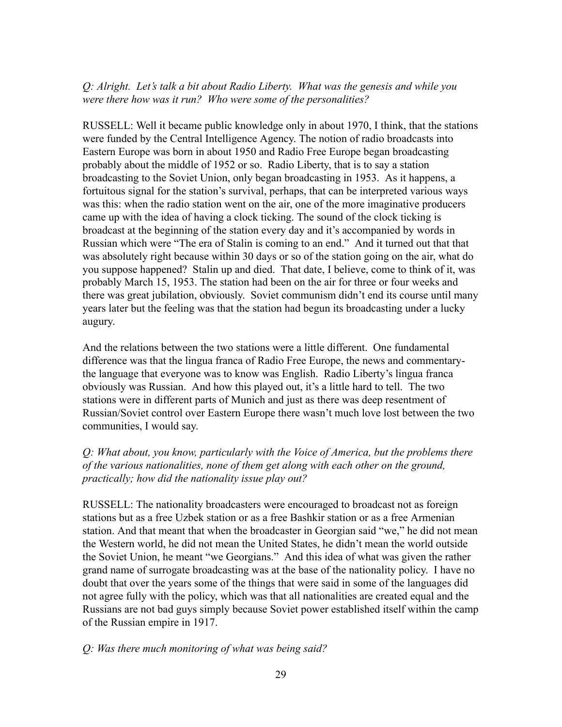### *Q: Alright. Let's talk a bit about Radio Liberty. What was the genesis and while you were there how was it run? Who were some of the personalities?*

RUSSELL: Well it became public knowledge only in about 1970, I think, that the stations were funded by the Central Intelligence Agency. The notion of radio broadcasts into Eastern Europe was born in about 1950 and Radio Free Europe began broadcasting probably about the middle of 1952 or so. Radio Liberty, that is to say a station broadcasting to the Soviet Union, only began broadcasting in 1953. As it happens, a fortuitous signal for the station's survival, perhaps, that can be interpreted various ways was this: when the radio station went on the air, one of the more imaginative producers came up with the idea of having a clock ticking. The sound of the clock ticking is broadcast at the beginning of the station every day and it's accompanied by words in Russian which were "The era of Stalin is coming to an end." And it turned out that that was absolutely right because within 30 days or so of the station going on the air, what do you suppose happened? Stalin up and died. That date, I believe, come to think of it, was probably March 15, 1953. The station had been on the air for three or four weeks and there was great jubilation, obviously. Soviet communism didn't end its course until many years later but the feeling was that the station had begun its broadcasting under a lucky augury.

And the relations between the two stations were a little different. One fundamental difference was that the lingua franca of Radio Free Europe, the news and commentarythe language that everyone was to know was English. Radio Liberty's lingua franca obviously was Russian. And how this played out, it's a little hard to tell. The two stations were in different parts of Munich and just as there was deep resentment of Russian/Soviet control over Eastern Europe there wasn't much love lost between the two communities, I would say.

*Q: What about, you know, particularly with the Voice of America, but the problems there of the various nationalities, none of them get along with each other on the ground, practically; how did the nationality issue play out?*

RUSSELL: The nationality broadcasters were encouraged to broadcast not as foreign stations but as a free Uzbek station or as a free Bashkir station or as a free Armenian station. And that meant that when the broadcaster in Georgian said "we," he did not mean the Western world, he did not mean the United States, he didn't mean the world outside the Soviet Union, he meant "we Georgians." And this idea of what was given the rather grand name of surrogate broadcasting was at the base of the nationality policy. I have no doubt that over the years some of the things that were said in some of the languages did not agree fully with the policy, which was that all nationalities are created equal and the Russians are not bad guys simply because Soviet power established itself within the camp of the Russian empire in 1917.

#### *Q: Was there much monitoring of what was being said?*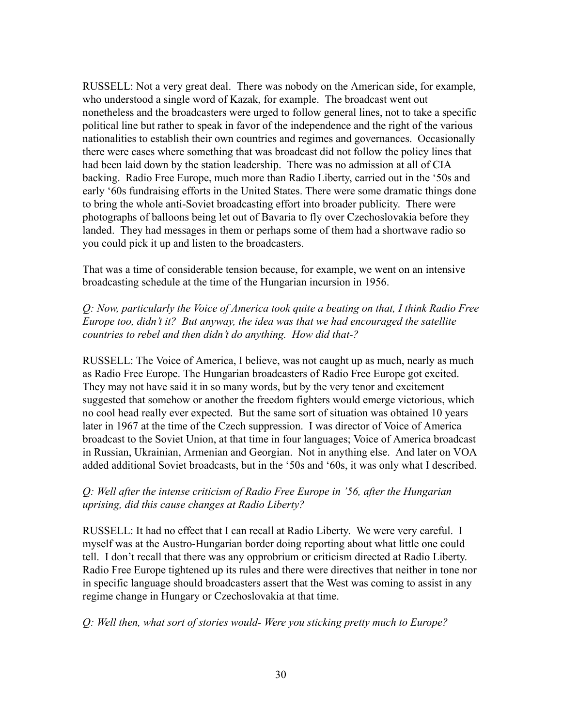RUSSELL: Not a very great deal. There was nobody on the American side, for example, who understood a single word of Kazak, for example. The broadcast went out nonetheless and the broadcasters were urged to follow general lines, not to take a specific political line but rather to speak in favor of the independence and the right of the various nationalities to establish their own countries and regimes and governances. Occasionally there were cases where something that was broadcast did not follow the policy lines that had been laid down by the station leadership. There was no admission at all of CIA backing. Radio Free Europe, much more than Radio Liberty, carried out in the '50s and early '60s fundraising efforts in the United States. There were some dramatic things done to bring the whole anti-Soviet broadcasting effort into broader publicity. There were photographs of balloons being let out of Bavaria to fly over Czechoslovakia before they landed. They had messages in them or perhaps some of them had a shortwave radio so you could pick it up and listen to the broadcasters.

That was a time of considerable tension because, for example, we went on an intensive broadcasting schedule at the time of the Hungarian incursion in 1956.

*Q: Now, particularly the Voice of America took quite a beating on that, I think Radio Free Europe too, didn't it? But anyway, the idea was that we had encouraged the satellite countries to rebel and then didn't do anything. How did that-?*

RUSSELL: The Voice of America, I believe, was not caught up as much, nearly as much as Radio Free Europe. The Hungarian broadcasters of Radio Free Europe got excited. They may not have said it in so many words, but by the very tenor and excitement suggested that somehow or another the freedom fighters would emerge victorious, which no cool head really ever expected. But the same sort of situation was obtained 10 years later in 1967 at the time of the Czech suppression. I was director of Voice of America broadcast to the Soviet Union, at that time in four languages; Voice of America broadcast in Russian, Ukrainian, Armenian and Georgian. Not in anything else. And later on VOA added additional Soviet broadcasts, but in the '50s and '60s, it was only what I described.

### *Q: Well after the intense criticism of Radio Free Europe in '56, after the Hungarian uprising, did this cause changes at Radio Liberty?*

RUSSELL: It had no effect that I can recall at Radio Liberty. We were very careful. I myself was at the Austro-Hungarian border doing reporting about what little one could tell. I don't recall that there was any opprobrium or criticism directed at Radio Liberty. Radio Free Europe tightened up its rules and there were directives that neither in tone nor in specific language should broadcasters assert that the West was coming to assist in any regime change in Hungary or Czechoslovakia at that time.

*Q: Well then, what sort of stories would- Were you sticking pretty much to Europe?*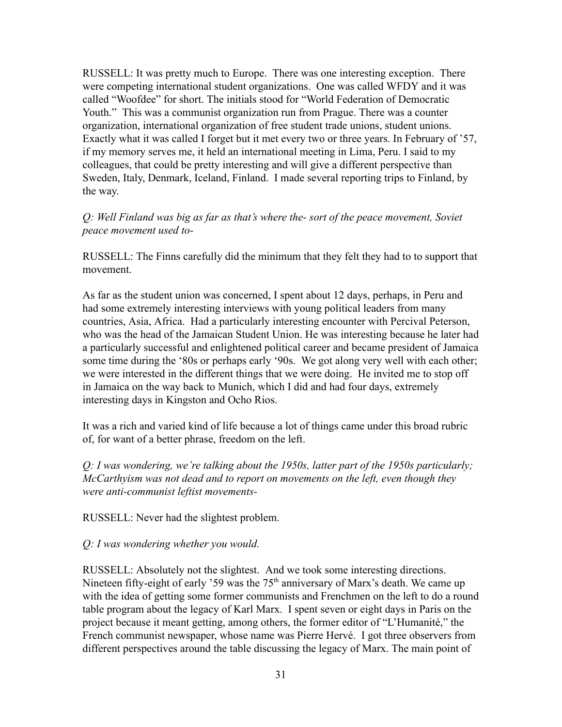RUSSELL: It was pretty much to Europe. There was one interesting exception. There were competing international student organizations. One was called WFDY and it was called "Woofdee" for short. The initials stood for "World Federation of Democratic Youth." This was a communist organization run from Prague. There was a counter organization, international organization of free student trade unions, student unions. Exactly what it was called I forget but it met every two or three years. In February of '57, if my memory serves me, it held an international meeting in Lima, Peru. I said to my colleagues, that could be pretty interesting and will give a different perspective than Sweden, Italy, Denmark, Iceland, Finland. I made several reporting trips to Finland, by the way.

*Q: Well Finland was big as far as that's where the- sort of the peace movement, Soviet peace movement used to-*

RUSSELL: The Finns carefully did the minimum that they felt they had to to support that movement.

As far as the student union was concerned, I spent about 12 days, perhaps, in Peru and had some extremely interesting interviews with young political leaders from many countries, Asia, Africa. Had a particularly interesting encounter with Percival Peterson, who was the head of the Jamaican Student Union. He was interesting because he later had a particularly successful and enlightened political career and became president of Jamaica some time during the '80s or perhaps early '90s. We got along very well with each other; we were interested in the different things that we were doing. He invited me to stop off in Jamaica on the way back to Munich, which I did and had four days, extremely interesting days in Kingston and Ocho Rios.

It was a rich and varied kind of life because a lot of things came under this broad rubric of, for want of a better phrase, freedom on the left.

*Q: I was wondering, we're talking about the 1950s, latter part of the 1950s particularly; McCarthyism was not dead and to report on movements on the left, even though they were anti-communist leftist movements-*

RUSSELL: Never had the slightest problem.

*Q: I was wondering whether you would.*

RUSSELL: Absolutely not the slightest. And we took some interesting directions. Nineteen fifty-eight of early '59 was the  $75<sup>th</sup>$  anniversary of Marx's death. We came up with the idea of getting some former communists and Frenchmen on the left to do a round table program about the legacy of Karl Marx. I spent seven or eight days in Paris on the project because it meant getting, among others, the former editor of "L'Humanité," the French communist newspaper, whose name was Pierre Hervé. I got three observers from different perspectives around the table discussing the legacy of Marx. The main point of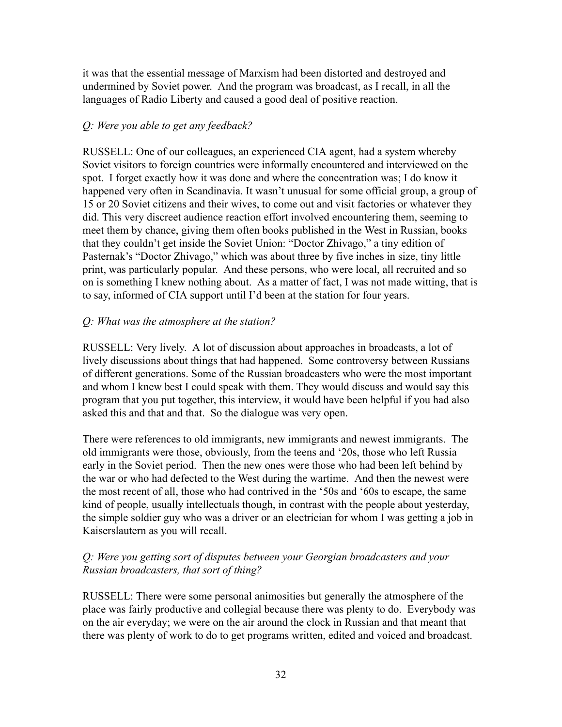it was that the essential message of Marxism had been distorted and destroyed and undermined by Soviet power. And the program was broadcast, as I recall, in all the languages of Radio Liberty and caused a good deal of positive reaction.

### *Q: Were you able to get any feedback?*

RUSSELL: One of our colleagues, an experienced CIA agent, had a system whereby Soviet visitors to foreign countries were informally encountered and interviewed on the spot. I forget exactly how it was done and where the concentration was; I do know it happened very often in Scandinavia. It wasn't unusual for some official group, a group of 15 or 20 Soviet citizens and their wives, to come out and visit factories or whatever they did. This very discreet audience reaction effort involved encountering them, seeming to meet them by chance, giving them often books published in the West in Russian, books that they couldn't get inside the Soviet Union: "Doctor Zhivago," a tiny edition of Pasternak's "Doctor Zhivago," which was about three by five inches in size, tiny little print, was particularly popular. And these persons, who were local, all recruited and so on is something I knew nothing about. As a matter of fact, I was not made witting, that is to say, informed of CIA support until I'd been at the station for four years.

### *Q: What was the atmosphere at the station?*

RUSSELL: Very lively. A lot of discussion about approaches in broadcasts, a lot of lively discussions about things that had happened. Some controversy between Russians of different generations. Some of the Russian broadcasters who were the most important and whom I knew best I could speak with them. They would discuss and would say this program that you put together, this interview, it would have been helpful if you had also asked this and that and that. So the dialogue was very open.

There were references to old immigrants, new immigrants and newest immigrants. The old immigrants were those, obviously, from the teens and '20s, those who left Russia early in the Soviet period. Then the new ones were those who had been left behind by the war or who had defected to the West during the wartime. And then the newest were the most recent of all, those who had contrived in the '50s and '60s to escape, the same kind of people, usually intellectuals though, in contrast with the people about yesterday, the simple soldier guy who was a driver or an electrician for whom I was getting a job in Kaiserslautern as you will recall.

# *Q: Were you getting sort of disputes between your Georgian broadcasters and your Russian broadcasters, that sort of thing?*

RUSSELL: There were some personal animosities but generally the atmosphere of the place was fairly productive and collegial because there was plenty to do. Everybody was on the air everyday; we were on the air around the clock in Russian and that meant that there was plenty of work to do to get programs written, edited and voiced and broadcast.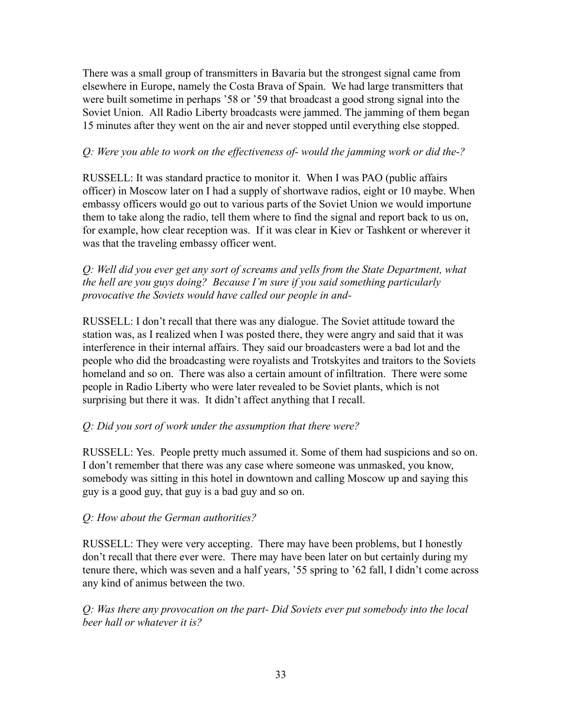There was a small group of transmitters in Bavaria but the strongest signal came from elsewhere in Europe, namely the Costa Brava of Spain. We had large transmitters that were built sometime in perhaps '58 or '59 that broadcast a good strong signal into the Soviet Union. All Radio Liberty broadcasts were jammed. The jamming of them began 15 minutes after they went on the air and never stopped until everything else stopped.

## *Q: Were you able to work on the effectiveness of- would the jamming work or did the-?*

RUSSELL: It was standard practice to monitor it. When I was PAO (public affairs officer) in Moscow later on I had a supply of shortwave radios, eight or 10 maybe. When embassy officers would go out to various parts of the Soviet Union we would importune them to take along the radio, tell them where to find the signal and report back to us on, for example, how clear reception was. If it was clear in Kiev or Tashkent or wherever it was that the traveling embassy officer went.

*Q: Well did you ever get any sort of screams and yells from the State Department, what the hell are you guys doing? Because I'm sure if you said something particularly provocative the Soviets would have called our people in and-*

RUSSELL: I don't recall that there was any dialogue. The Soviet attitude toward the station was, as I realized when I was posted there, they were angry and said that it was interference in their internal affairs. They said our broadcasters were a bad lot and the people who did the broadcasting were royalists and Trotskyites and traitors to the Soviets homeland and so on. There was also a certain amount of infiltration. There were some people in Radio Liberty who were later revealed to be Soviet plants, which is not surprising but there it was. It didn't affect anything that I recall.

### *Q: Did you sort of work under the assumption that there were?*

RUSSELL: Yes. People pretty much assumed it. Some of them had suspicions and so on. I don't remember that there was any case where someone was unmasked, you know, somebody was sitting in this hotel in downtown and calling Moscow up and saying this guy is a good guy, that guy is a bad guy and so on.

### *Q: How about the German authorities?*

RUSSELL: They were very accepting. There may have been problems, but I honestly don't recall that there ever were. There may have been later on but certainly during my tenure there, which was seven and a half years, '55 spring to '62 fall, I didn't come across any kind of animus between the two.

*Q: Was there any provocation on the part- Did Soviets ever put somebody into the local beer hall or whatever it is?*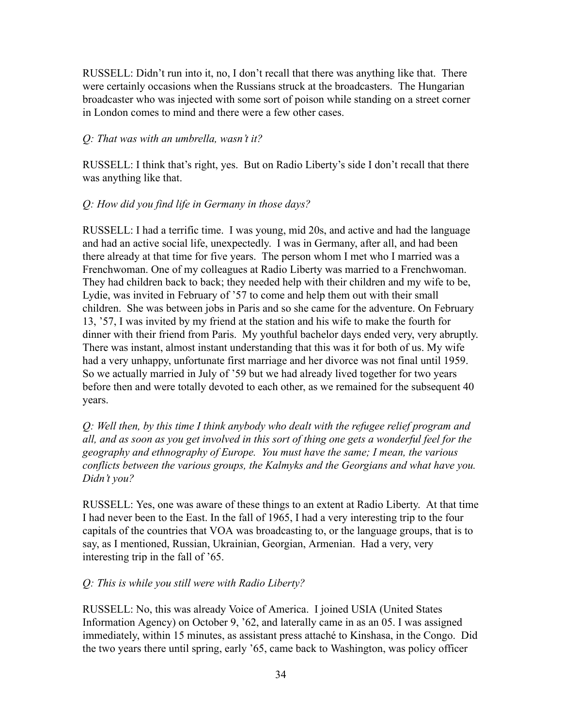RUSSELL: Didn't run into it, no, I don't recall that there was anything like that. There were certainly occasions when the Russians struck at the broadcasters. The Hungarian broadcaster who was injected with some sort of poison while standing on a street corner in London comes to mind and there were a few other cases.

#### *Q: That was with an umbrella, wasn't it?*

RUSSELL: I think that's right, yes. But on Radio Liberty's side I don't recall that there was anything like that.

#### *Q: How did you find life in Germany in those days?*

RUSSELL: I had a terrific time. I was young, mid 20s, and active and had the language and had an active social life, unexpectedly. I was in Germany, after all, and had been there already at that time for five years. The person whom I met who I married was a Frenchwoman. One of my colleagues at Radio Liberty was married to a Frenchwoman. They had children back to back; they needed help with their children and my wife to be, Lydie, was invited in February of '57 to come and help them out with their small children. She was between jobs in Paris and so she came for the adventure. On February 13, '57, I was invited by my friend at the station and his wife to make the fourth for dinner with their friend from Paris. My youthful bachelor days ended very, very abruptly. There was instant, almost instant understanding that this was it for both of us. My wife had a very unhappy, unfortunate first marriage and her divorce was not final until 1959. So we actually married in July of '59 but we had already lived together for two years before then and were totally devoted to each other, as we remained for the subsequent 40 years.

*Q: Well then, by this time I think anybody who dealt with the refugee relief program and all, and as soon as you get involved in this sort of thing one gets a wonderful feel for the geography and ethnography of Europe. You must have the same; I mean, the various conflicts between the various groups, the Kalmyks and the Georgians and what have you. Didn't you?*

RUSSELL: Yes, one was aware of these things to an extent at Radio Liberty. At that time I had never been to the East. In the fall of 1965, I had a very interesting trip to the four capitals of the countries that VOA was broadcasting to, or the language groups, that is to say, as I mentioned, Russian, Ukrainian, Georgian, Armenian. Had a very, very interesting trip in the fall of '65.

#### *Q: This is while you still were with Radio Liberty?*

RUSSELL: No, this was already Voice of America. I joined USIA (United States Information Agency) on October 9, '62, and laterally came in as an 05. I was assigned immediately, within 15 minutes, as assistant press attaché to Kinshasa, in the Congo. Did the two years there until spring, early '65, came back to Washington, was policy officer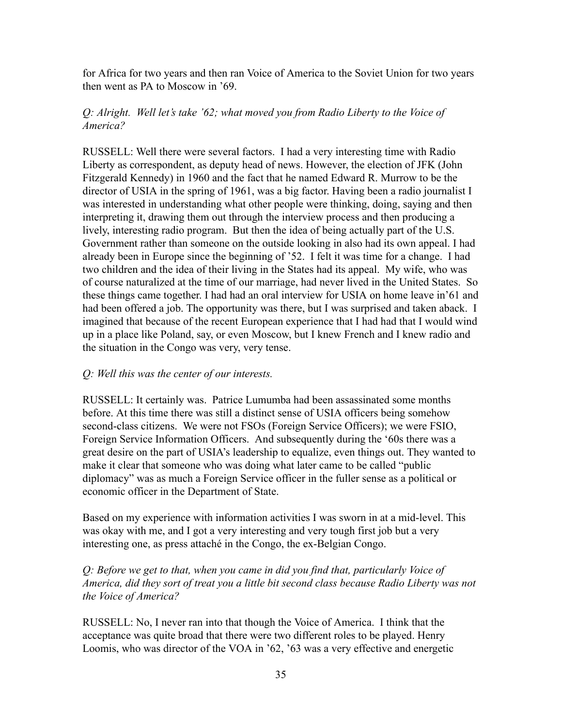for Africa for two years and then ran Voice of America to the Soviet Union for two years then went as PA to Moscow in '69.

### *Q: Alright. Well let's take '62; what moved you from Radio Liberty to the Voice of America?*

RUSSELL: Well there were several factors. I had a very interesting time with Radio Liberty as correspondent, as deputy head of news. However, the election of JFK (John Fitzgerald Kennedy) in 1960 and the fact that he named Edward R. Murrow to be the director of USIA in the spring of 1961, was a big factor. Having been a radio journalist I was interested in understanding what other people were thinking, doing, saying and then interpreting it, drawing them out through the interview process and then producing a lively, interesting radio program. But then the idea of being actually part of the U.S. Government rather than someone on the outside looking in also had its own appeal. I had already been in Europe since the beginning of '52. I felt it was time for a change. I had two children and the idea of their living in the States had its appeal. My wife, who was of course naturalized at the time of our marriage, had never lived in the United States. So these things came together. I had had an oral interview for USIA on home leave in'61 and had been offered a job. The opportunity was there, but I was surprised and taken aback. I imagined that because of the recent European experience that I had had that I would wind up in a place like Poland, say, or even Moscow, but I knew French and I knew radio and the situation in the Congo was very, very tense.

### *Q: Well this was the center of our interests.*

RUSSELL: It certainly was. Patrice Lumumba had been assassinated some months before. At this time there was still a distinct sense of USIA officers being somehow second-class citizens. We were not FSOs (Foreign Service Officers); we were FSIO, Foreign Service Information Officers. And subsequently during the '60s there was a great desire on the part of USIA's leadership to equalize, even things out. They wanted to make it clear that someone who was doing what later came to be called "public diplomacy" was as much a Foreign Service officer in the fuller sense as a political or economic officer in the Department of State.

Based on my experience with information activities I was sworn in at a mid-level. This was okay with me, and I got a very interesting and very tough first job but a very interesting one, as press attaché in the Congo, the ex-Belgian Congo.

### *Q: Before we get to that, when you came in did you find that, particularly Voice of America, did they sort of treat you a little bit second class because Radio Liberty was not the Voice of America?*

RUSSELL: No, I never ran into that though the Voice of America. I think that the acceptance was quite broad that there were two different roles to be played. Henry Loomis, who was director of the VOA in '62, '63 was a very effective and energetic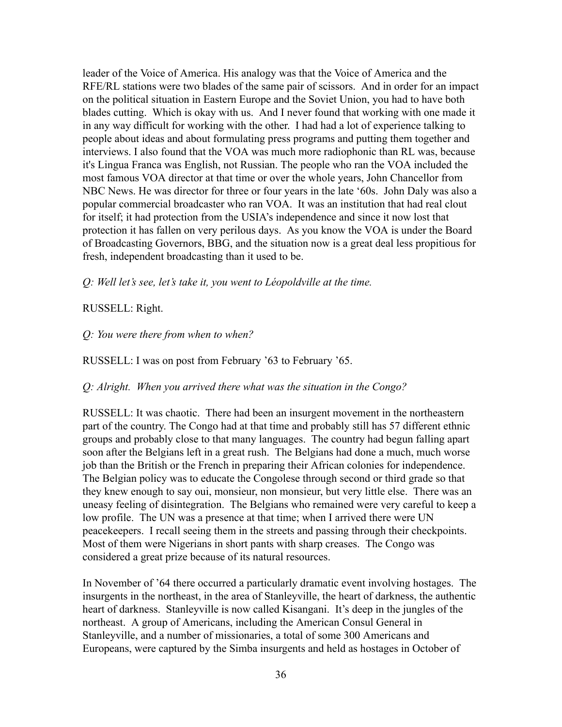leader of the Voice of America. His analogy was that the Voice of America and the RFE/RL stations were two blades of the same pair of scissors. And in order for an impact on the political situation in Eastern Europe and the Soviet Union, you had to have both blades cutting. Which is okay with us. And I never found that working with one made it in any way difficult for working with the other. I had had a lot of experience talking to people about ideas and about formulating press programs and putting them together and interviews. I also found that the VOA was much more radiophonic than RL was, because it's Lingua Franca was English, not Russian. The people who ran the VOA included the most famous VOA director at that time or over the whole years, John Chancellor from NBC News. He was director for three or four years in the late '60s. John Daly was also a popular commercial broadcaster who ran VOA. It was an institution that had real clout for itself; it had protection from the USIA's independence and since it now lost that protection it has fallen on very perilous days. As you know the VOA is under the Board of Broadcasting Governors, BBG, and the situation now is a great deal less propitious for fresh, independent broadcasting than it used to be.

*Q: Well let's see, let's take it, you went to Léopoldville at the time.*

#### RUSSELL: Right.

#### *Q: You were there from when to when?*

RUSSELL: I was on post from February '63 to February '65.

#### *Q: Alright. When you arrived there what was the situation in the Congo?*

RUSSELL: It was chaotic. There had been an insurgent movement in the northeastern part of the country. The Congo had at that time and probably still has 57 different ethnic groups and probably close to that many languages. The country had begun falling apart soon after the Belgians left in a great rush. The Belgians had done a much, much worse job than the British or the French in preparing their African colonies for independence. The Belgian policy was to educate the Congolese through second or third grade so that they knew enough to say oui, monsieur, non monsieur, but very little else. There was an uneasy feeling of disintegration. The Belgians who remained were very careful to keep a low profile. The UN was a presence at that time; when I arrived there were UN peacekeepers. I recall seeing them in the streets and passing through their checkpoints. Most of them were Nigerians in short pants with sharp creases. The Congo was considered a great prize because of its natural resources.

In November of '64 there occurred a particularly dramatic event involving hostages. The insurgents in the northeast, in the area of Stanleyville, the heart of darkness, the authentic heart of darkness. Stanleyville is now called Kisangani. It's deep in the jungles of the northeast. A group of Americans, including the American Consul General in Stanleyville, and a number of missionaries, a total of some 300 Americans and Europeans, were captured by the Simba insurgents and held as hostages in October of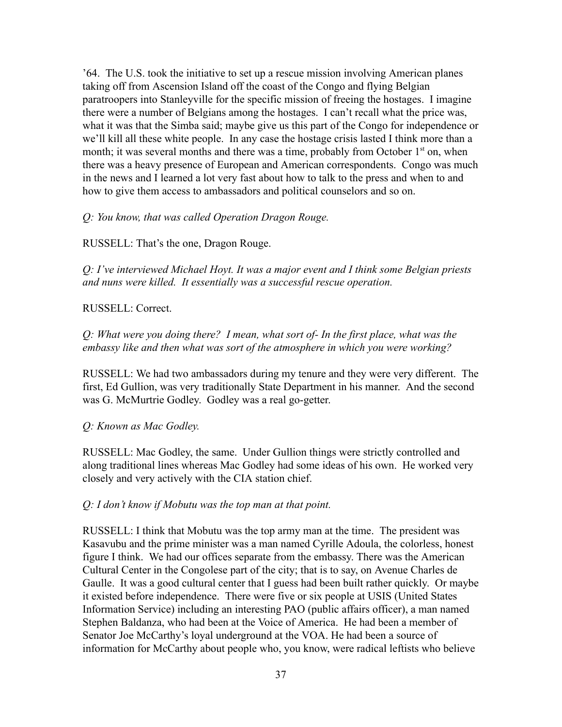'64. The U.S. took the initiative to set up a rescue mission involving American planes taking off from Ascension Island off the coast of the Congo and flying Belgian paratroopers into Stanleyville for the specific mission of freeing the hostages. I imagine there were a number of Belgians among the hostages. I can't recall what the price was, what it was that the Simba said; maybe give us this part of the Congo for independence or we'll kill all these white people. In any case the hostage crisis lasted I think more than a month; it was several months and there was a time, probably from October  $1<sup>st</sup>$  on, when there was a heavy presence of European and American correspondents. Congo was much in the news and I learned a lot very fast about how to talk to the press and when to and how to give them access to ambassadors and political counselors and so on.

#### *Q: You know, that was called Operation Dragon Rouge.*

RUSSELL: That's the one, Dragon Rouge.

*Q: I've interviewed Michael Hoyt. It was a major event and I think some Belgian priests and nuns were killed. It essentially was a successful rescue operation.*

#### RUSSELL: Correct.

*Q: What were you doing there? I mean, what sort of- In the first place, what was the embassy like and then what was sort of the atmosphere in which you were working?*

RUSSELL: We had two ambassadors during my tenure and they were very different. The first, Ed Gullion, was very traditionally State Department in his manner. And the second was G. McMurtrie Godley. Godley was a real go-getter.

#### *Q: Known as Mac Godley.*

RUSSELL: Mac Godley, the same. Under Gullion things were strictly controlled and along traditional lines whereas Mac Godley had some ideas of his own. He worked very closely and very actively with the CIA station chief.

#### *Q: I don't know if Mobutu was the top man at that point.*

RUSSELL: I think that Mobutu was the top army man at the time. The president was Kasavubu and the prime minister was a man named Cyrille Adoula, the colorless, honest figure I think. We had our offices separate from the embassy. There was the American Cultural Center in the Congolese part of the city; that is to say, on Avenue Charles de Gaulle. It was a good cultural center that I guess had been built rather quickly. Or maybe it existed before independence. There were five or six people at USIS (United States Information Service) including an interesting PAO (public affairs officer), a man named Stephen Baldanza, who had been at the Voice of America. He had been a member of Senator Joe McCarthy's loyal underground at the VOA. He had been a source of information for McCarthy about people who, you know, were radical leftists who believe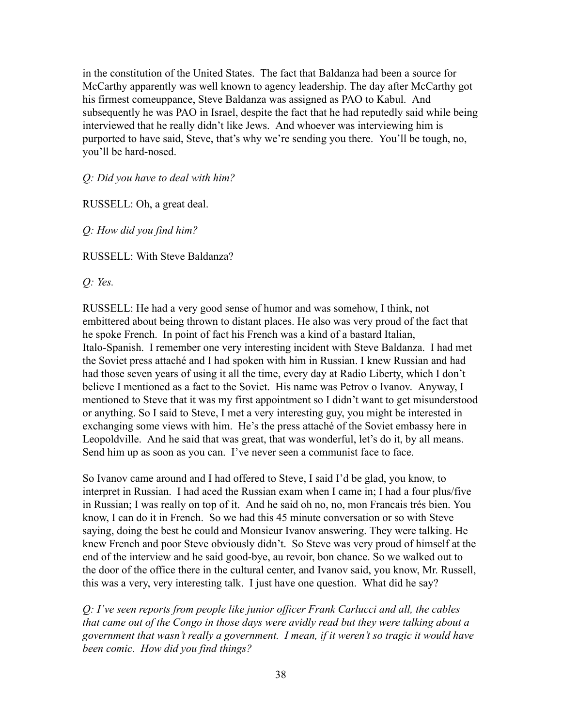in the constitution of the United States. The fact that Baldanza had been a source for McCarthy apparently was well known to agency leadership. The day after McCarthy got his firmest comeuppance, Steve Baldanza was assigned as PAO to Kabul. And subsequently he was PAO in Israel, despite the fact that he had reputedly said while being interviewed that he really didn't like Jews. And whoever was interviewing him is purported to have said, Steve, that's why we're sending you there. You'll be tough, no, you'll be hard-nosed.

*Q: Did you have to deal with him?*

RUSSELL: Oh, a great deal.

*Q: How did you find him?*

RUSSELL: With Steve Baldanza?

*Q: Yes.*

RUSSELL: He had a very good sense of humor and was somehow, I think, not embittered about being thrown to distant places. He also was very proud of the fact that he spoke French. In point of fact his French was a kind of a bastard Italian, Italo-Spanish. I remember one very interesting incident with Steve Baldanza. I had met the Soviet press attaché and I had spoken with him in Russian. I knew Russian and had had those seven years of using it all the time, every day at Radio Liberty, which I don't believe I mentioned as a fact to the Soviet. His name was Petrov o Ivanov. Anyway, I mentioned to Steve that it was my first appointment so I didn't want to get misunderstood or anything. So I said to Steve, I met a very interesting guy, you might be interested in exchanging some views with him. He's the press attaché of the Soviet embassy here in Leopoldville. And he said that was great, that was wonderful, let's do it, by all means. Send him up as soon as you can. I've never seen a communist face to face.

So Ivanov came around and I had offered to Steve, I said I'd be glad, you know, to interpret in Russian. I had aced the Russian exam when I came in; I had a four plus/five in Russian; I was really on top of it. And he said oh no, no, mon Francais trés bien. You know, I can do it in French. So we had this 45 minute conversation or so with Steve saying, doing the best he could and Monsieur Ivanov answering. They were talking. He knew French and poor Steve obviously didn't. So Steve was very proud of himself at the end of the interview and he said good-bye, au revoir, bon chance. So we walked out to the door of the office there in the cultural center, and Ivanov said, you know, Mr. Russell, this was a very, very interesting talk. I just have one question. What did he say?

*Q: I've seen reports from people like junior officer Frank Carlucci and all, the cables that came out of the Congo in those days were avidly read but they were talking about a government that wasn't really a government. I mean, if it weren't so tragic it would have been comic. How did you find things?*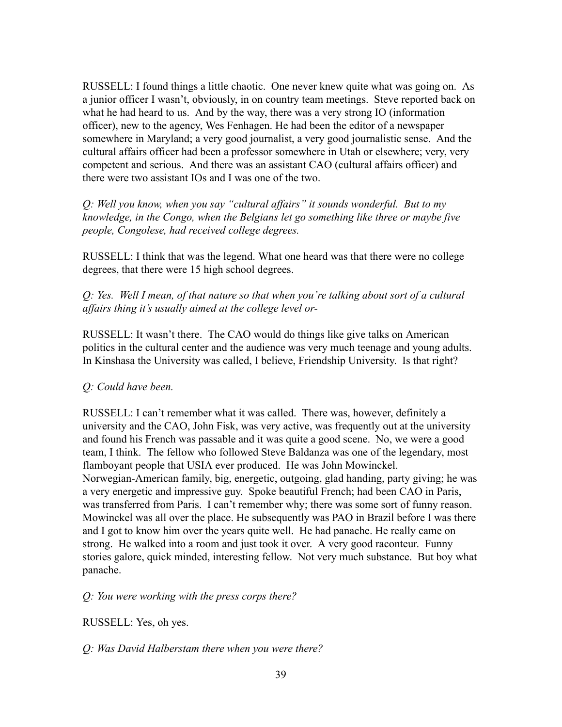RUSSELL: I found things a little chaotic. One never knew quite what was going on. As a junior officer I wasn't, obviously, in on country team meetings. Steve reported back on what he had heard to us. And by the way, there was a very strong IO (information officer), new to the agency, Wes Fenhagen. He had been the editor of a newspaper somewhere in Maryland; a very good journalist, a very good journalistic sense. And the cultural affairs officer had been a professor somewhere in Utah or elsewhere; very, very competent and serious. And there was an assistant CAO (cultural affairs officer) and there were two assistant IOs and I was one of the two.

*Q: Well you know, when you say "cultural affairs" it sounds wonderful. But to my knowledge, in the Congo, when the Belgians let go something like three or maybe five people, Congolese, had received college degrees.*

RUSSELL: I think that was the legend. What one heard was that there were no college degrees, that there were 15 high school degrees.

*Q: Yes. Well I mean, of that nature so that when you're talking about sort of a cultural affairs thing it's usually aimed at the college level or-*

RUSSELL: It wasn't there. The CAO would do things like give talks on American politics in the cultural center and the audience was very much teenage and young adults. In Kinshasa the University was called, I believe, Friendship University. Is that right?

### *Q: Could have been.*

RUSSELL: I can't remember what it was called. There was, however, definitely a university and the CAO, John Fisk, was very active, was frequently out at the university and found his French was passable and it was quite a good scene. No, we were a good team, I think. The fellow who followed Steve Baldanza was one of the legendary, most flamboyant people that USIA ever produced. He was John Mowinckel. Norwegian-American family, big, energetic, outgoing, glad handing, party giving; he was a very energetic and impressive guy. Spoke beautiful French; had been CAO in Paris, was transferred from Paris. I can't remember why; there was some sort of funny reason. Mowinckel was all over the place. He subsequently was PAO in Brazil before I was there and I got to know him over the years quite well. He had panache. He really came on strong. He walked into a room and just took it over. A very good raconteur. Funny stories galore, quick minded, interesting fellow. Not very much substance. But boy what panache.

*Q: You were working with the press corps there?*

RUSSELL: Yes, oh yes.

*Q: Was David Halberstam there when you were there?*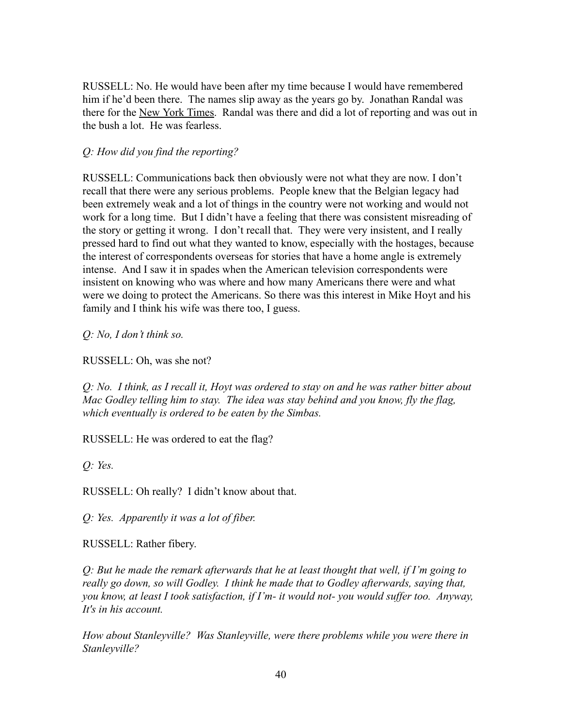RUSSELL: No. He would have been after my time because I would have remembered him if he'd been there. The names slip away as the years go by. Jonathan Randal was there for the New York Times. Randal was there and did a lot of reporting and was out in the bush a lot. He was fearless.

# *Q: How did you find the reporting?*

RUSSELL: Communications back then obviously were not what they are now. I don't recall that there were any serious problems. People knew that the Belgian legacy had been extremely weak and a lot of things in the country were not working and would not work for a long time. But I didn't have a feeling that there was consistent misreading of the story or getting it wrong. I don't recall that. They were very insistent, and I really pressed hard to find out what they wanted to know, especially with the hostages, because the interest of correspondents overseas for stories that have a home angle is extremely intense. And I saw it in spades when the American television correspondents were insistent on knowing who was where and how many Americans there were and what were we doing to protect the Americans. So there was this interest in Mike Hoyt and his family and I think his wife was there too, I guess.

*Q: No, I don't think so.*

RUSSELL: Oh, was she not?

*Q: No. I think, as I recall it, Hoyt was ordered to stay on and he was rather bitter about Mac Godley telling him to stay. The idea was stay behind and you know, fly the flag, which eventually is ordered to be eaten by the Simbas.*

RUSSELL: He was ordered to eat the flag?

*Q: Yes.*

RUSSELL: Oh really? I didn't know about that.

*Q: Yes. Apparently it was a lot of fiber.*

RUSSELL: Rather fibery.

*Q: But he made the remark afterwards that he at least thought that well, if I'm going to really go down, so will Godley. I think he made that to Godley afterwards, saying that, you know, at least I took satisfaction, if I'm- it would not- you would suffer too. Anyway, It's in his account.*

*How about Stanleyville? Was Stanleyville, were there problems while you were there in Stanleyville?*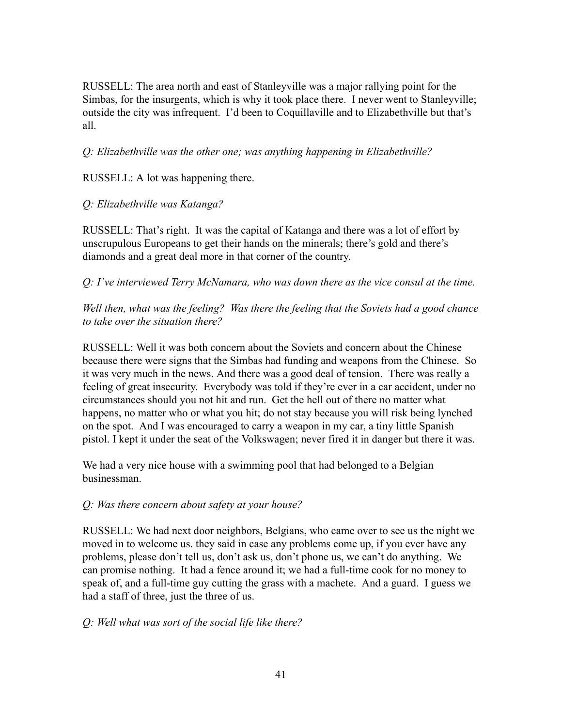RUSSELL: The area north and east of Stanleyville was a major rallying point for the Simbas, for the insurgents, which is why it took place there. I never went to Stanleyville; outside the city was infrequent. I'd been to Coquillaville and to Elizabethville but that's all.

*Q: Elizabethville was the other one; was anything happening in Elizabethville?*

RUSSELL: A lot was happening there.

## *Q: Elizabethville was Katanga?*

RUSSELL: That's right. It was the capital of Katanga and there was a lot of effort by unscrupulous Europeans to get their hands on the minerals; there's gold and there's diamonds and a great deal more in that corner of the country.

*Q: I've interviewed Terry McNamara, who was down there as the vice consul at the time.*

*Well then, what was the feeling? Was there the feeling that the Soviets had a good chance to take over the situation there?*

RUSSELL: Well it was both concern about the Soviets and concern about the Chinese because there were signs that the Simbas had funding and weapons from the Chinese. So it was very much in the news. And there was a good deal of tension. There was really a feeling of great insecurity. Everybody was told if they're ever in a car accident, under no circumstances should you not hit and run. Get the hell out of there no matter what happens, no matter who or what you hit; do not stay because you will risk being lynched on the spot. And I was encouraged to carry a weapon in my car, a tiny little Spanish pistol. I kept it under the seat of the Volkswagen; never fired it in danger but there it was.

We had a very nice house with a swimming pool that had belonged to a Belgian businessman.

# *Q: Was there concern about safety at your house?*

RUSSELL: We had next door neighbors, Belgians, who came over to see us the night we moved in to welcome us. they said in case any problems come up, if you ever have any problems, please don't tell us, don't ask us, don't phone us, we can't do anything. We can promise nothing. It had a fence around it; we had a full-time cook for no money to speak of, and a full-time guy cutting the grass with a machete. And a guard. I guess we had a staff of three, just the three of us.

# *Q: Well what was sort of the social life like there?*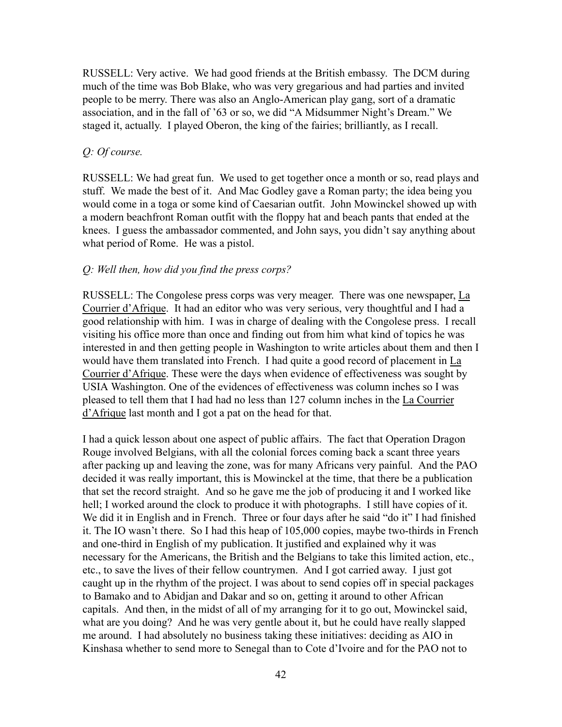RUSSELL: Very active. We had good friends at the British embassy. The DCM during much of the time was Bob Blake, who was very gregarious and had parties and invited people to be merry. There was also an Anglo-American play gang, sort of a dramatic association, and in the fall of '63 or so, we did "A Midsummer Night's Dream." We staged it, actually. I played Oberon, the king of the fairies; brilliantly, as I recall.

#### *Q: Of course.*

RUSSELL: We had great fun. We used to get together once a month or so, read plays and stuff. We made the best of it. And Mac Godley gave a Roman party; the idea being you would come in a toga or some kind of Caesarian outfit. John Mowinckel showed up with a modern beachfront Roman outfit with the floppy hat and beach pants that ended at the knees. I guess the ambassador commented, and John says, you didn't say anything about what period of Rome. He was a pistol.

#### *Q: Well then, how did you find the press corps?*

RUSSELL: The Congolese press corps was very meager. There was one newspaper, La Courrier d'Afrique. It had an editor who was very serious, very thoughtful and I had a good relationship with him. I was in charge of dealing with the Congolese press. I recall visiting his office more than once and finding out from him what kind of topics he was interested in and then getting people in Washington to write articles about them and then I would have them translated into French. I had quite a good record of placement in La Courrier d'Afrique. These were the days when evidence of effectiveness was sought by USIA Washington. One of the evidences of effectiveness was column inches so I was pleased to tell them that I had had no less than 127 column inches in the La Courrier d'Afrique last month and I got a pat on the head for that.

I had a quick lesson about one aspect of public affairs. The fact that Operation Dragon Rouge involved Belgians, with all the colonial forces coming back a scant three years after packing up and leaving the zone, was for many Africans very painful. And the PAO decided it was really important, this is Mowinckel at the time, that there be a publication that set the record straight. And so he gave me the job of producing it and I worked like hell; I worked around the clock to produce it with photographs. I still have copies of it. We did it in English and in French. Three or four days after he said "do it" I had finished it. The IO wasn't there. So I had this heap of 105,000 copies, maybe two-thirds in French and one-third in English of my publication. It justified and explained why it was necessary for the Americans, the British and the Belgians to take this limited action, etc., etc., to save the lives of their fellow countrymen. And I got carried away. I just got caught up in the rhythm of the project. I was about to send copies off in special packages to Bamako and to Abidjan and Dakar and so on, getting it around to other African capitals. And then, in the midst of all of my arranging for it to go out, Mowinckel said, what are you doing? And he was very gentle about it, but he could have really slapped me around. I had absolutely no business taking these initiatives: deciding as AIO in Kinshasa whether to send more to Senegal than to Cote d'Ivoire and for the PAO not to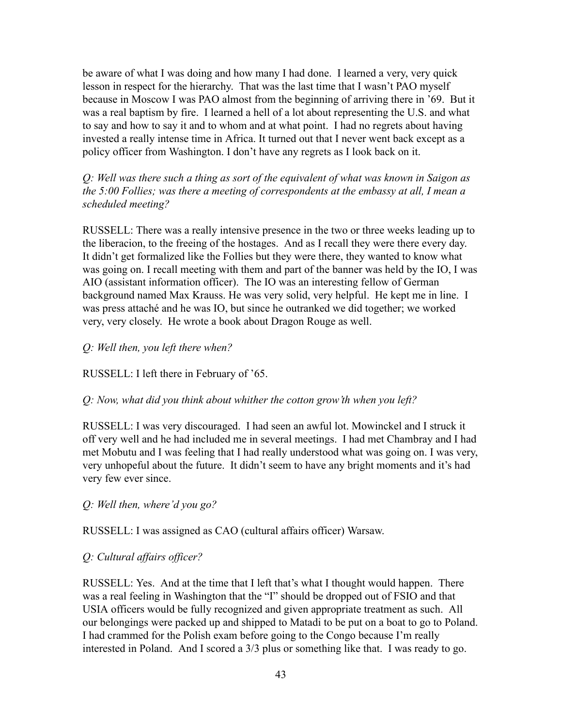be aware of what I was doing and how many I had done. I learned a very, very quick lesson in respect for the hierarchy. That was the last time that I wasn't PAO myself because in Moscow I was PAO almost from the beginning of arriving there in '69. But it was a real baptism by fire. I learned a hell of a lot about representing the U.S. and what to say and how to say it and to whom and at what point. I had no regrets about having invested a really intense time in Africa. It turned out that I never went back except as a policy officer from Washington. I don't have any regrets as I look back on it.

*Q: Well was there such a thing as sort of the equivalent of what was known in Saigon as the 5:00 Follies; was there a meeting of correspondents at the embassy at all, I mean a scheduled meeting?*

RUSSELL: There was a really intensive presence in the two or three weeks leading up to the liberacion, to the freeing of the hostages. And as I recall they were there every day. It didn't get formalized like the Follies but they were there, they wanted to know what was going on. I recall meeting with them and part of the banner was held by the IO, I was AIO (assistant information officer). The IO was an interesting fellow of German background named Max Krauss. He was very solid, very helpful. He kept me in line. I was press attaché and he was IO, but since he outranked we did together; we worked very, very closely. He wrote a book about Dragon Rouge as well.

## *Q: Well then, you left there when?*

RUSSELL: I left there in February of '65.

### *Q: Now, what did you think about whither the cotton grow'th when you left?*

RUSSELL: I was very discouraged. I had seen an awful lot. Mowinckel and I struck it off very well and he had included me in several meetings. I had met Chambray and I had met Mobutu and I was feeling that I had really understood what was going on. I was very, very unhopeful about the future. It didn't seem to have any bright moments and it's had very few ever since.

### *Q: Well then, where'd you go?*

RUSSELL: I was assigned as CAO (cultural affairs officer) Warsaw.

# *Q: Cultural affairs officer?*

RUSSELL: Yes. And at the time that I left that's what I thought would happen. There was a real feeling in Washington that the "I" should be dropped out of FSIO and that USIA officers would be fully recognized and given appropriate treatment as such. All our belongings were packed up and shipped to Matadi to be put on a boat to go to Poland. I had crammed for the Polish exam before going to the Congo because I'm really interested in Poland. And I scored a 3/3 plus or something like that. I was ready to go.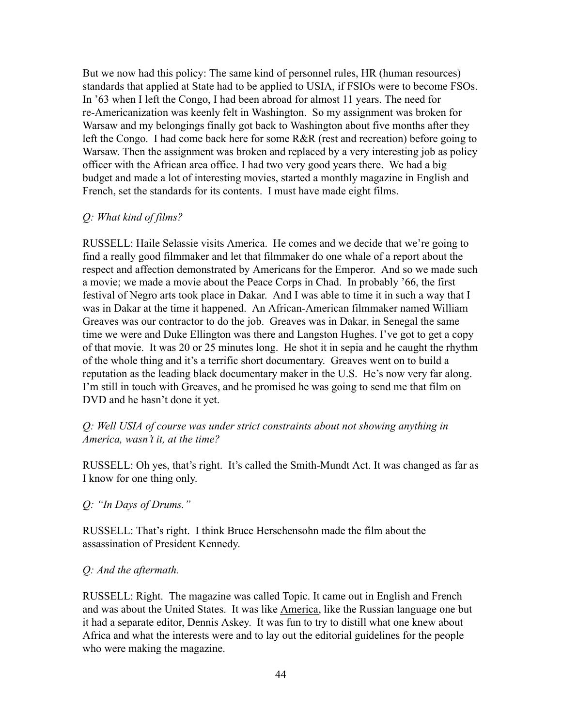But we now had this policy: The same kind of personnel rules, HR (human resources) standards that applied at State had to be applied to USIA, if FSIOs were to become FSOs. In '63 when I left the Congo, I had been abroad for almost 11 years. The need for re-Americanization was keenly felt in Washington. So my assignment was broken for Warsaw and my belongings finally got back to Washington about five months after they left the Congo. I had come back here for some R&R (rest and recreation) before going to Warsaw. Then the assignment was broken and replaced by a very interesting job as policy officer with the African area office. I had two very good years there. We had a big budget and made a lot of interesting movies, started a monthly magazine in English and French, set the standards for its contents. I must have made eight films.

#### *Q: What kind of films?*

RUSSELL: Haile Selassie visits America. He comes and we decide that we're going to find a really good filmmaker and let that filmmaker do one whale of a report about the respect and affection demonstrated by Americans for the Emperor. And so we made such a movie; we made a movie about the Peace Corps in Chad. In probably '66, the first festival of Negro arts took place in Dakar. And I was able to time it in such a way that I was in Dakar at the time it happened. An African-American filmmaker named William Greaves was our contractor to do the job. Greaves was in Dakar, in Senegal the same time we were and Duke Ellington was there and Langston Hughes. I've got to get a copy of that movie. It was 20 or 25 minutes long. He shot it in sepia and he caught the rhythm of the whole thing and it's a terrific short documentary. Greaves went on to build a reputation as the leading black documentary maker in the U.S. He's now very far along. I'm still in touch with Greaves, and he promised he was going to send me that film on DVD and he hasn't done it yet.

## *Q: Well USIA of course was under strict constraints about not showing anything in America, wasn't it, at the time?*

RUSSELL: Oh yes, that's right. It's called the Smith-Mundt Act. It was changed as far as I know for one thing only.

### *Q: "In Days of Drums."*

RUSSELL: That's right. I think Bruce Herschensohn made the film about the assassination of President Kennedy.

### *Q: And the aftermath.*

RUSSELL: Right. The magazine was called Topic. It came out in English and French and was about the United States. It was like America, like the Russian language one but it had a separate editor, Dennis Askey. It was fun to try to distill what one knew about Africa and what the interests were and to lay out the editorial guidelines for the people who were making the magazine.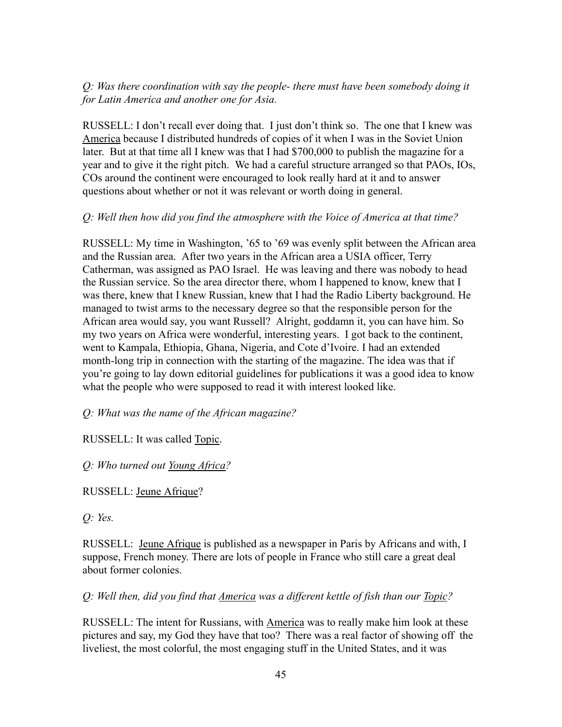# *Q: Was there coordination with say the people- there must have been somebody doing it for Latin America and another one for Asia.*

RUSSELL: I don't recall ever doing that. I just don't think so. The one that I knew was America because I distributed hundreds of copies of it when I was in the Soviet Union later. But at that time all I knew was that I had \$700,000 to publish the magazine for a year and to give it the right pitch. We had a careful structure arranged so that PAOs, IOs, COs around the continent were encouraged to look really hard at it and to answer questions about whether or not it was relevant or worth doing in general.

## *Q: Well then how did you find the atmosphere with the Voice of America at that time?*

RUSSELL: My time in Washington, '65 to '69 was evenly split between the African area and the Russian area. After two years in the African area a USIA officer, Terry Catherman, was assigned as PAO Israel. He was leaving and there was nobody to head the Russian service. So the area director there, whom I happened to know, knew that I was there, knew that I knew Russian, knew that I had the Radio Liberty background. He managed to twist arms to the necessary degree so that the responsible person for the African area would say, you want Russell? Alright, goddamn it, you can have him. So my two years on Africa were wonderful, interesting years. I got back to the continent, went to Kampala, Ethiopia, Ghana, Nigeria, and Cote d'Ivoire. I had an extended month-long trip in connection with the starting of the magazine. The idea was that if you're going to lay down editorial guidelines for publications it was a good idea to know what the people who were supposed to read it with interest looked like.

*Q: What was the name of the African magazine?*

RUSSELL: It was called Topic.

*Q: Who turned out Young Africa?*

RUSSELL: Jeune Afrique?

*Q: Yes.*

RUSSELL: Jeune Afrique is published as a newspaper in Paris by Africans and with, I suppose, French money. There are lots of people in France who still care a great deal about former colonies.

*Q: Well then, did you find that America was a different kettle of fish than our Topic?*

RUSSELL: The intent for Russians, with America was to really make him look at these pictures and say, my God they have that too? There was a real factor of showing off the liveliest, the most colorful, the most engaging stuff in the United States, and it was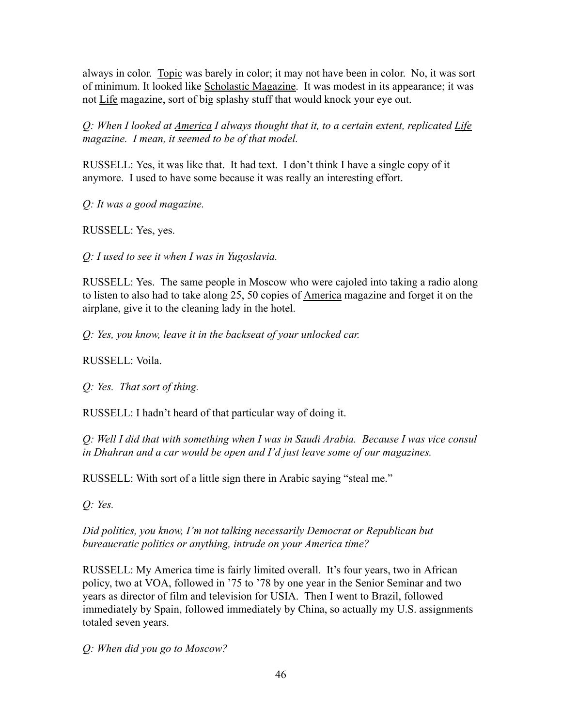always in color. Topic was barely in color; it may not have been in color. No, it was sort of minimum. It looked like Scholastic Magazine. It was modest in its appearance; it was not Life magazine, sort of big splashy stuff that would knock your eye out.

*Q: When I looked at America I always thought that it, to a certain extent, replicated Life magazine. I mean, it seemed to be of that model.*

RUSSELL: Yes, it was like that. It had text. I don't think I have a single copy of it anymore. I used to have some because it was really an interesting effort.

*Q: It was a good magazine.*

RUSSELL: Yes, yes.

*Q: I used to see it when I was in Yugoslavia.*

RUSSELL: Yes. The same people in Moscow who were cajoled into taking a radio along to listen to also had to take along 25, 50 copies of America magazine and forget it on the airplane, give it to the cleaning lady in the hotel.

*Q: Yes, you know, leave it in the backseat of your unlocked car.*

RUSSELL: Voila.

*Q: Yes. That sort of thing.*

RUSSELL: I hadn't heard of that particular way of doing it.

*Q: Well I did that with something when I was in Saudi Arabia. Because I was vice consul in Dhahran and a car would be open and I'd just leave some of our magazines.*

RUSSELL: With sort of a little sign there in Arabic saying "steal me."

*Q: Yes.*

*Did politics, you know, I'm not talking necessarily Democrat or Republican but bureaucratic politics or anything, intrude on your America time?*

RUSSELL: My America time is fairly limited overall. It's four years, two in African policy, two at VOA, followed in '75 to '78 by one year in the Senior Seminar and two years as director of film and television for USIA. Then I went to Brazil, followed immediately by Spain, followed immediately by China, so actually my U.S. assignments totaled seven years.

*Q: When did you go to Moscow?*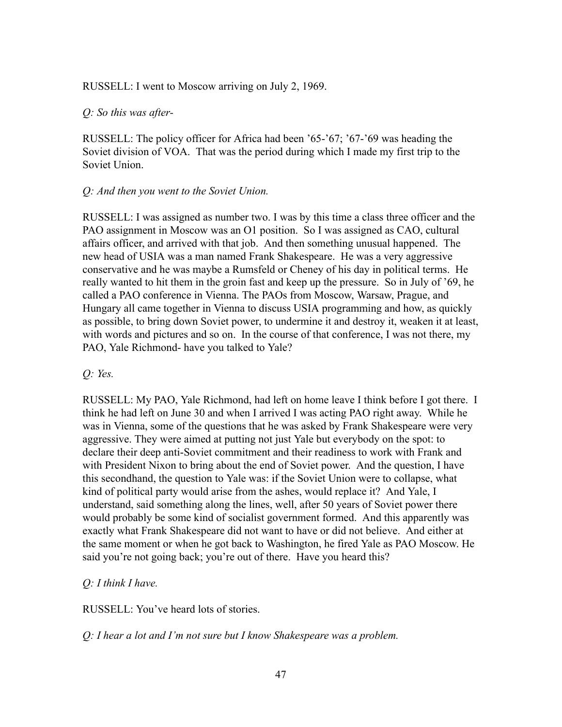#### RUSSELL: I went to Moscow arriving on July 2, 1969.

#### *Q: So this was after-*

RUSSELL: The policy officer for Africa had been '65-'67; '67-'69 was heading the Soviet division of VOA. That was the period during which I made my first trip to the Soviet Union.

#### *Q: And then you went to the Soviet Union.*

RUSSELL: I was assigned as number two. I was by this time a class three officer and the PAO assignment in Moscow was an O1 position. So I was assigned as CAO, cultural affairs officer, and arrived with that job. And then something unusual happened. The new head of USIA was a man named Frank Shakespeare. He was a very aggressive conservative and he was maybe a Rumsfeld or Cheney of his day in political terms. He really wanted to hit them in the groin fast and keep up the pressure. So in July of '69, he called a PAO conference in Vienna. The PAOs from Moscow, Warsaw, Prague, and Hungary all came together in Vienna to discuss USIA programming and how, as quickly as possible, to bring down Soviet power, to undermine it and destroy it, weaken it at least, with words and pictures and so on. In the course of that conference, I was not there, my PAO, Yale Richmond- have you talked to Yale?

### *Q: Yes.*

RUSSELL: My PAO, Yale Richmond, had left on home leave I think before I got there. I think he had left on June 30 and when I arrived I was acting PAO right away. While he was in Vienna, some of the questions that he was asked by Frank Shakespeare were very aggressive. They were aimed at putting not just Yale but everybody on the spot: to declare their deep anti-Soviet commitment and their readiness to work with Frank and with President Nixon to bring about the end of Soviet power. And the question, I have this secondhand, the question to Yale was: if the Soviet Union were to collapse, what kind of political party would arise from the ashes, would replace it? And Yale, I understand, said something along the lines, well, after 50 years of Soviet power there would probably be some kind of socialist government formed. And this apparently was exactly what Frank Shakespeare did not want to have or did not believe. And either at the same moment or when he got back to Washington, he fired Yale as PAO Moscow. He said you're not going back; you're out of there. Have you heard this?

### *Q: I think I have.*

RUSSELL: You've heard lots of stories.

*Q: I hear a lot and I'm not sure but I know Shakespeare was a problem.*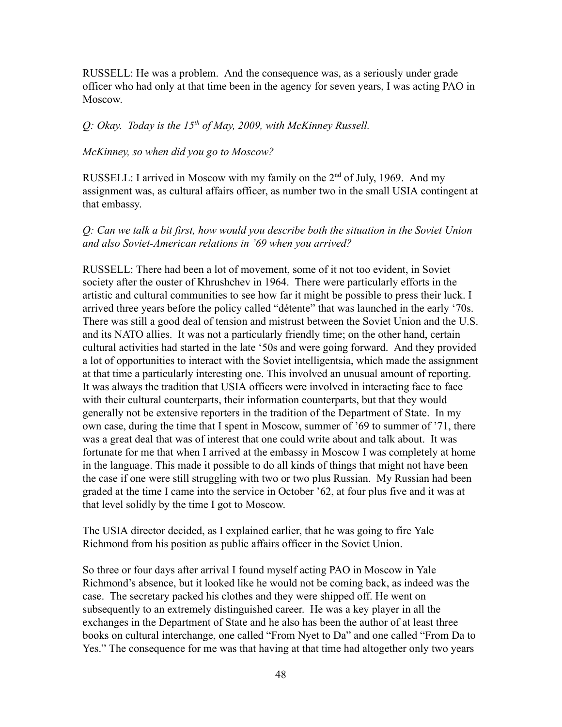RUSSELL: He was a problem. And the consequence was, as a seriously under grade officer who had only at that time been in the agency for seven years, I was acting PAO in Moscow.

### *Q: Okay. Today is the 15th of May, 2009, with McKinney Russell.*

#### *McKinney, so when did you go to Moscow?*

RUSSELL: I arrived in Moscow with my family on the  $2<sup>nd</sup>$  of July, 1969. And my assignment was, as cultural affairs officer, as number two in the small USIA contingent at that embassy.

## *Q: Can we talk a bit first, how would you describe both the situation in the Soviet Union and also Soviet-American relations in '69 when you arrived?*

RUSSELL: There had been a lot of movement, some of it not too evident, in Soviet society after the ouster of Khrushchev in 1964. There were particularly efforts in the artistic and cultural communities to see how far it might be possible to press their luck. I arrived three years before the policy called "détente" that was launched in the early '70s. There was still a good deal of tension and mistrust between the Soviet Union and the U.S. and its NATO allies. It was not a particularly friendly time; on the other hand, certain cultural activities had started in the late '50s and were going forward. And they provided a lot of opportunities to interact with the Soviet intelligentsia, which made the assignment at that time a particularly interesting one. This involved an unusual amount of reporting. It was always the tradition that USIA officers were involved in interacting face to face with their cultural counterparts, their information counterparts, but that they would generally not be extensive reporters in the tradition of the Department of State. In my own case, during the time that I spent in Moscow, summer of '69 to summer of '71, there was a great deal that was of interest that one could write about and talk about. It was fortunate for me that when I arrived at the embassy in Moscow I was completely at home in the language. This made it possible to do all kinds of things that might not have been the case if one were still struggling with two or two plus Russian. My Russian had been graded at the time I came into the service in October '62, at four plus five and it was at that level solidly by the time I got to Moscow.

The USIA director decided, as I explained earlier, that he was going to fire Yale Richmond from his position as public affairs officer in the Soviet Union.

So three or four days after arrival I found myself acting PAO in Moscow in Yale Richmond's absence, but it looked like he would not be coming back, as indeed was the case. The secretary packed his clothes and they were shipped off. He went on subsequently to an extremely distinguished career. He was a key player in all the exchanges in the Department of State and he also has been the author of at least three books on cultural interchange, one called "From Nyet to Da" and one called "From Da to Yes." The consequence for me was that having at that time had altogether only two years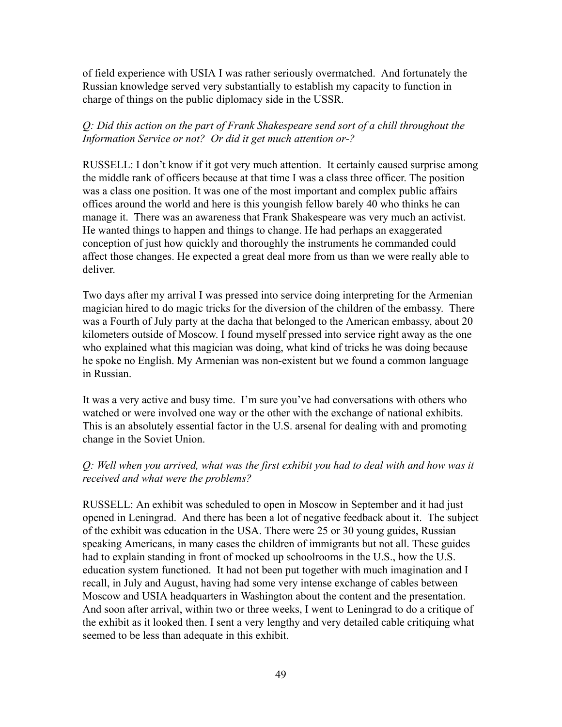of field experience with USIA I was rather seriously overmatched. And fortunately the Russian knowledge served very substantially to establish my capacity to function in charge of things on the public diplomacy side in the USSR.

# *Q: Did this action on the part of Frank Shakespeare send sort of a chill throughout the Information Service or not? Or did it get much attention or-?*

RUSSELL: I don't know if it got very much attention. It certainly caused surprise among the middle rank of officers because at that time I was a class three officer. The position was a class one position. It was one of the most important and complex public affairs offices around the world and here is this youngish fellow barely 40 who thinks he can manage it. There was an awareness that Frank Shakespeare was very much an activist. He wanted things to happen and things to change. He had perhaps an exaggerated conception of just how quickly and thoroughly the instruments he commanded could affect those changes. He expected a great deal more from us than we were really able to deliver.

Two days after my arrival I was pressed into service doing interpreting for the Armenian magician hired to do magic tricks for the diversion of the children of the embassy. There was a Fourth of July party at the dacha that belonged to the American embassy, about 20 kilometers outside of Moscow. I found myself pressed into service right away as the one who explained what this magician was doing, what kind of tricks he was doing because he spoke no English. My Armenian was non-existent but we found a common language in Russian.

It was a very active and busy time. I'm sure you've had conversations with others who watched or were involved one way or the other with the exchange of national exhibits. This is an absolutely essential factor in the U.S. arsenal for dealing with and promoting change in the Soviet Union.

# *Q: Well when you arrived, what was the first exhibit you had to deal with and how was it received and what were the problems?*

RUSSELL: An exhibit was scheduled to open in Moscow in September and it had just opened in Leningrad. And there has been a lot of negative feedback about it. The subject of the exhibit was education in the USA. There were 25 or 30 young guides, Russian speaking Americans, in many cases the children of immigrants but not all. These guides had to explain standing in front of mocked up schoolrooms in the U.S., how the U.S. education system functioned. It had not been put together with much imagination and I recall, in July and August, having had some very intense exchange of cables between Moscow and USIA headquarters in Washington about the content and the presentation. And soon after arrival, within two or three weeks, I went to Leningrad to do a critique of the exhibit as it looked then. I sent a very lengthy and very detailed cable critiquing what seemed to be less than adequate in this exhibit.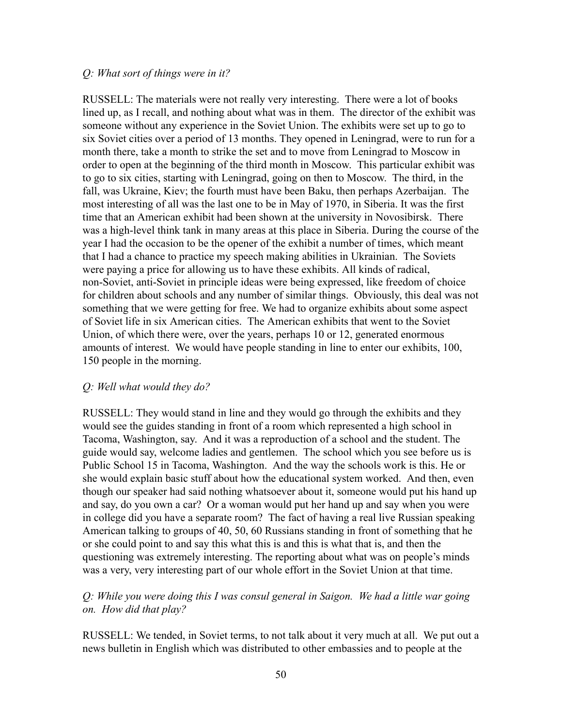#### *Q: What sort of things were in it?*

RUSSELL: The materials were not really very interesting. There were a lot of books lined up, as I recall, and nothing about what was in them. The director of the exhibit was someone without any experience in the Soviet Union. The exhibits were set up to go to six Soviet cities over a period of 13 months. They opened in Leningrad, were to run for a month there, take a month to strike the set and to move from Leningrad to Moscow in order to open at the beginning of the third month in Moscow. This particular exhibit was to go to six cities, starting with Leningrad, going on then to Moscow. The third, in the fall, was Ukraine, Kiev; the fourth must have been Baku, then perhaps Azerbaijan. The most interesting of all was the last one to be in May of 1970, in Siberia. It was the first time that an American exhibit had been shown at the university in Novosibirsk. There was a high-level think tank in many areas at this place in Siberia. During the course of the year I had the occasion to be the opener of the exhibit a number of times, which meant that I had a chance to practice my speech making abilities in Ukrainian. The Soviets were paying a price for allowing us to have these exhibits. All kinds of radical, non-Soviet, anti-Soviet in principle ideas were being expressed, like freedom of choice for children about schools and any number of similar things. Obviously, this deal was not something that we were getting for free. We had to organize exhibits about some aspect of Soviet life in six American cities. The American exhibits that went to the Soviet Union, of which there were, over the years, perhaps 10 or 12, generated enormous amounts of interest. We would have people standing in line to enter our exhibits, 100, 150 people in the morning.

## *Q: Well what would they do?*

RUSSELL: They would stand in line and they would go through the exhibits and they would see the guides standing in front of a room which represented a high school in Tacoma, Washington, say. And it was a reproduction of a school and the student. The guide would say, welcome ladies and gentlemen. The school which you see before us is Public School 15 in Tacoma, Washington. And the way the schools work is this. He or she would explain basic stuff about how the educational system worked. And then, even though our speaker had said nothing whatsoever about it, someone would put his hand up and say, do you own a car? Or a woman would put her hand up and say when you were in college did you have a separate room? The fact of having a real live Russian speaking American talking to groups of 40, 50, 60 Russians standing in front of something that he or she could point to and say this what this is and this is what that is, and then the questioning was extremely interesting. The reporting about what was on people's minds was a very, very interesting part of our whole effort in the Soviet Union at that time.

## *Q: While you were doing this I was consul general in Saigon. We had a little war going on. How did that play?*

RUSSELL: We tended, in Soviet terms, to not talk about it very much at all. We put out a news bulletin in English which was distributed to other embassies and to people at the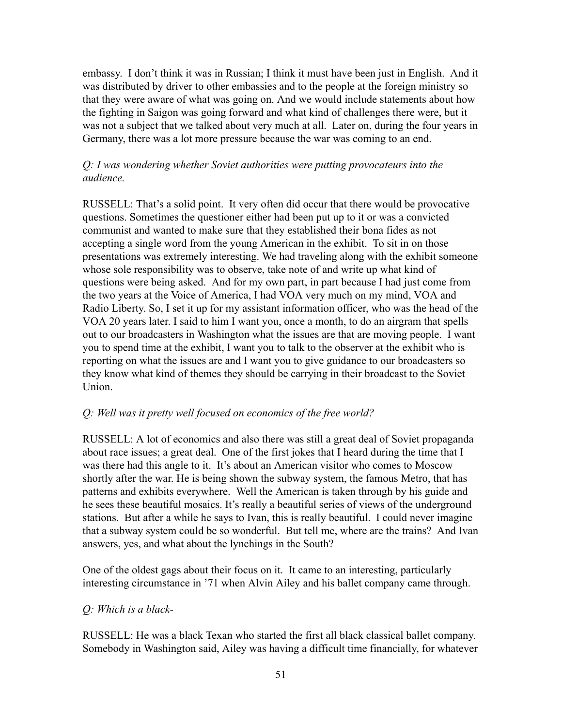embassy. I don't think it was in Russian; I think it must have been just in English. And it was distributed by driver to other embassies and to the people at the foreign ministry so that they were aware of what was going on. And we would include statements about how the fighting in Saigon was going forward and what kind of challenges there were, but it was not a subject that we talked about very much at all. Later on, during the four years in Germany, there was a lot more pressure because the war was coming to an end.

# *Q: I was wondering whether Soviet authorities were putting provocateurs into the audience.*

RUSSELL: That's a solid point. It very often did occur that there would be provocative questions. Sometimes the questioner either had been put up to it or was a convicted communist and wanted to make sure that they established their bona fides as not accepting a single word from the young American in the exhibit. To sit in on those presentations was extremely interesting. We had traveling along with the exhibit someone whose sole responsibility was to observe, take note of and write up what kind of questions were being asked. And for my own part, in part because I had just come from the two years at the Voice of America, I had VOA very much on my mind, VOA and Radio Liberty. So, I set it up for my assistant information officer, who was the head of the VOA 20 years later. I said to him I want you, once a month, to do an airgram that spells out to our broadcasters in Washington what the issues are that are moving people. I want you to spend time at the exhibit, I want you to talk to the observer at the exhibit who is reporting on what the issues are and I want you to give guidance to our broadcasters so they know what kind of themes they should be carrying in their broadcast to the Soviet Union.

# *Q: Well was it pretty well focused on economics of the free world?*

RUSSELL: A lot of economics and also there was still a great deal of Soviet propaganda about race issues; a great deal. One of the first jokes that I heard during the time that I was there had this angle to it. It's about an American visitor who comes to Moscow shortly after the war. He is being shown the subway system, the famous Metro, that has patterns and exhibits everywhere. Well the American is taken through by his guide and he sees these beautiful mosaics. It's really a beautiful series of views of the underground stations. But after a while he says to Ivan, this is really beautiful. I could never imagine that a subway system could be so wonderful. But tell me, where are the trains? And Ivan answers, yes, and what about the lynchings in the South?

One of the oldest gags about their focus on it. It came to an interesting, particularly interesting circumstance in '71 when Alvin Ailey and his ballet company came through.

# *Q: Which is a black-*

RUSSELL: He was a black Texan who started the first all black classical ballet company. Somebody in Washington said, Ailey was having a difficult time financially, for whatever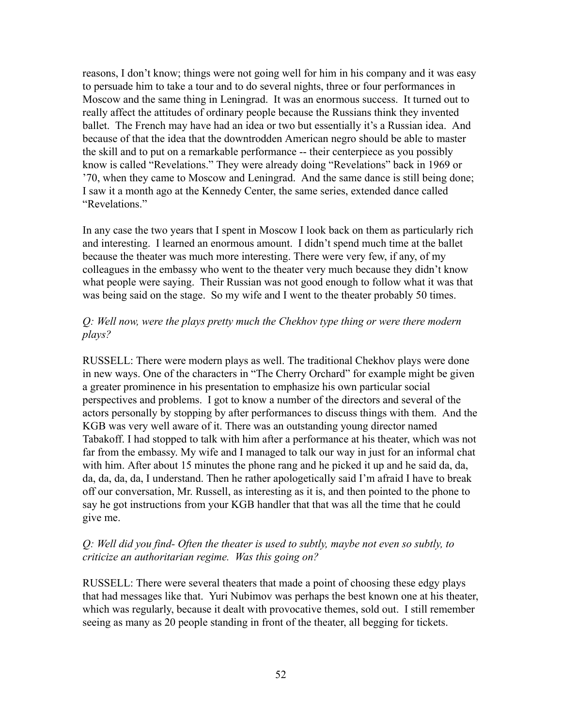reasons, I don't know; things were not going well for him in his company and it was easy to persuade him to take a tour and to do several nights, three or four performances in Moscow and the same thing in Leningrad. It was an enormous success. It turned out to really affect the attitudes of ordinary people because the Russians think they invented ballet. The French may have had an idea or two but essentially it's a Russian idea. And because of that the idea that the downtrodden American negro should be able to master the skill and to put on a remarkable performance -- their centerpiece as you possibly know is called "Revelations." They were already doing "Revelations" back in 1969 or '70, when they came to Moscow and Leningrad. And the same dance is still being done; I saw it a month ago at the Kennedy Center, the same series, extended dance called "Revelations."

In any case the two years that I spent in Moscow I look back on them as particularly rich and interesting. I learned an enormous amount. I didn't spend much time at the ballet because the theater was much more interesting. There were very few, if any, of my colleagues in the embassy who went to the theater very much because they didn't know what people were saying. Their Russian was not good enough to follow what it was that was being said on the stage. So my wife and I went to the theater probably 50 times.

### *Q: Well now, were the plays pretty much the Chekhov type thing or were there modern plays?*

RUSSELL: There were modern plays as well. The traditional Chekhov plays were done in new ways. One of the characters in "The Cherry Orchard" for example might be given a greater prominence in his presentation to emphasize his own particular social perspectives and problems. I got to know a number of the directors and several of the actors personally by stopping by after performances to discuss things with them. And the KGB was very well aware of it. There was an outstanding young director named Tabakoff. I had stopped to talk with him after a performance at his theater, which was not far from the embassy. My wife and I managed to talk our way in just for an informal chat with him. After about 15 minutes the phone rang and he picked it up and he said da, da, da, da, da, da, I understand. Then he rather apologetically said I'm afraid I have to break off our conversation, Mr. Russell, as interesting as it is, and then pointed to the phone to say he got instructions from your KGB handler that that was all the time that he could give me.

### *Q: Well did you find- Often the theater is used to subtly, maybe not even so subtly, to criticize an authoritarian regime. Was this going on?*

RUSSELL: There were several theaters that made a point of choosing these edgy plays that had messages like that. Yuri Nubimov was perhaps the best known one at his theater, which was regularly, because it dealt with provocative themes, sold out. I still remember seeing as many as 20 people standing in front of the theater, all begging for tickets.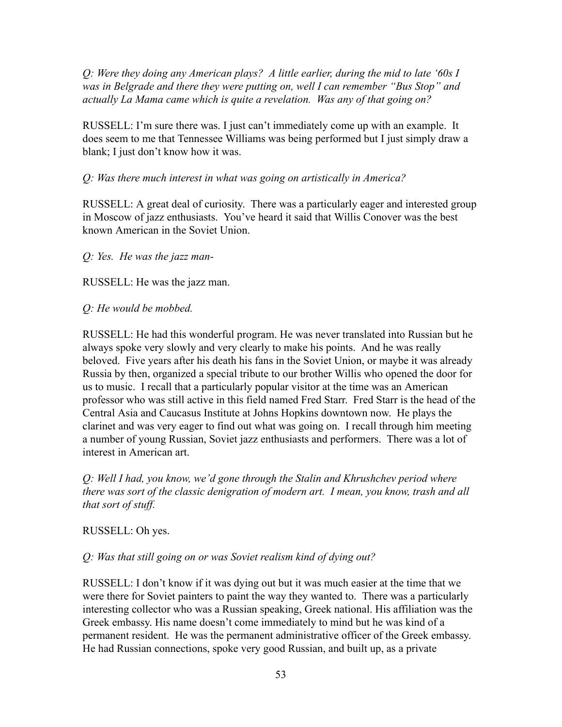*Q: Were they doing any American plays? A little earlier, during the mid to late '60s I was in Belgrade and there they were putting on, well I can remember "Bus Stop" and actually La Mama came which is quite a revelation. Was any of that going on?*

RUSSELL: I'm sure there was. I just can't immediately come up with an example. It does seem to me that Tennessee Williams was being performed but I just simply draw a blank; I just don't know how it was.

# *Q: Was there much interest in what was going on artistically in America?*

RUSSELL: A great deal of curiosity. There was a particularly eager and interested group in Moscow of jazz enthusiasts. You've heard it said that Willis Conover was the best known American in the Soviet Union.

# *Q: Yes. He was the jazz man-*

RUSSELL: He was the jazz man.

## *Q: He would be mobbed.*

RUSSELL: He had this wonderful program. He was never translated into Russian but he always spoke very slowly and very clearly to make his points. And he was really beloved. Five years after his death his fans in the Soviet Union, or maybe it was already Russia by then, organized a special tribute to our brother Willis who opened the door for us to music. I recall that a particularly popular visitor at the time was an American professor who was still active in this field named Fred Starr. Fred Starr is the head of the Central Asia and Caucasus Institute at Johns Hopkins downtown now. He plays the clarinet and was very eager to find out what was going on. I recall through him meeting a number of young Russian, Soviet jazz enthusiasts and performers. There was a lot of interest in American art.

*Q: Well I had, you know, we'd gone through the Stalin and Khrushchev period where there was sort of the classic denigration of modern art. I mean, you know, trash and all that sort of stuff.*

### RUSSELL: Oh yes.

# *Q: Was that still going on or was Soviet realism kind of dying out?*

RUSSELL: I don't know if it was dying out but it was much easier at the time that we were there for Soviet painters to paint the way they wanted to. There was a particularly interesting collector who was a Russian speaking, Greek national. His affiliation was the Greek embassy. His name doesn't come immediately to mind but he was kind of a permanent resident. He was the permanent administrative officer of the Greek embassy. He had Russian connections, spoke very good Russian, and built up, as a private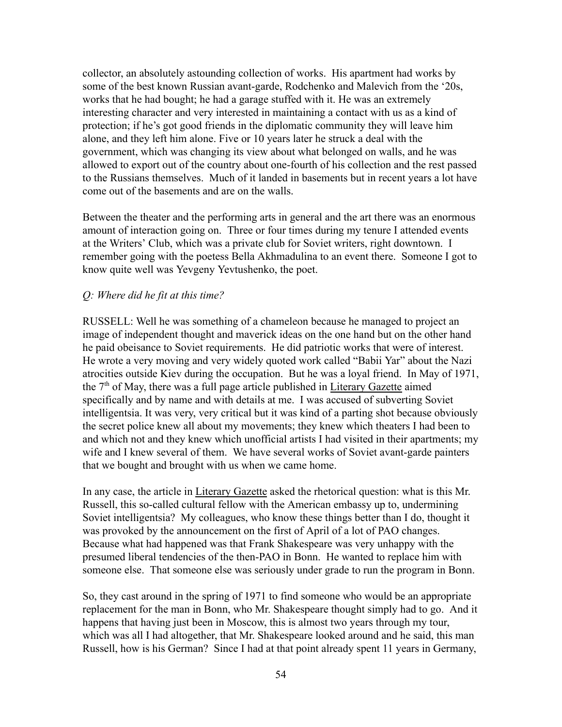collector, an absolutely astounding collection of works. His apartment had works by some of the best known Russian avant-garde, Rodchenko and Malevich from the '20s, works that he had bought; he had a garage stuffed with it. He was an extremely interesting character and very interested in maintaining a contact with us as a kind of protection; if he's got good friends in the diplomatic community they will leave him alone, and they left him alone. Five or 10 years later he struck a deal with the government, which was changing its view about what belonged on walls, and he was allowed to export out of the country about one-fourth of his collection and the rest passed to the Russians themselves. Much of it landed in basements but in recent years a lot have come out of the basements and are on the walls.

Between the theater and the performing arts in general and the art there was an enormous amount of interaction going on. Three or four times during my tenure I attended events at the Writers' Club, which was a private club for Soviet writers, right downtown. I remember going with the poetess Bella Akhmadulina to an event there. Someone I got to know quite well was Yevgeny Yevtushenko, the poet.

#### *Q: Where did he fit at this time?*

RUSSELL: Well he was something of a chameleon because he managed to project an image of independent thought and maverick ideas on the one hand but on the other hand he paid obeisance to Soviet requirements. He did patriotic works that were of interest. He wrote a very moving and very widely quoted work called "Babii Yar" about the Nazi atrocities outside Kiev during the occupation. But he was a loyal friend. In May of 1971, the  $7<sup>th</sup>$  of May, there was a full page article published in Literary Gazette aimed specifically and by name and with details at me. I was accused of subverting Soviet intelligentsia. It was very, very critical but it was kind of a parting shot because obviously the secret police knew all about my movements; they knew which theaters I had been to and which not and they knew which unofficial artists I had visited in their apartments; my wife and I knew several of them. We have several works of Soviet avant-garde painters that we bought and brought with us when we came home.

In any case, the article in Literary Gazette asked the rhetorical question: what is this Mr. Russell, this so-called cultural fellow with the American embassy up to, undermining Soviet intelligentsia? My colleagues, who know these things better than I do, thought it was provoked by the announcement on the first of April of a lot of PAO changes. Because what had happened was that Frank Shakespeare was very unhappy with the presumed liberal tendencies of the then-PAO in Bonn. He wanted to replace him with someone else. That someone else was seriously under grade to run the program in Bonn.

So, they cast around in the spring of 1971 to find someone who would be an appropriate replacement for the man in Bonn, who Mr. Shakespeare thought simply had to go. And it happens that having just been in Moscow, this is almost two years through my tour, which was all I had altogether, that Mr. Shakespeare looked around and he said, this man Russell, how is his German? Since I had at that point already spent 11 years in Germany,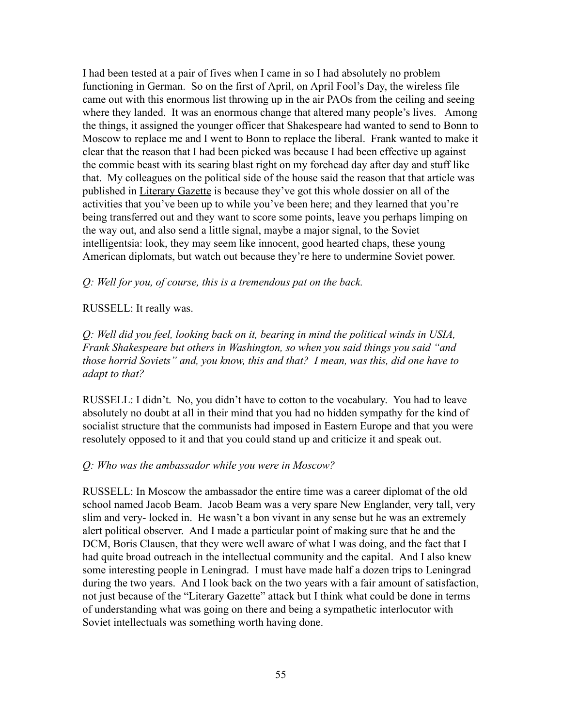I had been tested at a pair of fives when I came in so I had absolutely no problem functioning in German. So on the first of April, on April Fool's Day, the wireless file came out with this enormous list throwing up in the air PAOs from the ceiling and seeing where they landed. It was an enormous change that altered many people's lives. Among the things, it assigned the younger officer that Shakespeare had wanted to send to Bonn to Moscow to replace me and I went to Bonn to replace the liberal. Frank wanted to make it clear that the reason that I had been picked was because I had been effective up against the commie beast with its searing blast right on my forehead day after day and stuff like that. My colleagues on the political side of the house said the reason that that article was published in Literary Gazette is because they've got this whole dossier on all of the activities that you've been up to while you've been here; and they learned that you're being transferred out and they want to score some points, leave you perhaps limping on the way out, and also send a little signal, maybe a major signal, to the Soviet intelligentsia: look, they may seem like innocent, good hearted chaps, these young American diplomats, but watch out because they're here to undermine Soviet power.

*Q: Well for you, of course, this is a tremendous pat on the back.*

# RUSSELL: It really was.

*Q: Well did you feel, looking back on it, bearing in mind the political winds in USIA, Frank Shakespeare but others in Washington, so when you said things you said "and those horrid Soviets" and, you know, this and that? I mean, was this, did one have to adapt to that?*

RUSSELL: I didn't. No, you didn't have to cotton to the vocabulary. You had to leave absolutely no doubt at all in their mind that you had no hidden sympathy for the kind of socialist structure that the communists had imposed in Eastern Europe and that you were resolutely opposed to it and that you could stand up and criticize it and speak out.

# *Q: Who was the ambassador while you were in Moscow?*

RUSSELL: In Moscow the ambassador the entire time was a career diplomat of the old school named Jacob Beam. Jacob Beam was a very spare New Englander, very tall, very slim and very- locked in. He wasn't a bon vivant in any sense but he was an extremely alert political observer. And I made a particular point of making sure that he and the DCM, Boris Clausen, that they were well aware of what I was doing, and the fact that I had quite broad outreach in the intellectual community and the capital. And I also knew some interesting people in Leningrad. I must have made half a dozen trips to Leningrad during the two years. And I look back on the two years with a fair amount of satisfaction, not just because of the "Literary Gazette" attack but I think what could be done in terms of understanding what was going on there and being a sympathetic interlocutor with Soviet intellectuals was something worth having done.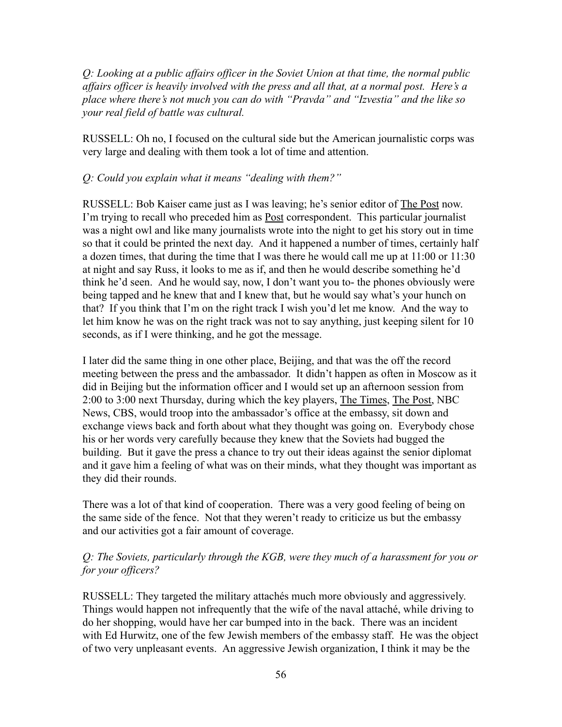*Q: Looking at a public affairs officer in the Soviet Union at that time, the normal public affairs officer is heavily involved with the press and all that, at a normal post. Here's a place where there's not much you can do with "Pravda" and "Izvestia" and the like so your real field of battle was cultural.*

RUSSELL: Oh no, I focused on the cultural side but the American journalistic corps was very large and dealing with them took a lot of time and attention.

## *Q: Could you explain what it means "dealing with them?"*

RUSSELL: Bob Kaiser came just as I was leaving; he's senior editor of The Post now. I'm trying to recall who preceded him as Post correspondent. This particular journalist was a night owl and like many journalists wrote into the night to get his story out in time so that it could be printed the next day. And it happened a number of times, certainly half a dozen times, that during the time that I was there he would call me up at 11:00 or 11:30 at night and say Russ, it looks to me as if, and then he would describe something he'd think he'd seen. And he would say, now, I don't want you to- the phones obviously were being tapped and he knew that and I knew that, but he would say what's your hunch on that? If you think that I'm on the right track I wish you'd let me know. And the way to let him know he was on the right track was not to say anything, just keeping silent for 10 seconds, as if I were thinking, and he got the message.

I later did the same thing in one other place, Beijing, and that was the off the record meeting between the press and the ambassador. It didn't happen as often in Moscow as it did in Beijing but the information officer and I would set up an afternoon session from 2:00 to 3:00 next Thursday, during which the key players, The Times, The Post, NBC News, CBS, would troop into the ambassador's office at the embassy, sit down and exchange views back and forth about what they thought was going on. Everybody chose his or her words very carefully because they knew that the Soviets had bugged the building. But it gave the press a chance to try out their ideas against the senior diplomat and it gave him a feeling of what was on their minds, what they thought was important as they did their rounds.

There was a lot of that kind of cooperation. There was a very good feeling of being on the same side of the fence. Not that they weren't ready to criticize us but the embassy and our activities got a fair amount of coverage.

# *Q: The Soviets, particularly through the KGB, were they much of a harassment for you or for your officers?*

RUSSELL: They targeted the military attachés much more obviously and aggressively. Things would happen not infrequently that the wife of the naval attaché, while driving to do her shopping, would have her car bumped into in the back. There was an incident with Ed Hurwitz, one of the few Jewish members of the embassy staff. He was the object of two very unpleasant events. An aggressive Jewish organization, I think it may be the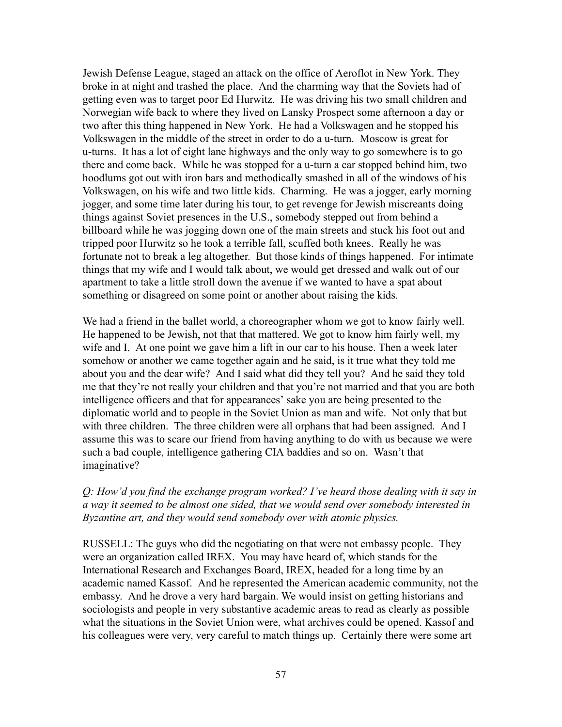Jewish Defense League, staged an attack on the office of Aeroflot in New York. They broke in at night and trashed the place. And the charming way that the Soviets had of getting even was to target poor Ed Hurwitz. He was driving his two small children and Norwegian wife back to where they lived on Lansky Prospect some afternoon a day or two after this thing happened in New York. He had a Volkswagen and he stopped his Volkswagen in the middle of the street in order to do a u-turn. Moscow is great for u-turns. It has a lot of eight lane highways and the only way to go somewhere is to go there and come back. While he was stopped for a u-turn a car stopped behind him, two hoodlums got out with iron bars and methodically smashed in all of the windows of his Volkswagen, on his wife and two little kids. Charming. He was a jogger, early morning jogger, and some time later during his tour, to get revenge for Jewish miscreants doing things against Soviet presences in the U.S., somebody stepped out from behind a billboard while he was jogging down one of the main streets and stuck his foot out and tripped poor Hurwitz so he took a terrible fall, scuffed both knees. Really he was fortunate not to break a leg altogether. But those kinds of things happened. For intimate things that my wife and I would talk about, we would get dressed and walk out of our apartment to take a little stroll down the avenue if we wanted to have a spat about something or disagreed on some point or another about raising the kids.

We had a friend in the ballet world, a choreographer whom we got to know fairly well. He happened to be Jewish, not that that mattered. We got to know him fairly well, my wife and I. At one point we gave him a lift in our car to his house. Then a week later somehow or another we came together again and he said, is it true what they told me about you and the dear wife? And I said what did they tell you? And he said they told me that they're not really your children and that you're not married and that you are both intelligence officers and that for appearances' sake you are being presented to the diplomatic world and to people in the Soviet Union as man and wife. Not only that but with three children. The three children were all orphans that had been assigned. And I assume this was to scare our friend from having anything to do with us because we were such a bad couple, intelligence gathering CIA baddies and so on. Wasn't that imaginative?

*Q: How'd you find the exchange program worked? I've heard those dealing with it say in a way it seemed to be almost one sided, that we would send over somebody interested in Byzantine art, and they would send somebody over with atomic physics.*

RUSSELL: The guys who did the negotiating on that were not embassy people. They were an organization called IREX. You may have heard of, which stands for the International Research and Exchanges Board, IREX, headed for a long time by an academic named Kassof. And he represented the American academic community, not the embassy. And he drove a very hard bargain. We would insist on getting historians and sociologists and people in very substantive academic areas to read as clearly as possible what the situations in the Soviet Union were, what archives could be opened. Kassof and his colleagues were very, very careful to match things up. Certainly there were some art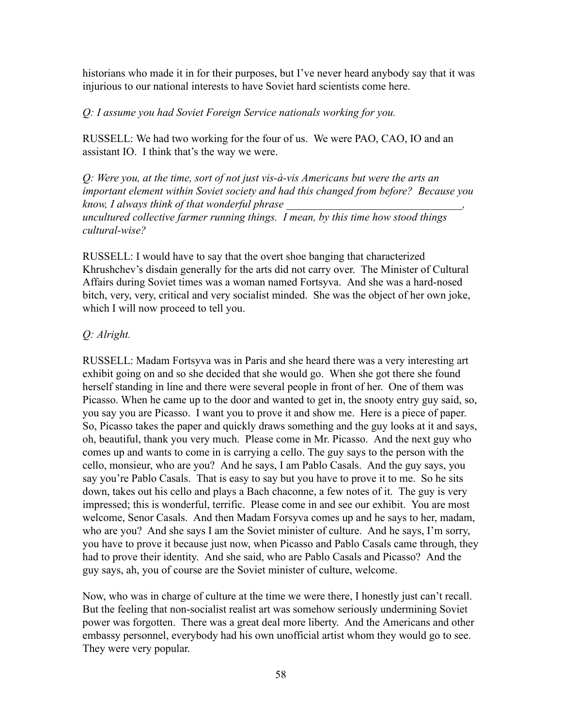historians who made it in for their purposes, but I've never heard anybody say that it was injurious to our national interests to have Soviet hard scientists come here.

## *Q: I assume you had Soviet Foreign Service nationals working for you.*

RUSSELL: We had two working for the four of us. We were PAO, CAO, IO and an assistant IO. I think that's the way we were.

*Q: Were you, at the time, sort of not just vis-à-vis Americans but were the arts an important element within Soviet society and had this changed from before? Because you know, I always think of that wonderful phrase \_\_\_\_\_\_\_\_\_\_\_\_\_\_\_\_\_\_\_\_\_\_\_\_\_\_\_\_\_\_\_\_,*

*uncultured collective farmer running things. I mean, by this time how stood things cultural-wise?*

RUSSELL: I would have to say that the overt shoe banging that characterized Khrushchev's disdain generally for the arts did not carry over. The Minister of Cultural Affairs during Soviet times was a woman named Fortsyva. And she was a hard-nosed bitch, very, very, critical and very socialist minded. She was the object of her own joke, which I will now proceed to tell you.

# *Q: Alright.*

RUSSELL: Madam Fortsyva was in Paris and she heard there was a very interesting art exhibit going on and so she decided that she would go. When she got there she found herself standing in line and there were several people in front of her. One of them was Picasso. When he came up to the door and wanted to get in, the snooty entry guy said, so, you say you are Picasso. I want you to prove it and show me. Here is a piece of paper. So, Picasso takes the paper and quickly draws something and the guy looks at it and says, oh, beautiful, thank you very much. Please come in Mr. Picasso. And the next guy who comes up and wants to come in is carrying a cello. The guy says to the person with the cello, monsieur, who are you? And he says, I am Pablo Casals. And the guy says, you say you're Pablo Casals. That is easy to say but you have to prove it to me. So he sits down, takes out his cello and plays a Bach chaconne, a few notes of it. The guy is very impressed; this is wonderful, terrific. Please come in and see our exhibit. You are most welcome, Senor Casals. And then Madam Forsyva comes up and he says to her, madam, who are you? And she says I am the Soviet minister of culture. And he says, I'm sorry, you have to prove it because just now, when Picasso and Pablo Casals came through, they had to prove their identity. And she said, who are Pablo Casals and Picasso? And the guy says, ah, you of course are the Soviet minister of culture, welcome.

Now, who was in charge of culture at the time we were there, I honestly just can't recall. But the feeling that non-socialist realist art was somehow seriously undermining Soviet power was forgotten. There was a great deal more liberty. And the Americans and other embassy personnel, everybody had his own unofficial artist whom they would go to see. They were very popular.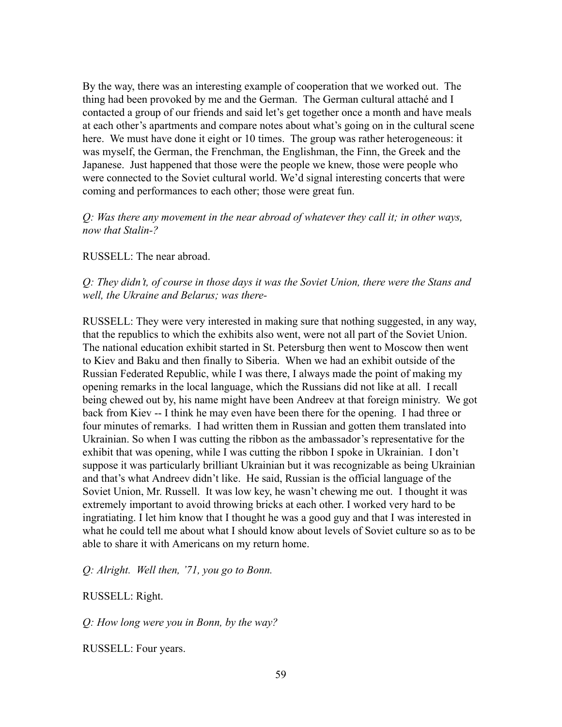By the way, there was an interesting example of cooperation that we worked out. The thing had been provoked by me and the German. The German cultural attaché and I contacted a group of our friends and said let's get together once a month and have meals at each other's apartments and compare notes about what's going on in the cultural scene here. We must have done it eight or 10 times. The group was rather heterogeneous: it was myself, the German, the Frenchman, the Englishman, the Finn, the Greek and the Japanese. Just happened that those were the people we knew, those were people who were connected to the Soviet cultural world. We'd signal interesting concerts that were coming and performances to each other; those were great fun.

## *Q: Was there any movement in the near abroad of whatever they call it; in other ways, now that Stalin-?*

RUSSELL: The near abroad.

*Q: They didn't, of course in those days it was the Soviet Union, there were the Stans and well, the Ukraine and Belarus; was there-*

RUSSELL: They were very interested in making sure that nothing suggested, in any way, that the republics to which the exhibits also went, were not all part of the Soviet Union. The national education exhibit started in St. Petersburg then went to Moscow then went to Kiev and Baku and then finally to Siberia. When we had an exhibit outside of the Russian Federated Republic, while I was there, I always made the point of making my opening remarks in the local language, which the Russians did not like at all. I recall being chewed out by, his name might have been Andreev at that foreign ministry. We got back from Kiev -- I think he may even have been there for the opening. I had three or four minutes of remarks. I had written them in Russian and gotten them translated into Ukrainian. So when I was cutting the ribbon as the ambassador's representative for the exhibit that was opening, while I was cutting the ribbon I spoke in Ukrainian. I don't suppose it was particularly brilliant Ukrainian but it was recognizable as being Ukrainian and that's what Andreev didn't like. He said, Russian is the official language of the Soviet Union, Mr. Russell. It was low key, he wasn't chewing me out. I thought it was extremely important to avoid throwing bricks at each other. I worked very hard to be ingratiating. I let him know that I thought he was a good guy and that I was interested in what he could tell me about what I should know about levels of Soviet culture so as to be able to share it with Americans on my return home.

*Q: Alright. Well then, '71, you go to Bonn.*

RUSSELL: Right.

*Q: How long were you in Bonn, by the way?*

RUSSELL: Four years.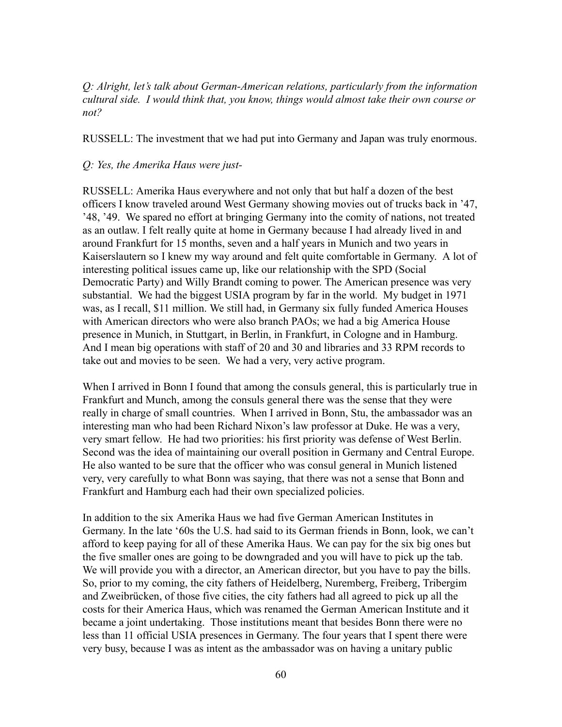*Q: Alright, let's talk about German-American relations, particularly from the information cultural side. I would think that, you know, things would almost take their own course or not?*

RUSSELL: The investment that we had put into Germany and Japan was truly enormous.

#### *Q: Yes, the Amerika Haus were just-*

RUSSELL: Amerika Haus everywhere and not only that but half a dozen of the best officers I know traveled around West Germany showing movies out of trucks back in '47, '48, '49. We spared no effort at bringing Germany into the comity of nations, not treated as an outlaw. I felt really quite at home in Germany because I had already lived in and around Frankfurt for 15 months, seven and a half years in Munich and two years in Kaiserslautern so I knew my way around and felt quite comfortable in Germany. A lot of interesting political issues came up, like our relationship with the SPD (Social Democratic Party) and Willy Brandt coming to power. The American presence was very substantial. We had the biggest USIA program by far in the world. My budget in 1971 was, as I recall, \$11 million. We still had, in Germany six fully funded America Houses with American directors who were also branch PAOs; we had a big America House presence in Munich, in Stuttgart, in Berlin, in Frankfurt, in Cologne and in Hamburg. And I mean big operations with staff of 20 and 30 and libraries and 33 RPM records to take out and movies to be seen. We had a very, very active program.

When I arrived in Bonn I found that among the consuls general, this is particularly true in Frankfurt and Munch, among the consuls general there was the sense that they were really in charge of small countries. When I arrived in Bonn, Stu, the ambassador was an interesting man who had been Richard Nixon's law professor at Duke. He was a very, very smart fellow. He had two priorities: his first priority was defense of West Berlin. Second was the idea of maintaining our overall position in Germany and Central Europe. He also wanted to be sure that the officer who was consul general in Munich listened very, very carefully to what Bonn was saying, that there was not a sense that Bonn and Frankfurt and Hamburg each had their own specialized policies.

In addition to the six Amerika Haus we had five German American Institutes in Germany. In the late '60s the U.S. had said to its German friends in Bonn, look, we can't afford to keep paying for all of these Amerika Haus. We can pay for the six big ones but the five smaller ones are going to be downgraded and you will have to pick up the tab. We will provide you with a director, an American director, but you have to pay the bills. So, prior to my coming, the city fathers of Heidelberg, Nuremberg, Freiberg, Tribergim and Zweibrücken, of those five cities, the city fathers had all agreed to pick up all the costs for their America Haus, which was renamed the German American Institute and it became a joint undertaking. Those institutions meant that besides Bonn there were no less than 11 official USIA presences in Germany. The four years that I spent there were very busy, because I was as intent as the ambassador was on having a unitary public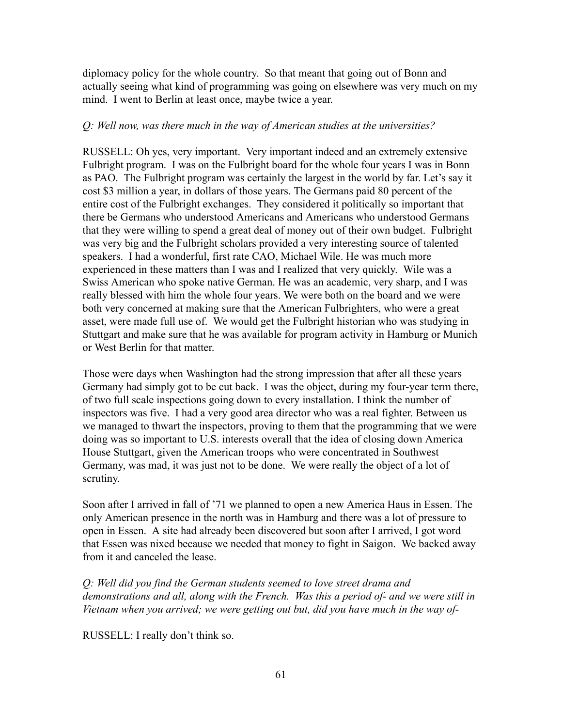diplomacy policy for the whole country. So that meant that going out of Bonn and actually seeing what kind of programming was going on elsewhere was very much on my mind. I went to Berlin at least once, maybe twice a year.

### *Q: Well now, was there much in the way of American studies at the universities?*

RUSSELL: Oh yes, very important. Very important indeed and an extremely extensive Fulbright program. I was on the Fulbright board for the whole four years I was in Bonn as PAO. The Fulbright program was certainly the largest in the world by far. Let's say it cost \$3 million a year, in dollars of those years. The Germans paid 80 percent of the entire cost of the Fulbright exchanges. They considered it politically so important that there be Germans who understood Americans and Americans who understood Germans that they were willing to spend a great deal of money out of their own budget. Fulbright was very big and the Fulbright scholars provided a very interesting source of talented speakers. I had a wonderful, first rate CAO, Michael Wile. He was much more experienced in these matters than I was and I realized that very quickly. Wile was a Swiss American who spoke native German. He was an academic, very sharp, and I was really blessed with him the whole four years. We were both on the board and we were both very concerned at making sure that the American Fulbrighters, who were a great asset, were made full use of. We would get the Fulbright historian who was studying in Stuttgart and make sure that he was available for program activity in Hamburg or Munich or West Berlin for that matter.

Those were days when Washington had the strong impression that after all these years Germany had simply got to be cut back. I was the object, during my four-year term there, of two full scale inspections going down to every installation. I think the number of inspectors was five. I had a very good area director who was a real fighter. Between us we managed to thwart the inspectors, proving to them that the programming that we were doing was so important to U.S. interests overall that the idea of closing down America House Stuttgart, given the American troops who were concentrated in Southwest Germany, was mad, it was just not to be done. We were really the object of a lot of scrutiny.

Soon after I arrived in fall of '71 we planned to open a new America Haus in Essen. The only American presence in the north was in Hamburg and there was a lot of pressure to open in Essen. A site had already been discovered but soon after I arrived, I got word that Essen was nixed because we needed that money to fight in Saigon. We backed away from it and canceled the lease.

*Q: Well did you find the German students seemed to love street drama and demonstrations and all, along with the French. Was this a period of- and we were still in Vietnam when you arrived; we were getting out but, did you have much in the way of-*

RUSSELL: I really don't think so.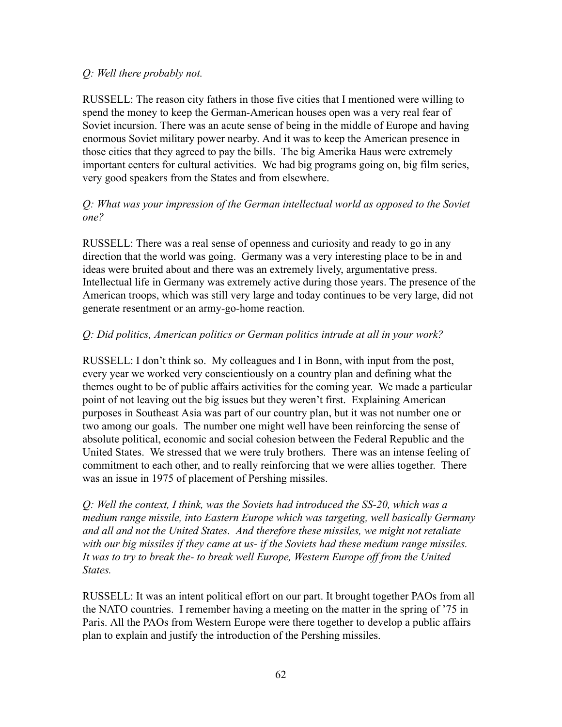## *Q: Well there probably not.*

RUSSELL: The reason city fathers in those five cities that I mentioned were willing to spend the money to keep the German-American houses open was a very real fear of Soviet incursion. There was an acute sense of being in the middle of Europe and having enormous Soviet military power nearby. And it was to keep the American presence in those cities that they agreed to pay the bills. The big Amerika Haus were extremely important centers for cultural activities. We had big programs going on, big film series, very good speakers from the States and from elsewhere.

# *Q: What was your impression of the German intellectual world as opposed to the Soviet one?*

RUSSELL: There was a real sense of openness and curiosity and ready to go in any direction that the world was going. Germany was a very interesting place to be in and ideas were bruited about and there was an extremely lively, argumentative press. Intellectual life in Germany was extremely active during those years. The presence of the American troops, which was still very large and today continues to be very large, did not generate resentment or an army-go-home reaction.

# *Q: Did politics, American politics or German politics intrude at all in your work?*

RUSSELL: I don't think so. My colleagues and I in Bonn, with input from the post, every year we worked very conscientiously on a country plan and defining what the themes ought to be of public affairs activities for the coming year. We made a particular point of not leaving out the big issues but they weren't first. Explaining American purposes in Southeast Asia was part of our country plan, but it was not number one or two among our goals. The number one might well have been reinforcing the sense of absolute political, economic and social cohesion between the Federal Republic and the United States. We stressed that we were truly brothers. There was an intense feeling of commitment to each other, and to really reinforcing that we were allies together. There was an issue in 1975 of placement of Pershing missiles.

*Q: Well the context, I think, was the Soviets had introduced the SS-20, which was a medium range missile, into Eastern Europe which was targeting, well basically Germany and all and not the United States. And therefore these missiles, we might not retaliate with our big missiles if they came at us- if the Soviets had these medium range missiles. It was to try to break the- to break well Europe, Western Europe off from the United States.*

RUSSELL: It was an intent political effort on our part. It brought together PAOs from all the NATO countries. I remember having a meeting on the matter in the spring of '75 in Paris. All the PAOs from Western Europe were there together to develop a public affairs plan to explain and justify the introduction of the Pershing missiles.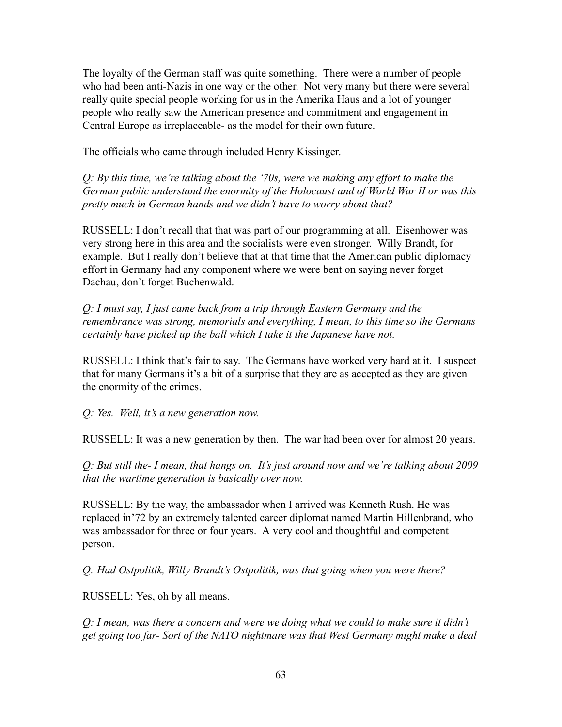The loyalty of the German staff was quite something. There were a number of people who had been anti-Nazis in one way or the other. Not very many but there were several really quite special people working for us in the Amerika Haus and a lot of younger people who really saw the American presence and commitment and engagement in Central Europe as irreplaceable- as the model for their own future.

The officials who came through included Henry Kissinger.

*Q: By this time, we're talking about the '70s, were we making any effort to make the German public understand the enormity of the Holocaust and of World War II or was this pretty much in German hands and we didn't have to worry about that?*

RUSSELL: I don't recall that that was part of our programming at all. Eisenhower was very strong here in this area and the socialists were even stronger. Willy Brandt, for example. But I really don't believe that at that time that the American public diplomacy effort in Germany had any component where we were bent on saying never forget Dachau, don't forget Buchenwald.

*Q: I must say, I just came back from a trip through Eastern Germany and the remembrance was strong, memorials and everything, I mean, to this time so the Germans certainly have picked up the ball which I take it the Japanese have not.*

RUSSELL: I think that's fair to say. The Germans have worked very hard at it. I suspect that for many Germans it's a bit of a surprise that they are as accepted as they are given the enormity of the crimes.

*Q: Yes. Well, it's a new generation now.*

RUSSELL: It was a new generation by then. The war had been over for almost 20 years.

*Q: But still the- I mean, that hangs on. It's just around now and we're talking about 2009 that the wartime generation is basically over now.*

RUSSELL: By the way, the ambassador when I arrived was Kenneth Rush. He was replaced in'72 by an extremely talented career diplomat named Martin Hillenbrand, who was ambassador for three or four years. A very cool and thoughtful and competent person.

*Q: Had Ostpolitik, Willy Brandt's Ostpolitik, was that going when you were there?*

RUSSELL: Yes, oh by all means.

*Q: I mean, was there a concern and were we doing what we could to make sure it didn't get going too far- Sort of the NATO nightmare was that West Germany might make a deal*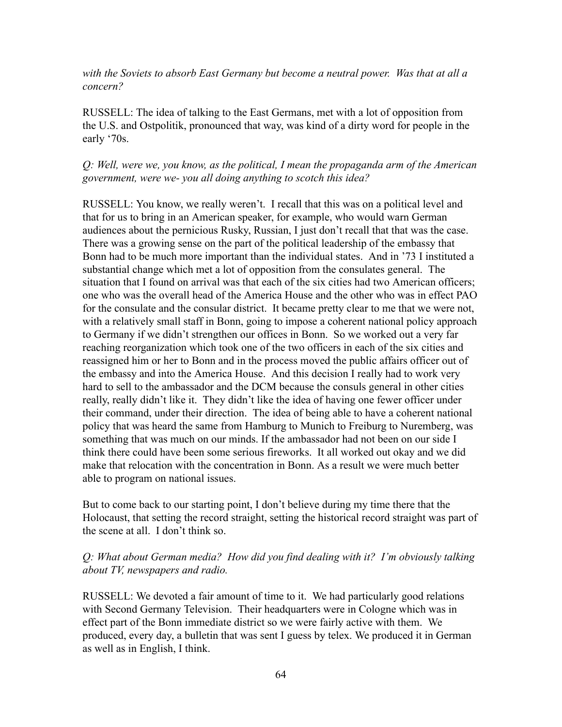*with the Soviets to absorb East Germany but become a neutral power. Was that at all a concern?*

RUSSELL: The idea of talking to the East Germans, met with a lot of opposition from the U.S. and Ostpolitik, pronounced that way, was kind of a dirty word for people in the early '70s.

## *Q: Well, were we, you know, as the political, I mean the propaganda arm of the American government, were we- you all doing anything to scotch this idea?*

RUSSELL: You know, we really weren't. I recall that this was on a political level and that for us to bring in an American speaker, for example, who would warn German audiences about the pernicious Rusky, Russian, I just don't recall that that was the case. There was a growing sense on the part of the political leadership of the embassy that Bonn had to be much more important than the individual states. And in '73 I instituted a substantial change which met a lot of opposition from the consulates general. The situation that I found on arrival was that each of the six cities had two American officers; one who was the overall head of the America House and the other who was in effect PAO for the consulate and the consular district. It became pretty clear to me that we were not, with a relatively small staff in Bonn, going to impose a coherent national policy approach to Germany if we didn't strengthen our offices in Bonn. So we worked out a very far reaching reorganization which took one of the two officers in each of the six cities and reassigned him or her to Bonn and in the process moved the public affairs officer out of the embassy and into the America House. And this decision I really had to work very hard to sell to the ambassador and the DCM because the consuls general in other cities really, really didn't like it. They didn't like the idea of having one fewer officer under their command, under their direction. The idea of being able to have a coherent national policy that was heard the same from Hamburg to Munich to Freiburg to Nuremberg, was something that was much on our minds. If the ambassador had not been on our side I think there could have been some serious fireworks. It all worked out okay and we did make that relocation with the concentration in Bonn. As a result we were much better able to program on national issues.

But to come back to our starting point, I don't believe during my time there that the Holocaust, that setting the record straight, setting the historical record straight was part of the scene at all. I don't think so.

## *Q: What about German media? How did you find dealing with it? I'm obviously talking about TV, newspapers and radio.*

RUSSELL: We devoted a fair amount of time to it. We had particularly good relations with Second Germany Television. Their headquarters were in Cologne which was in effect part of the Bonn immediate district so we were fairly active with them. We produced, every day, a bulletin that was sent I guess by telex. We produced it in German as well as in English, I think.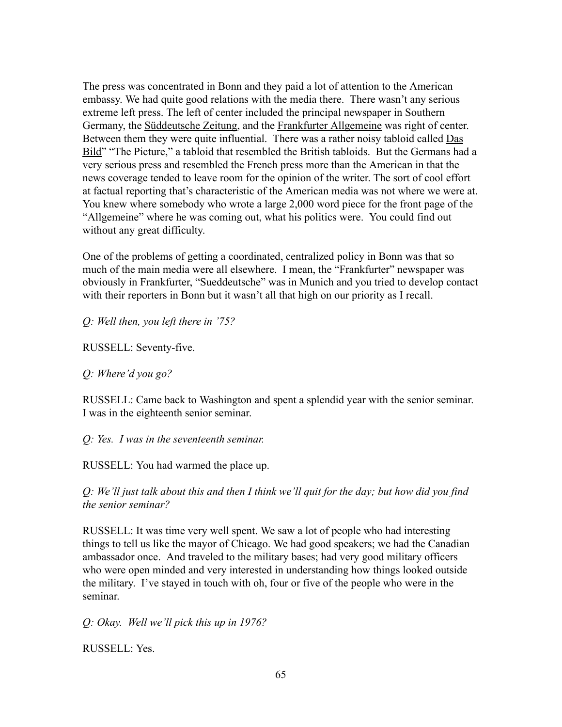The press was concentrated in Bonn and they paid a lot of attention to the American embassy. We had quite good relations with the media there. There wasn't any serious extreme left press. The left of center included the principal newspaper in Southern Germany, the Süddeutsche Zeitung, and the Frankfurter Allgemeine was right of center. Between them they were quite influential. There was a rather noisy tabloid called Das Bild" "The Picture," a tabloid that resembled the British tabloids. But the Germans had a very serious press and resembled the French press more than the American in that the news coverage tended to leave room for the opinion of the writer. The sort of cool effort at factual reporting that's characteristic of the American media was not where we were at. You knew where somebody who wrote a large 2,000 word piece for the front page of the "Allgemeine" where he was coming out, what his politics were. You could find out without any great difficulty.

One of the problems of getting a coordinated, centralized policy in Bonn was that so much of the main media were all elsewhere. I mean, the "Frankfurter" newspaper was obviously in Frankfurter, "Sueddeutsche" was in Munich and you tried to develop contact with their reporters in Bonn but it wasn't all that high on our priority as I recall.

*Q: Well then, you left there in '75?*

RUSSELL: Seventy-five.

*Q: Where'd you go?*

RUSSELL: Came back to Washington and spent a splendid year with the senior seminar. I was in the eighteenth senior seminar.

*Q: Yes. I was in the seventeenth seminar.*

RUSSELL: You had warmed the place up.

*Q: We'll just talk about this and then I think we'll quit for the day; but how did you find the senior seminar?*

RUSSELL: It was time very well spent. We saw a lot of people who had interesting things to tell us like the mayor of Chicago. We had good speakers; we had the Canadian ambassador once. And traveled to the military bases; had very good military officers who were open minded and very interested in understanding how things looked outside the military. I've stayed in touch with oh, four or five of the people who were in the seminar.

*Q: Okay. Well we'll pick this up in 1976?*

RUSSELL: Yes.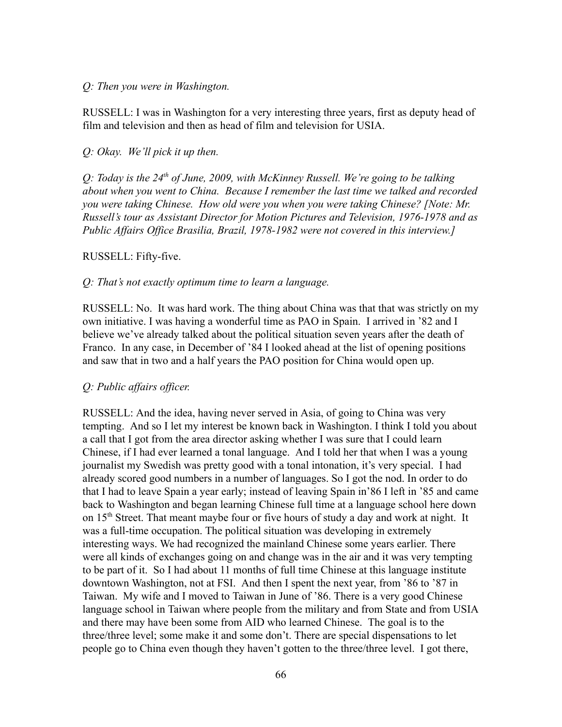#### *Q: Then you were in Washington.*

RUSSELL: I was in Washington for a very interesting three years, first as deputy head of film and television and then as head of film and television for USIA.

#### *Q: Okay. We'll pick it up then.*

*Q: Today is the 24th of June, 2009, with McKinney Russell. We're going to be talking about when you went to China. Because I remember the last time we talked and recorded you were taking Chinese. How old were you when you were taking Chinese? [Note: Mr. Russell's tour as Assistant Director for Motion Pictures and Television, 1976-1978 and as Public Affairs Office Brasilia, Brazil, 1978-1982 were not covered in this interview.]*

#### RUSSELL: Fifty-five.

#### *Q: That's not exactly optimum time to learn a language.*

RUSSELL: No. It was hard work. The thing about China was that that was strictly on my own initiative. I was having a wonderful time as PAO in Spain. I arrived in '82 and I believe we've already talked about the political situation seven years after the death of Franco. In any case, in December of '84 I looked ahead at the list of opening positions and saw that in two and a half years the PAO position for China would open up.

#### *Q: Public affairs officer.*

RUSSELL: And the idea, having never served in Asia, of going to China was very tempting. And so I let my interest be known back in Washington. I think I told you about a call that I got from the area director asking whether I was sure that I could learn Chinese, if I had ever learned a tonal language. And I told her that when I was a young journalist my Swedish was pretty good with a tonal intonation, it's very special. I had already scored good numbers in a number of languages. So I got the nod. In order to do that I had to leave Spain a year early; instead of leaving Spain in'86 I left in '85 and came back to Washington and began learning Chinese full time at a language school here down on 15<sup>th</sup> Street. That meant maybe four or five hours of study a day and work at night. It was a full-time occupation. The political situation was developing in extremely interesting ways. We had recognized the mainland Chinese some years earlier. There were all kinds of exchanges going on and change was in the air and it was very tempting to be part of it. So I had about 11 months of full time Chinese at this language institute downtown Washington, not at FSI. And then I spent the next year, from '86 to '87 in Taiwan. My wife and I moved to Taiwan in June of '86. There is a very good Chinese language school in Taiwan where people from the military and from State and from USIA and there may have been some from AID who learned Chinese. The goal is to the three/three level; some make it and some don't. There are special dispensations to let people go to China even though they haven't gotten to the three/three level. I got there,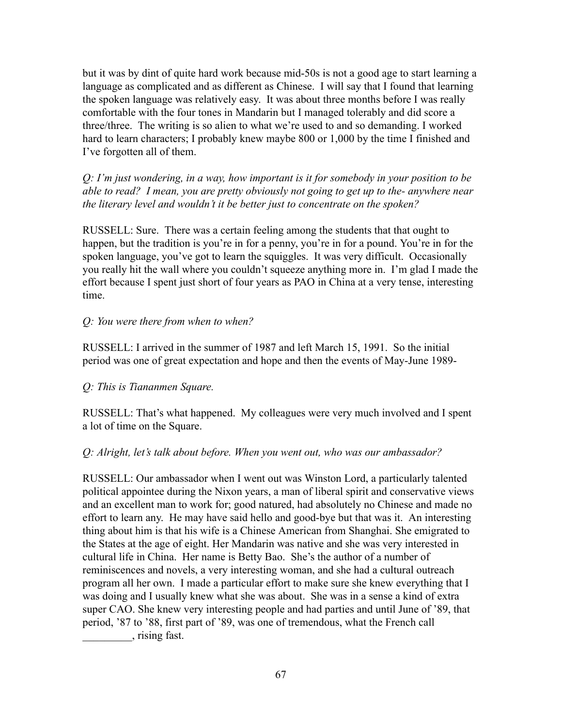but it was by dint of quite hard work because mid-50s is not a good age to start learning a language as complicated and as different as Chinese. I will say that I found that learning the spoken language was relatively easy. It was about three months before I was really comfortable with the four tones in Mandarin but I managed tolerably and did score a three/three. The writing is so alien to what we're used to and so demanding. I worked hard to learn characters; I probably knew maybe 800 or 1,000 by the time I finished and I've forgotten all of them.

*Q: I'm just wondering, in a way, how important is it for somebody in your position to be able to read? I mean, you are pretty obviously not going to get up to the- anywhere near the literary level and wouldn't it be better just to concentrate on the spoken?*

RUSSELL: Sure. There was a certain feeling among the students that that ought to happen, but the tradition is you're in for a penny, you're in for a pound. You're in for the spoken language, you've got to learn the squiggles. It was very difficult. Occasionally you really hit the wall where you couldn't squeeze anything more in. I'm glad I made the effort because I spent just short of four years as PAO in China at a very tense, interesting time.

# *Q: You were there from when to when?*

RUSSELL: I arrived in the summer of 1987 and left March 15, 1991. So the initial period was one of great expectation and hope and then the events of May-June 1989-

# *Q: This is Tiananmen Square.*

RUSSELL: That's what happened. My colleagues were very much involved and I spent a lot of time on the Square.

# *Q: Alright, let's talk about before. When you went out, who was our ambassador?*

RUSSELL: Our ambassador when I went out was Winston Lord, a particularly talented political appointee during the Nixon years, a man of liberal spirit and conservative views and an excellent man to work for; good natured, had absolutely no Chinese and made no effort to learn any. He may have said hello and good-bye but that was it. An interesting thing about him is that his wife is a Chinese American from Shanghai. She emigrated to the States at the age of eight. Her Mandarin was native and she was very interested in cultural life in China. Her name is Betty Bao. She's the author of a number of reminiscences and novels, a very interesting woman, and she had a cultural outreach program all her own. I made a particular effort to make sure she knew everything that I was doing and I usually knew what she was about. She was in a sense a kind of extra super CAO. She knew very interesting people and had parties and until June of '89, that period, '87 to '88, first part of '89, was one of tremendous, what the French call \_\_\_\_\_\_\_\_\_, rising fast.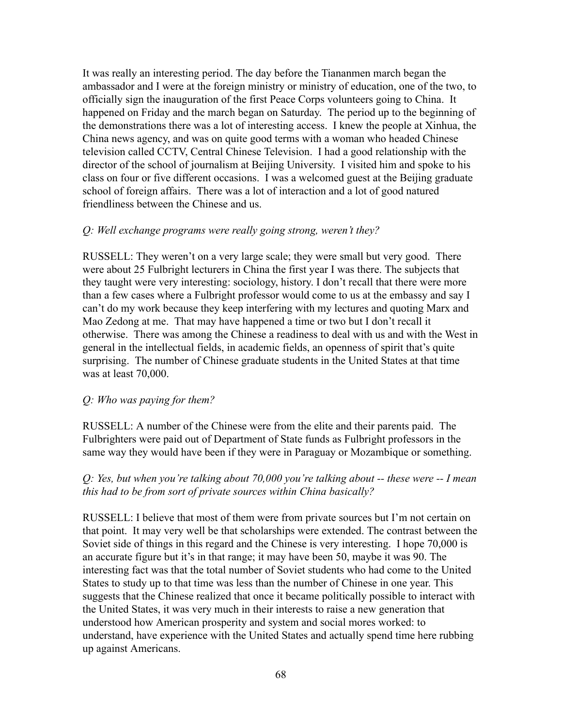It was really an interesting period. The day before the Tiananmen march began the ambassador and I were at the foreign ministry or ministry of education, one of the two, to officially sign the inauguration of the first Peace Corps volunteers going to China. It happened on Friday and the march began on Saturday. The period up to the beginning of the demonstrations there was a lot of interesting access. I knew the people at Xinhua, the China news agency, and was on quite good terms with a woman who headed Chinese television called CCTV, Central Chinese Television. I had a good relationship with the director of the school of journalism at Beijing University. I visited him and spoke to his class on four or five different occasions. I was a welcomed guest at the Beijing graduate school of foreign affairs. There was a lot of interaction and a lot of good natured friendliness between the Chinese and us.

#### *Q: Well exchange programs were really going strong, weren't they?*

RUSSELL: They weren't on a very large scale; they were small but very good. There were about 25 Fulbright lecturers in China the first year I was there. The subjects that they taught were very interesting: sociology, history. I don't recall that there were more than a few cases where a Fulbright professor would come to us at the embassy and say I can't do my work because they keep interfering with my lectures and quoting Marx and Mao Zedong at me. That may have happened a time or two but I don't recall it otherwise. There was among the Chinese a readiness to deal with us and with the West in general in the intellectual fields, in academic fields, an openness of spirit that's quite surprising. The number of Chinese graduate students in the United States at that time was at least 70,000.

#### *Q: Who was paying for them?*

RUSSELL: A number of the Chinese were from the elite and their parents paid. The Fulbrighters were paid out of Department of State funds as Fulbright professors in the same way they would have been if they were in Paraguay or Mozambique or something.

## *Q: Yes, but when you're talking about 70,000 you're talking about -- these were -- I mean this had to be from sort of private sources within China basically?*

RUSSELL: I believe that most of them were from private sources but I'm not certain on that point. It may very well be that scholarships were extended. The contrast between the Soviet side of things in this regard and the Chinese is very interesting. I hope 70,000 is an accurate figure but it's in that range; it may have been 50, maybe it was 90. The interesting fact was that the total number of Soviet students who had come to the United States to study up to that time was less than the number of Chinese in one year. This suggests that the Chinese realized that once it became politically possible to interact with the United States, it was very much in their interests to raise a new generation that understood how American prosperity and system and social mores worked: to understand, have experience with the United States and actually spend time here rubbing up against Americans.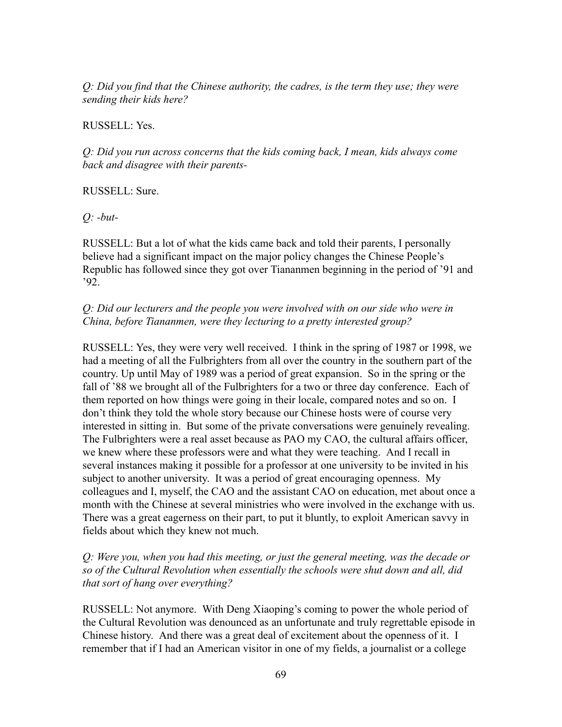*Q: Did you find that the Chinese authority, the cadres, is the term they use; they were sending their kids here?*

RUSSELL: Yes.

*Q: Did you run across concerns that the kids coming back, I mean, kids always come back and disagree with their parents-*

RUSSELL: Sure.

*Q: -but-*

RUSSELL: But a lot of what the kids came back and told their parents, I personally believe had a significant impact on the major policy changes the Chinese People's Republic has followed since they got over Tiananmen beginning in the period of '91 and '92.

*Q: Did our lecturers and the people you were involved with on our side who were in China, before Tiananmen, were they lecturing to a pretty interested group?*

RUSSELL: Yes, they were very well received. I think in the spring of 1987 or 1998, we had a meeting of all the Fulbrighters from all over the country in the southern part of the country. Up until May of 1989 was a period of great expansion. So in the spring or the fall of '88 we brought all of the Fulbrighters for a two or three day conference. Each of them reported on how things were going in their locale, compared notes and so on. I don't think they told the whole story because our Chinese hosts were of course very interested in sitting in. But some of the private conversations were genuinely revealing. The Fulbrighters were a real asset because as PAO my CAO, the cultural affairs officer, we knew where these professors were and what they were teaching. And I recall in several instances making it possible for a professor at one university to be invited in his subject to another university. It was a period of great encouraging openness. My colleagues and I, myself, the CAO and the assistant CAO on education, met about once a month with the Chinese at several ministries who were involved in the exchange with us. There was a great eagerness on their part, to put it bluntly, to exploit American savvy in fields about which they knew not much.

*Q: Were you, when you had this meeting, or just the general meeting, was the decade or so of the Cultural Revolution when essentially the schools were shut down and all, did that sort of hang over everything?*

RUSSELL: Not anymore. With Deng Xiaoping's coming to power the whole period of the Cultural Revolution was denounced as an unfortunate and truly regrettable episode in Chinese history. And there was a great deal of excitement about the openness of it. I remember that if I had an American visitor in one of my fields, a journalist or a college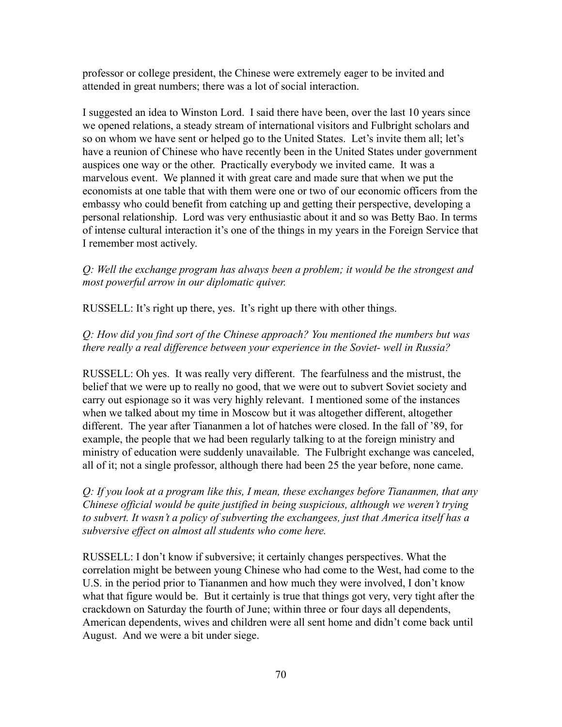professor or college president, the Chinese were extremely eager to be invited and attended in great numbers; there was a lot of social interaction.

I suggested an idea to Winston Lord. I said there have been, over the last 10 years since we opened relations, a steady stream of international visitors and Fulbright scholars and so on whom we have sent or helped go to the United States. Let's invite them all; let's have a reunion of Chinese who have recently been in the United States under government auspices one way or the other. Practically everybody we invited came. It was a marvelous event. We planned it with great care and made sure that when we put the economists at one table that with them were one or two of our economic officers from the embassy who could benefit from catching up and getting their perspective, developing a personal relationship. Lord was very enthusiastic about it and so was Betty Bao. In terms of intense cultural interaction it's one of the things in my years in the Foreign Service that I remember most actively.

*Q: Well the exchange program has always been a problem; it would be the strongest and most powerful arrow in our diplomatic quiver.*

RUSSELL: It's right up there, yes. It's right up there with other things.

# *Q: How did you find sort of the Chinese approach? You mentioned the numbers but was there really a real difference between your experience in the Soviet- well in Russia?*

RUSSELL: Oh yes. It was really very different. The fearfulness and the mistrust, the belief that we were up to really no good, that we were out to subvert Soviet society and carry out espionage so it was very highly relevant. I mentioned some of the instances when we talked about my time in Moscow but it was altogether different, altogether different. The year after Tiananmen a lot of hatches were closed. In the fall of '89, for example, the people that we had been regularly talking to at the foreign ministry and ministry of education were suddenly unavailable. The Fulbright exchange was canceled, all of it; not a single professor, although there had been 25 the year before, none came.

*Q: If you look at a program like this, I mean, these exchanges before Tiananmen, that any Chinese official would be quite justified in being suspicious, although we weren't trying to subvert. It wasn't a policy of subverting the exchangees, just that America itself has a subversive effect on almost all students who come here.*

RUSSELL: I don't know if subversive; it certainly changes perspectives. What the correlation might be between young Chinese who had come to the West, had come to the U.S. in the period prior to Tiananmen and how much they were involved, I don't know what that figure would be. But it certainly is true that things got very, very tight after the crackdown on Saturday the fourth of June; within three or four days all dependents, American dependents, wives and children were all sent home and didn't come back until August. And we were a bit under siege.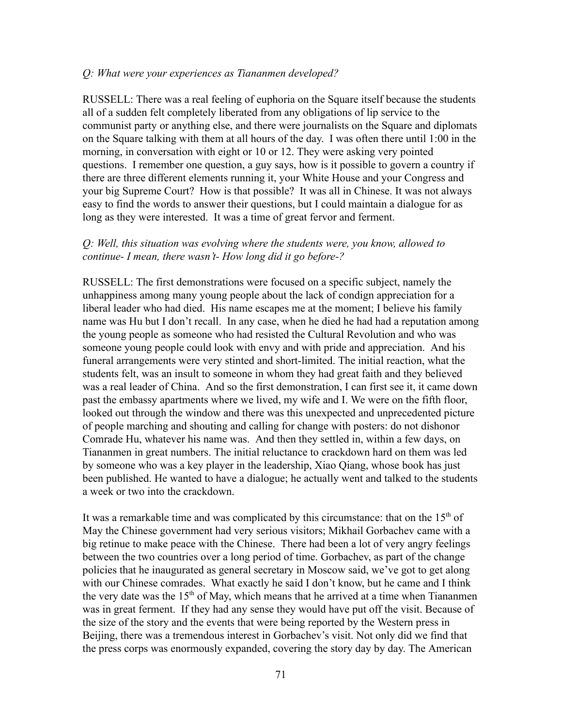#### *Q: What were your experiences as Tiananmen developed?*

RUSSELL: There was a real feeling of euphoria on the Square itself because the students all of a sudden felt completely liberated from any obligations of lip service to the communist party or anything else, and there were journalists on the Square and diplomats on the Square talking with them at all hours of the day. I was often there until 1:00 in the morning, in conversation with eight or 10 or 12. They were asking very pointed questions. I remember one question, a guy says, how is it possible to govern a country if there are three different elements running it, your White House and your Congress and your big Supreme Court? How is that possible? It was all in Chinese. It was not always easy to find the words to answer their questions, but I could maintain a dialogue for as long as they were interested. It was a time of great fervor and ferment.

## *Q: Well, this situation was evolving where the students were, you know, allowed to continue- I mean, there wasn't- How long did it go before-?*

RUSSELL: The first demonstrations were focused on a specific subject, namely the unhappiness among many young people about the lack of condign appreciation for a liberal leader who had died. His name escapes me at the moment; I believe his family name was Hu but I don't recall. In any case, when he died he had had a reputation among the young people as someone who had resisted the Cultural Revolution and who was someone young people could look with envy and with pride and appreciation. And his funeral arrangements were very stinted and short-limited. The initial reaction, what the students felt, was an insult to someone in whom they had great faith and they believed was a real leader of China. And so the first demonstration, I can first see it, it came down past the embassy apartments where we lived, my wife and I. We were on the fifth floor, looked out through the window and there was this unexpected and unprecedented picture of people marching and shouting and calling for change with posters: do not dishonor Comrade Hu, whatever his name was. And then they settled in, within a few days, on Tiananmen in great numbers. The initial reluctance to crackdown hard on them was led by someone who was a key player in the leadership, Xiao Qiang, whose book has just been published. He wanted to have a dialogue; he actually went and talked to the students a week or two into the crackdown.

It was a remarkable time and was complicated by this circumstance: that on the  $15<sup>th</sup>$  of May the Chinese government had very serious visitors; Mikhail Gorbachev came with a big retinue to make peace with the Chinese. There had been a lot of very angry feelings between the two countries over a long period of time. Gorbachev, as part of the change policies that he inaugurated as general secretary in Moscow said, we've got to get along with our Chinese comrades. What exactly he said I don't know, but he came and I think the very date was the  $15<sup>th</sup>$  of May, which means that he arrived at a time when Tiananmen was in great ferment. If they had any sense they would have put off the visit. Because of the size of the story and the events that were being reported by the Western press in Beijing, there was a tremendous interest in Gorbachev's visit. Not only did we find that the press corps was enormously expanded, covering the story day by day. The American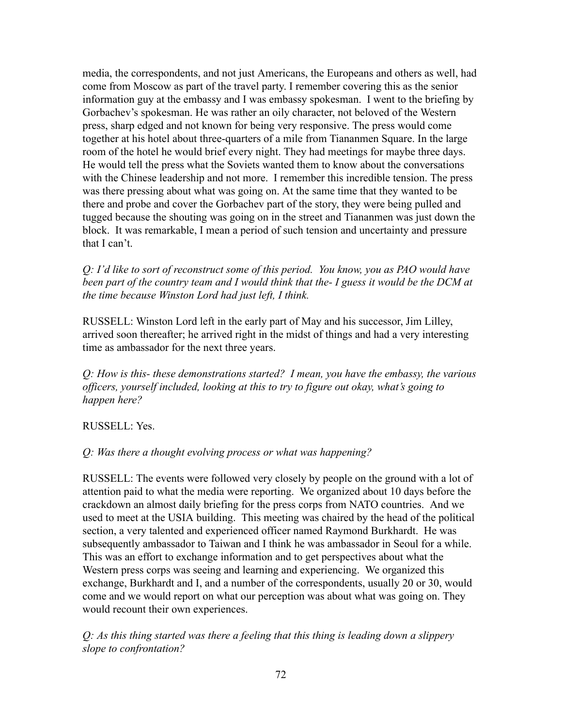media, the correspondents, and not just Americans, the Europeans and others as well, had come from Moscow as part of the travel party. I remember covering this as the senior information guy at the embassy and I was embassy spokesman. I went to the briefing by Gorbachev's spokesman. He was rather an oily character, not beloved of the Western press, sharp edged and not known for being very responsive. The press would come together at his hotel about three-quarters of a mile from Tiananmen Square. In the large room of the hotel he would brief every night. They had meetings for maybe three days. He would tell the press what the Soviets wanted them to know about the conversations with the Chinese leadership and not more. I remember this incredible tension. The press was there pressing about what was going on. At the same time that they wanted to be there and probe and cover the Gorbachev part of the story, they were being pulled and tugged because the shouting was going on in the street and Tiananmen was just down the block. It was remarkable, I mean a period of such tension and uncertainty and pressure that I can't.

*Q: I'd like to sort of reconstruct some of this period. You know, you as PAO would have been part of the country team and I would think that the- I guess it would be the DCM at the time because Winston Lord had just left, I think.*

RUSSELL: Winston Lord left in the early part of May and his successor, Jim Lilley, arrived soon thereafter; he arrived right in the midst of things and had a very interesting time as ambassador for the next three years.

*Q: How is this- these demonstrations started? I mean, you have the embassy, the various officers, yourself included, looking at this to try to figure out okay, what's going to happen here?*

RUSSELL: Yes.

*Q: Was there a thought evolving process or what was happening?*

RUSSELL: The events were followed very closely by people on the ground with a lot of attention paid to what the media were reporting. We organized about 10 days before the crackdown an almost daily briefing for the press corps from NATO countries. And we used to meet at the USIA building. This meeting was chaired by the head of the political section, a very talented and experienced officer named Raymond Burkhardt. He was subsequently ambassador to Taiwan and I think he was ambassador in Seoul for a while. This was an effort to exchange information and to get perspectives about what the Western press corps was seeing and learning and experiencing. We organized this exchange, Burkhardt and I, and a number of the correspondents, usually 20 or 30, would come and we would report on what our perception was about what was going on. They would recount their own experiences.

*Q: As this thing started was there a feeling that this thing is leading down a slippery slope to confrontation?*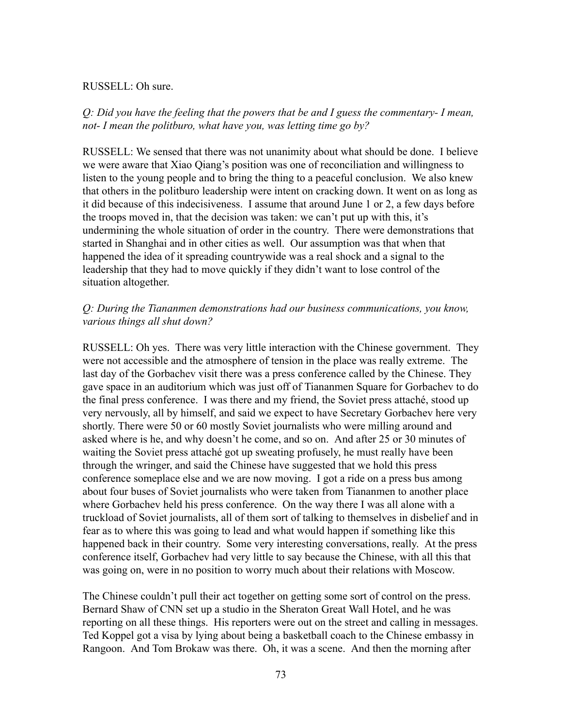#### RUSSELL: Oh sure.

*Q: Did you have the feeling that the powers that be and I guess the commentary- I mean, not- I mean the politburo, what have you, was letting time go by?*

RUSSELL: We sensed that there was not unanimity about what should be done. I believe we were aware that Xiao Qiang's position was one of reconciliation and willingness to listen to the young people and to bring the thing to a peaceful conclusion. We also knew that others in the politburo leadership were intent on cracking down. It went on as long as it did because of this indecisiveness. I assume that around June 1 or 2, a few days before the troops moved in, that the decision was taken: we can't put up with this, it's undermining the whole situation of order in the country. There were demonstrations that started in Shanghai and in other cities as well. Our assumption was that when that happened the idea of it spreading countrywide was a real shock and a signal to the leadership that they had to move quickly if they didn't want to lose control of the situation altogether.

## *Q: During the Tiananmen demonstrations had our business communications, you know, various things all shut down?*

RUSSELL: Oh yes. There was very little interaction with the Chinese government. They were not accessible and the atmosphere of tension in the place was really extreme. The last day of the Gorbachev visit there was a press conference called by the Chinese. They gave space in an auditorium which was just off of Tiananmen Square for Gorbachev to do the final press conference. I was there and my friend, the Soviet press attaché, stood up very nervously, all by himself, and said we expect to have Secretary Gorbachev here very shortly. There were 50 or 60 mostly Soviet journalists who were milling around and asked where is he, and why doesn't he come, and so on. And after 25 or 30 minutes of waiting the Soviet press attaché got up sweating profusely, he must really have been through the wringer, and said the Chinese have suggested that we hold this press conference someplace else and we are now moving. I got a ride on a press bus among about four buses of Soviet journalists who were taken from Tiananmen to another place where Gorbachev held his press conference. On the way there I was all alone with a truckload of Soviet journalists, all of them sort of talking to themselves in disbelief and in fear as to where this was going to lead and what would happen if something like this happened back in their country. Some very interesting conversations, really. At the press conference itself, Gorbachev had very little to say because the Chinese, with all this that was going on, were in no position to worry much about their relations with Moscow.

The Chinese couldn't pull their act together on getting some sort of control on the press. Bernard Shaw of CNN set up a studio in the Sheraton Great Wall Hotel, and he was reporting on all these things. His reporters were out on the street and calling in messages. Ted Koppel got a visa by lying about being a basketball coach to the Chinese embassy in Rangoon. And Tom Brokaw was there. Oh, it was a scene. And then the morning after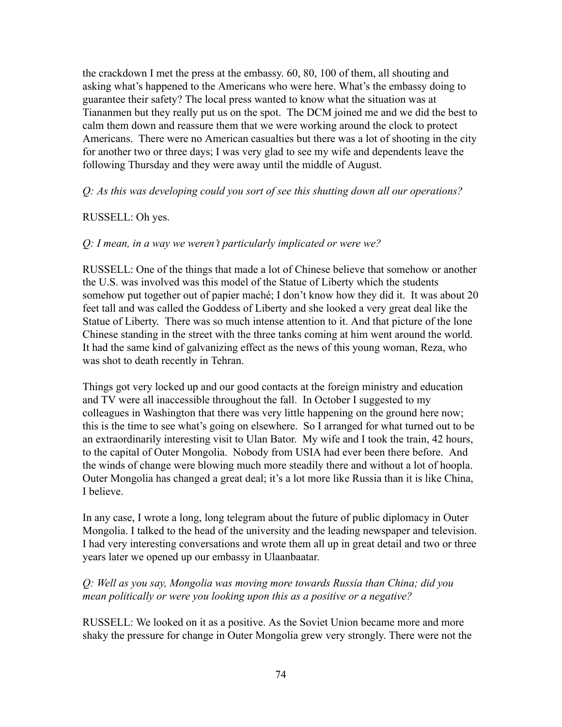the crackdown I met the press at the embassy. 60, 80, 100 of them, all shouting and asking what's happened to the Americans who were here. What's the embassy doing to guarantee their safety? The local press wanted to know what the situation was at Tiananmen but they really put us on the spot. The DCM joined me and we did the best to calm them down and reassure them that we were working around the clock to protect Americans. There were no American casualties but there was a lot of shooting in the city for another two or three days; I was very glad to see my wife and dependents leave the following Thursday and they were away until the middle of August.

## *Q: As this was developing could you sort of see this shutting down all our operations?*

## RUSSELL: Oh yes.

## *Q: I mean, in a way we weren't particularly implicated or were we?*

RUSSELL: One of the things that made a lot of Chinese believe that somehow or another the U.S. was involved was this model of the Statue of Liberty which the students somehow put together out of papier maché; I don't know how they did it. It was about 20 feet tall and was called the Goddess of Liberty and she looked a very great deal like the Statue of Liberty. There was so much intense attention to it. And that picture of the lone Chinese standing in the street with the three tanks coming at him went around the world. It had the same kind of galvanizing effect as the news of this young woman, Reza, who was shot to death recently in Tehran.

Things got very locked up and our good contacts at the foreign ministry and education and TV were all inaccessible throughout the fall. In October I suggested to my colleagues in Washington that there was very little happening on the ground here now; this is the time to see what's going on elsewhere. So I arranged for what turned out to be an extraordinarily interesting visit to Ulan Bator. My wife and I took the train, 42 hours, to the capital of Outer Mongolia. Nobody from USIA had ever been there before. And the winds of change were blowing much more steadily there and without a lot of hoopla. Outer Mongolia has changed a great deal; it's a lot more like Russia than it is like China, I believe.

In any case, I wrote a long, long telegram about the future of public diplomacy in Outer Mongolia. I talked to the head of the university and the leading newspaper and television. I had very interesting conversations and wrote them all up in great detail and two or three years later we opened up our embassy in Ulaanbaatar.

# *Q: Well as you say, Mongolia was moving more towards Russia than China; did you mean politically or were you looking upon this as a positive or a negative?*

RUSSELL: We looked on it as a positive. As the Soviet Union became more and more shaky the pressure for change in Outer Mongolia grew very strongly. There were not the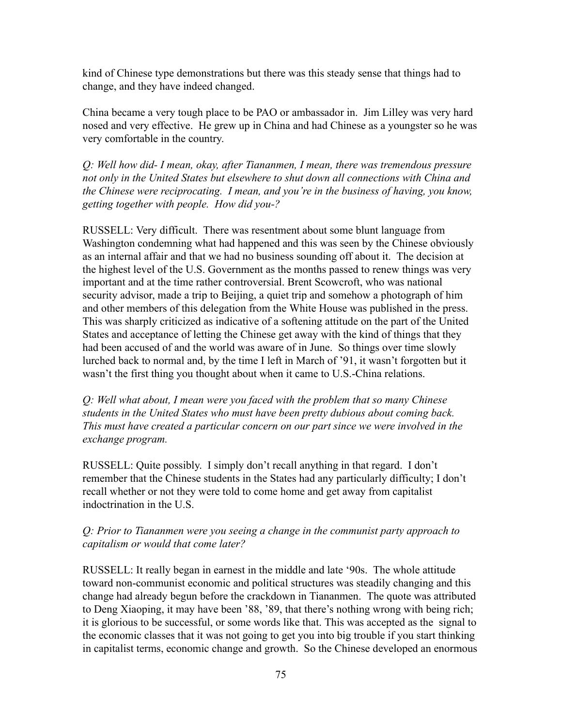kind of Chinese type demonstrations but there was this steady sense that things had to change, and they have indeed changed.

China became a very tough place to be PAO or ambassador in. Jim Lilley was very hard nosed and very effective. He grew up in China and had Chinese as a youngster so he was very comfortable in the country.

*Q: Well how did- I mean, okay, after Tiananmen, I mean, there was tremendous pressure not only in the United States but elsewhere to shut down all connections with China and the Chinese were reciprocating. I mean, and you're in the business of having, you know, getting together with people. How did you-?*

RUSSELL: Very difficult. There was resentment about some blunt language from Washington condemning what had happened and this was seen by the Chinese obviously as an internal affair and that we had no business sounding off about it. The decision at the highest level of the U.S. Government as the months passed to renew things was very important and at the time rather controversial. Brent Scowcroft, who was national security advisor, made a trip to Beijing, a quiet trip and somehow a photograph of him and other members of this delegation from the White House was published in the press. This was sharply criticized as indicative of a softening attitude on the part of the United States and acceptance of letting the Chinese get away with the kind of things that they had been accused of and the world was aware of in June. So things over time slowly lurched back to normal and, by the time I left in March of '91, it wasn't forgotten but it wasn't the first thing you thought about when it came to U.S.-China relations.

*Q: Well what about, I mean were you faced with the problem that so many Chinese students in the United States who must have been pretty dubious about coming back. This must have created a particular concern on our part since we were involved in the exchange program.*

RUSSELL: Quite possibly. I simply don't recall anything in that regard. I don't remember that the Chinese students in the States had any particularly difficulty; I don't recall whether or not they were told to come home and get away from capitalist indoctrination in the U.S.

## *Q: Prior to Tiananmen were you seeing a change in the communist party approach to capitalism or would that come later?*

RUSSELL: It really began in earnest in the middle and late '90s. The whole attitude toward non-communist economic and political structures was steadily changing and this change had already begun before the crackdown in Tiananmen. The quote was attributed to Deng Xiaoping, it may have been '88, '89, that there's nothing wrong with being rich; it is glorious to be successful, or some words like that. This was accepted as the signal to the economic classes that it was not going to get you into big trouble if you start thinking in capitalist terms, economic change and growth. So the Chinese developed an enormous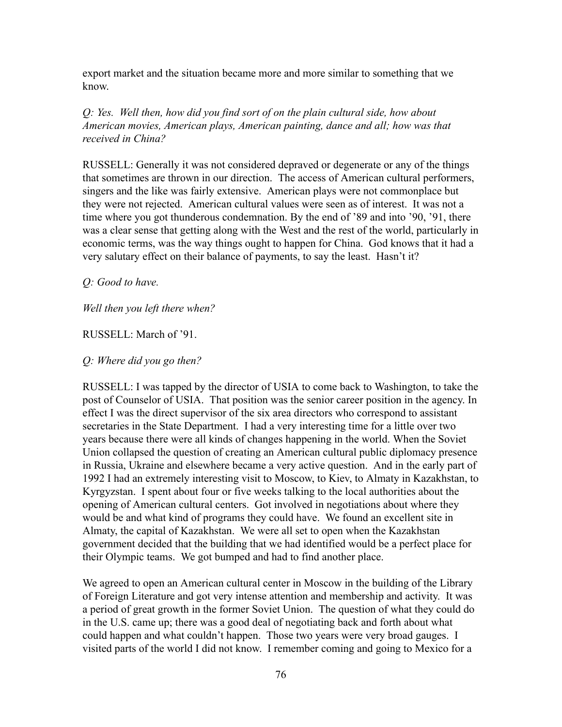export market and the situation became more and more similar to something that we know.

*Q: Yes. Well then, how did you find sort of on the plain cultural side, how about American movies, American plays, American painting, dance and all; how was that received in China?*

RUSSELL: Generally it was not considered depraved or degenerate or any of the things that sometimes are thrown in our direction. The access of American cultural performers, singers and the like was fairly extensive. American plays were not commonplace but they were not rejected. American cultural values were seen as of interest. It was not a time where you got thunderous condemnation. By the end of '89 and into '90, '91, there was a clear sense that getting along with the West and the rest of the world, particularly in economic terms, was the way things ought to happen for China. God knows that it had a very salutary effect on their balance of payments, to say the least. Hasn't it?

*Q: Good to have.*

*Well then you left there when?*

### RUSSELL: March of '91.

*Q: Where did you go then?*

RUSSELL: I was tapped by the director of USIA to come back to Washington, to take the post of Counselor of USIA. That position was the senior career position in the agency. In effect I was the direct supervisor of the six area directors who correspond to assistant secretaries in the State Department. I had a very interesting time for a little over two years because there were all kinds of changes happening in the world. When the Soviet Union collapsed the question of creating an American cultural public diplomacy presence in Russia, Ukraine and elsewhere became a very active question. And in the early part of 1992 I had an extremely interesting visit to Moscow, to Kiev, to Almaty in Kazakhstan, to Kyrgyzstan. I spent about four or five weeks talking to the local authorities about the opening of American cultural centers. Got involved in negotiations about where they would be and what kind of programs they could have. We found an excellent site in Almaty, the capital of Kazakhstan. We were all set to open when the Kazakhstan government decided that the building that we had identified would be a perfect place for their Olympic teams. We got bumped and had to find another place.

We agreed to open an American cultural center in Moscow in the building of the Library of Foreign Literature and got very intense attention and membership and activity. It was a period of great growth in the former Soviet Union. The question of what they could do in the U.S. came up; there was a good deal of negotiating back and forth about what could happen and what couldn't happen. Those two years were very broad gauges. I visited parts of the world I did not know. I remember coming and going to Mexico for a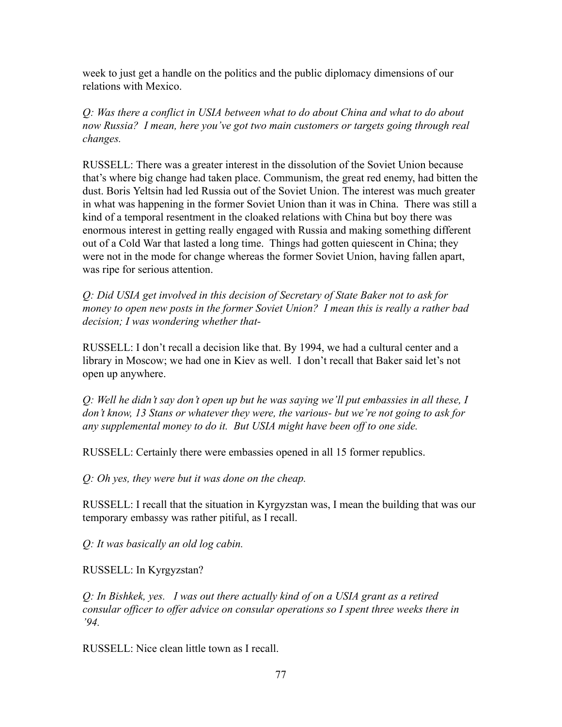week to just get a handle on the politics and the public diplomacy dimensions of our relations with Mexico.

*Q: Was there a conflict in USIA between what to do about China and what to do about now Russia? I mean, here you've got two main customers or targets going through real changes.*

RUSSELL: There was a greater interest in the dissolution of the Soviet Union because that's where big change had taken place. Communism, the great red enemy, had bitten the dust. Boris Yeltsin had led Russia out of the Soviet Union. The interest was much greater in what was happening in the former Soviet Union than it was in China. There was still a kind of a temporal resentment in the cloaked relations with China but boy there was enormous interest in getting really engaged with Russia and making something different out of a Cold War that lasted a long time. Things had gotten quiescent in China; they were not in the mode for change whereas the former Soviet Union, having fallen apart, was ripe for serious attention.

*Q: Did USIA get involved in this decision of Secretary of State Baker not to ask for money to open new posts in the former Soviet Union? I mean this is really a rather bad decision; I was wondering whether that-*

RUSSELL: I don't recall a decision like that. By 1994, we had a cultural center and a library in Moscow; we had one in Kiev as well. I don't recall that Baker said let's not open up anywhere.

*Q: Well he didn't say don't open up but he was saying we'll put embassies in all these, I don't know, 13 Stans or whatever they were, the various- but we're not going to ask for any supplemental money to do it. But USIA might have been off to one side.*

RUSSELL: Certainly there were embassies opened in all 15 former republics.

*Q: Oh yes, they were but it was done on the cheap.*

RUSSELL: I recall that the situation in Kyrgyzstan was, I mean the building that was our temporary embassy was rather pitiful, as I recall.

*Q: It was basically an old log cabin.*

RUSSELL: In Kyrgyzstan?

*Q: In Bishkek, yes. I was out there actually kind of on a USIA grant as a retired consular officer to offer advice on consular operations so I spent three weeks there in '94.*

RUSSELL: Nice clean little town as I recall.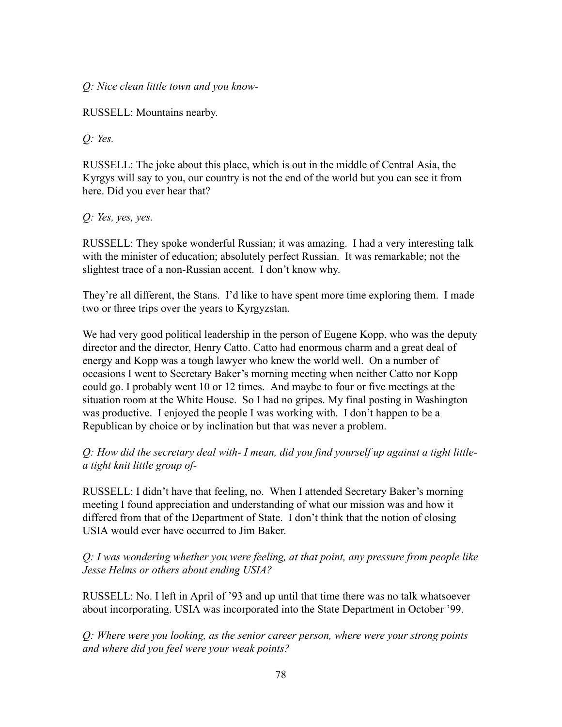*Q: Nice clean little town and you know-*

RUSSELL: Mountains nearby.

*Q: Yes.*

RUSSELL: The joke about this place, which is out in the middle of Central Asia, the Kyrgys will say to you, our country is not the end of the world but you can see it from here. Did you ever hear that?

*Q: Yes, yes, yes.*

RUSSELL: They spoke wonderful Russian; it was amazing. I had a very interesting talk with the minister of education; absolutely perfect Russian. It was remarkable; not the slightest trace of a non-Russian accent. I don't know why.

They're all different, the Stans. I'd like to have spent more time exploring them. I made two or three trips over the years to Kyrgyzstan.

We had very good political leadership in the person of Eugene Kopp, who was the deputy director and the director, Henry Catto. Catto had enormous charm and a great deal of energy and Kopp was a tough lawyer who knew the world well. On a number of occasions I went to Secretary Baker's morning meeting when neither Catto nor Kopp could go. I probably went 10 or 12 times. And maybe to four or five meetings at the situation room at the White House. So I had no gripes. My final posting in Washington was productive. I enjoyed the people I was working with. I don't happen to be a Republican by choice or by inclination but that was never a problem.

*Q: How did the secretary deal with- I mean, did you find yourself up against a tight littlea tight knit little group of-*

RUSSELL: I didn't have that feeling, no. When I attended Secretary Baker's morning meeting I found appreciation and understanding of what our mission was and how it differed from that of the Department of State. I don't think that the notion of closing USIA would ever have occurred to Jim Baker.

*Q: I was wondering whether you were feeling, at that point, any pressure from people like Jesse Helms or others about ending USIA?*

RUSSELL: No. I left in April of '93 and up until that time there was no talk whatsoever about incorporating. USIA was incorporated into the State Department in October '99.

*Q: Where were you looking, as the senior career person, where were your strong points and where did you feel were your weak points?*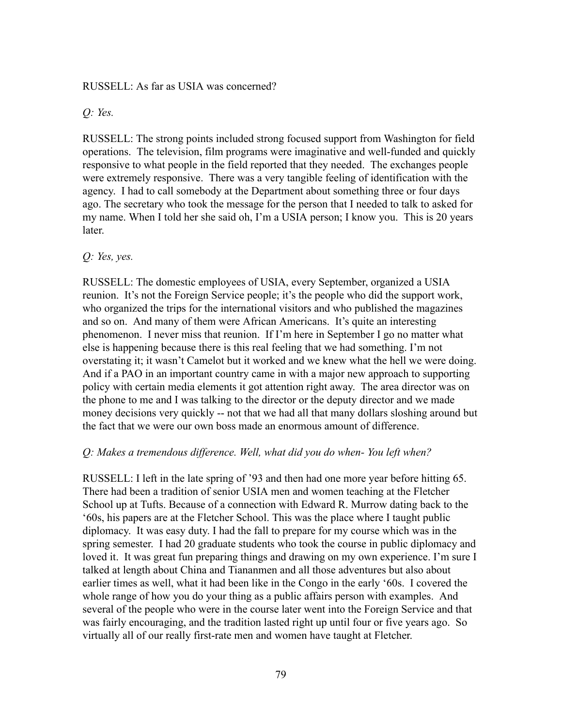#### RUSSELL: As far as USIA was concerned?

*Q: Yes.*

RUSSELL: The strong points included strong focused support from Washington for field operations. The television, film programs were imaginative and well-funded and quickly responsive to what people in the field reported that they needed. The exchanges people were extremely responsive. There was a very tangible feeling of identification with the agency. I had to call somebody at the Department about something three or four days ago. The secretary who took the message for the person that I needed to talk to asked for my name. When I told her she said oh, I'm a USIA person; I know you. This is 20 years later.

### *Q: Yes, yes.*

RUSSELL: The domestic employees of USIA, every September, organized a USIA reunion. It's not the Foreign Service people; it's the people who did the support work, who organized the trips for the international visitors and who published the magazines and so on. And many of them were African Americans. It's quite an interesting phenomenon. I never miss that reunion. If I'm here in September I go no matter what else is happening because there is this real feeling that we had something. I'm not overstating it; it wasn't Camelot but it worked and we knew what the hell we were doing. And if a PAO in an important country came in with a major new approach to supporting policy with certain media elements it got attention right away. The area director was on the phone to me and I was talking to the director or the deputy director and we made money decisions very quickly -- not that we had all that many dollars sloshing around but the fact that we were our own boss made an enormous amount of difference.

## *Q: Makes a tremendous difference. Well, what did you do when- You left when?*

RUSSELL: I left in the late spring of '93 and then had one more year before hitting 65. There had been a tradition of senior USIA men and women teaching at the Fletcher School up at Tufts. Because of a connection with Edward R. Murrow dating back to the '60s, his papers are at the Fletcher School. This was the place where I taught public diplomacy. It was easy duty. I had the fall to prepare for my course which was in the spring semester. I had 20 graduate students who took the course in public diplomacy and loved it. It was great fun preparing things and drawing on my own experience. I'm sure I talked at length about China and Tiananmen and all those adventures but also about earlier times as well, what it had been like in the Congo in the early '60s. I covered the whole range of how you do your thing as a public affairs person with examples. And several of the people who were in the course later went into the Foreign Service and that was fairly encouraging, and the tradition lasted right up until four or five years ago. So virtually all of our really first-rate men and women have taught at Fletcher.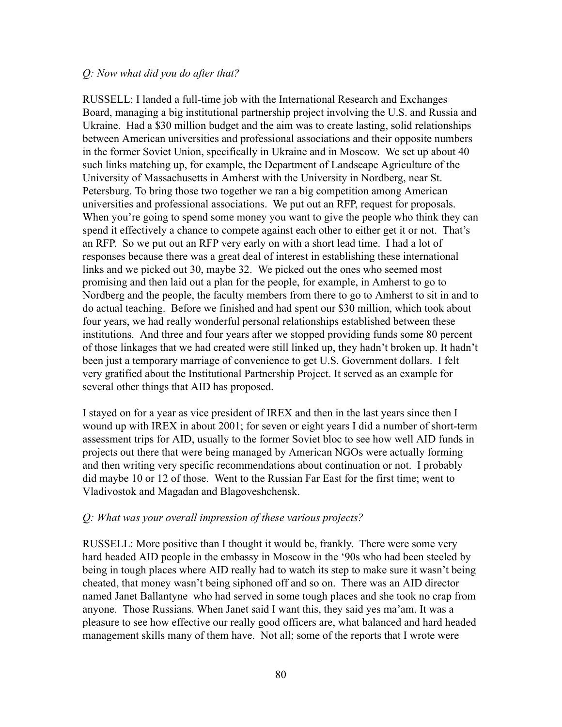### *Q: Now what did you do after that?*

RUSSELL: I landed a full-time job with the International Research and Exchanges Board, managing a big institutional partnership project involving the U.S. and Russia and Ukraine. Had a \$30 million budget and the aim was to create lasting, solid relationships between American universities and professional associations and their opposite numbers in the former Soviet Union, specifically in Ukraine and in Moscow. We set up about 40 such links matching up, for example, the Department of Landscape Agriculture of the University of Massachusetts in Amherst with the University in Nordberg, near St. Petersburg. To bring those two together we ran a big competition among American universities and professional associations. We put out an RFP, request for proposals. When you're going to spend some money you want to give the people who think they can spend it effectively a chance to compete against each other to either get it or not. That's an RFP. So we put out an RFP very early on with a short lead time. I had a lot of responses because there was a great deal of interest in establishing these international links and we picked out 30, maybe 32. We picked out the ones who seemed most promising and then laid out a plan for the people, for example, in Amherst to go to Nordberg and the people, the faculty members from there to go to Amherst to sit in and to do actual teaching. Before we finished and had spent our \$30 million, which took about four years, we had really wonderful personal relationships established between these institutions. And three and four years after we stopped providing funds some 80 percent of those linkages that we had created were still linked up, they hadn't broken up. It hadn't been just a temporary marriage of convenience to get U.S. Government dollars. I felt very gratified about the Institutional Partnership Project. It served as an example for several other things that AID has proposed.

I stayed on for a year as vice president of IREX and then in the last years since then I wound up with IREX in about 2001; for seven or eight years I did a number of short-term assessment trips for AID, usually to the former Soviet bloc to see how well AID funds in projects out there that were being managed by American NGOs were actually forming and then writing very specific recommendations about continuation or not. I probably did maybe 10 or 12 of those. Went to the Russian Far East for the first time; went to Vladivostok and Magadan and Blagoveshchensk.

## *Q: What was your overall impression of these various projects?*

RUSSELL: More positive than I thought it would be, frankly. There were some very hard headed AID people in the embassy in Moscow in the '90s who had been steeled by being in tough places where AID really had to watch its step to make sure it wasn't being cheated, that money wasn't being siphoned off and so on. There was an AID director named Janet Ballantyne who had served in some tough places and she took no crap from anyone. Those Russians. When Janet said I want this, they said yes ma'am. It was a pleasure to see how effective our really good officers are, what balanced and hard headed management skills many of them have. Not all; some of the reports that I wrote were